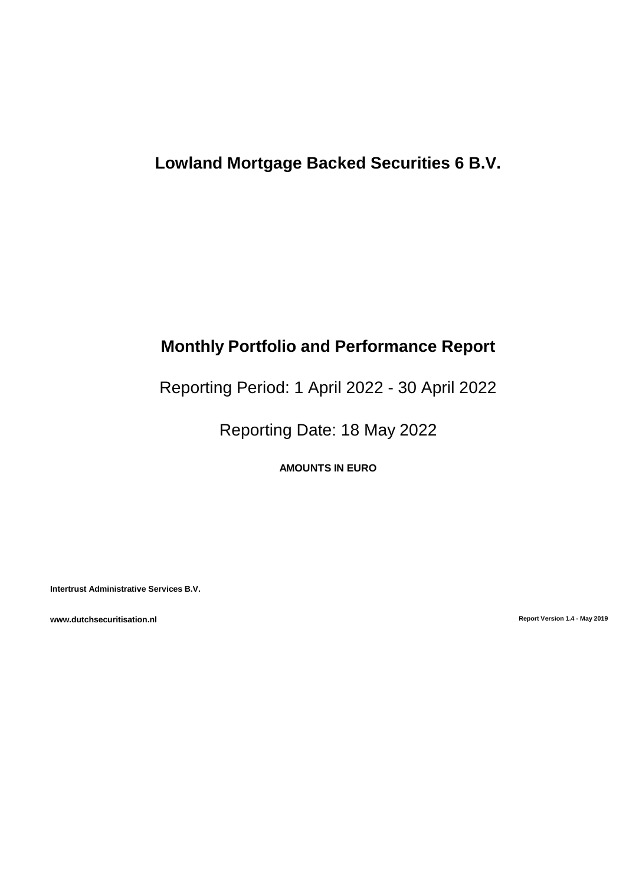# **Lowland Mortgage Backed Securities 6 B.V.**

# **Monthly Portfolio and Performance Report**

# Reporting Period: 1 April 2022 - 30 April 2022

Reporting Date: 18 May 2022

**AMOUNTS IN EURO**

**Intertrust Administrative Services B.V.**

**www.dutchsecuritisation.nl Report Version 1.4 - May 2019**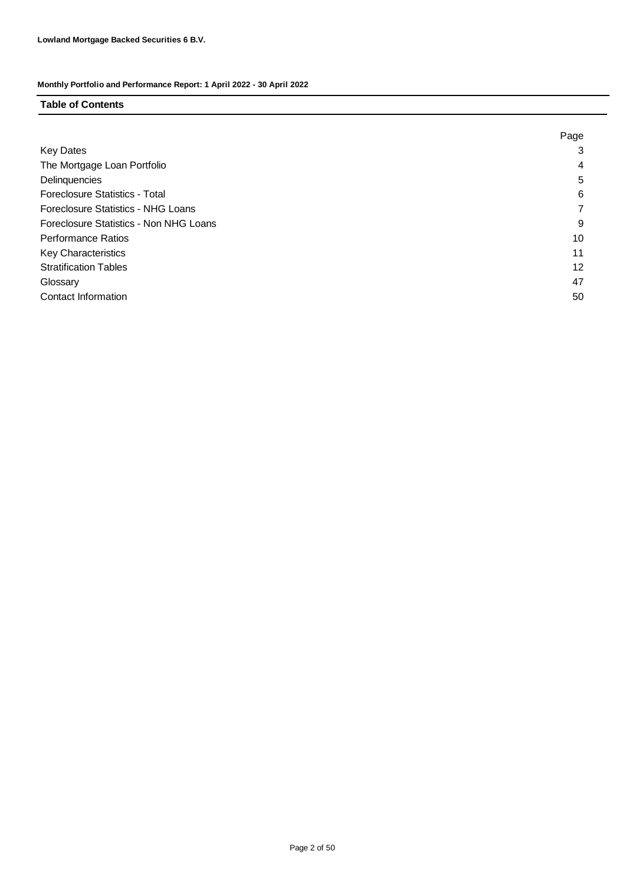#### **Table of Contents**

|                                        | Page |
|----------------------------------------|------|
| <b>Key Dates</b>                       | 3    |
| The Mortgage Loan Portfolio            | 4    |
| Delinquencies                          | 5    |
| Foreclosure Statistics - Total         | 6    |
| Foreclosure Statistics - NHG Loans     |      |
| Foreclosure Statistics - Non NHG Loans | 9    |
| <b>Performance Ratios</b>              | 10   |
| <b>Key Characteristics</b>             | 11   |
| <b>Stratification Tables</b>           | 12   |
| Glossary                               | 47   |
| Contact Information                    | 50   |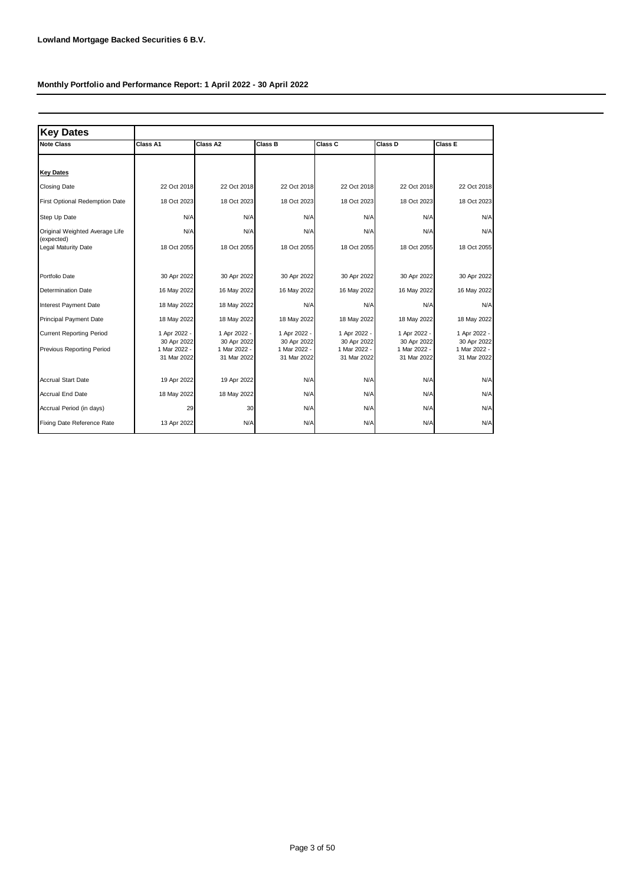| <b>Key Dates</b>                             |                             |                             |                             |                             |                             |                             |
|----------------------------------------------|-----------------------------|-----------------------------|-----------------------------|-----------------------------|-----------------------------|-----------------------------|
| <b>Note Class</b>                            | Class A1                    | Class A2                    | Class B                     | Class C                     | Class D                     | Class E                     |
|                                              |                             |                             |                             |                             |                             |                             |
| <b>Key Dates</b>                             |                             |                             |                             |                             |                             |                             |
| <b>Closing Date</b>                          | 22 Oct 2018                 | 22 Oct 2018                 | 22 Oct 2018                 | 22 Oct 2018                 | 22 Oct 2018                 | 22 Oct 2018                 |
| First Optional Redemption Date               | 18 Oct 2023                 | 18 Oct 2023                 | 18 Oct 2023                 | 18 Oct 2023                 | 18 Oct 2023                 | 18 Oct 2023                 |
| Step Up Date                                 | N/A                         | N/A                         | N/A                         | N/A                         | N/A                         | N/A                         |
| Original Weighted Average Life<br>(expected) | N/A                         | N/A                         | N/A                         | N/A                         | N/A                         | N/A                         |
| Legal Maturity Date                          | 18 Oct 2055                 | 18 Oct 2055                 | 18 Oct 2055                 | 18 Oct 2055                 | 18 Oct 2055                 | 18 Oct 2055                 |
|                                              |                             |                             |                             |                             |                             |                             |
| Portfolio Date                               | 30 Apr 2022                 | 30 Apr 2022                 | 30 Apr 2022                 | 30 Apr 2022                 | 30 Apr 2022                 | 30 Apr 2022                 |
| <b>Determination Date</b>                    | 16 May 2022                 | 16 May 2022                 | 16 May 2022                 | 16 May 2022                 | 16 May 2022                 | 16 May 2022                 |
| Interest Payment Date                        | 18 May 2022                 | 18 May 2022                 | N/A                         | N/A                         | N/A                         | N/A                         |
| <b>Principal Payment Date</b>                | 18 May 2022                 | 18 May 2022                 | 18 May 2022                 | 18 May 2022                 | 18 May 2022                 | 18 May 2022                 |
| <b>Current Reporting Period</b>              | 1 Apr 2022 -                | 1 Apr 2022 -                | 1 Apr 2022 -                | 1 Apr 2022 -                | 1 Apr 2022 -                | 1 Apr 2022 -                |
| <b>Previous Reporting Period</b>             | 30 Apr 2022<br>1 Mar 2022 - | 30 Apr 2022<br>1 Mar 2022 - | 30 Apr 2022<br>1 Mar 2022 - | 30 Apr 2022<br>1 Mar 2022 - | 30 Apr 2022<br>1 Mar 2022 - | 30 Apr 2022<br>1 Mar 2022 - |
|                                              | 31 Mar 2022                 | 31 Mar 2022                 | 31 Mar 2022                 | 31 Mar 2022                 | 31 Mar 2022                 | 31 Mar 2022                 |
| <b>Accrual Start Date</b>                    |                             |                             |                             |                             |                             |                             |
|                                              | 19 Apr 2022                 | 19 Apr 2022                 | N/A                         | N/A                         | N/A                         | N/A                         |
| <b>Accrual End Date</b>                      | 18 May 2022                 | 18 May 2022                 | N/A                         | N/A                         | N/A                         | N/A                         |
| Accrual Period (in days)                     | 29                          | 30                          | N/A                         | N/A                         | N/A                         | N/A                         |
| Fixing Date Reference Rate                   | 13 Apr 2022                 | N/A                         | N/A                         | N/A                         | N/A                         | N/A                         |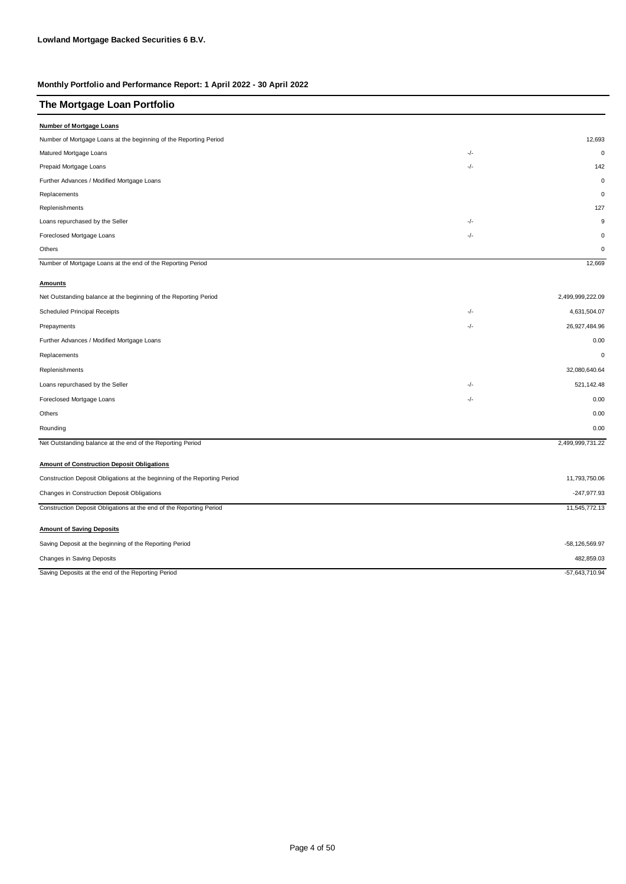| The Mortgage Loan Portfolio |  |
|-----------------------------|--|
|-----------------------------|--|

| <b>Number of Mortgage Loans</b>                                           |     |                  |
|---------------------------------------------------------------------------|-----|------------------|
| Number of Mortgage Loans at the beginning of the Reporting Period         |     | 12,693           |
| Matured Mortgage Loans                                                    | -/- | $\mathbf 0$      |
| Prepaid Mortgage Loans                                                    | -/- | 142              |
| Further Advances / Modified Mortgage Loans                                |     | $\mathbf 0$      |
| Replacements                                                              |     | $\mathbf 0$      |
| Replenishments                                                            |     | 127              |
| Loans repurchased by the Seller                                           | -/- | 9                |
| Foreclosed Mortgage Loans                                                 | -/- | $\mathbf 0$      |
| Others                                                                    |     | 0                |
| Number of Mortgage Loans at the end of the Reporting Period               |     | 12,669           |
| <b>Amounts</b>                                                            |     |                  |
| Net Outstanding balance at the beginning of the Reporting Period          |     | 2,499,999,222.09 |
| <b>Scheduled Principal Receipts</b>                                       | -/- | 4,631,504.07     |
| Prepayments                                                               | -/- | 26,927,484.96    |
| Further Advances / Modified Mortgage Loans                                |     | 0.00             |
| Replacements                                                              |     | $\mathbf 0$      |
| Replenishments                                                            |     | 32,080,640.64    |
| Loans repurchased by the Seller                                           | -/- | 521,142.48       |
| Foreclosed Mortgage Loans                                                 | -/- | 0.00             |
| Others                                                                    |     | 0.00             |
| Rounding                                                                  |     | 0.00             |
| Net Outstanding balance at the end of the Reporting Period                |     | 2,499,999,731.22 |
|                                                                           |     |                  |
| <b>Amount of Construction Deposit Obligations</b>                         |     |                  |
| Construction Deposit Obligations at the beginning of the Reporting Period |     | 11,793,750.06    |
| Changes in Construction Deposit Obligations                               |     | $-247,977.93$    |
| Construction Deposit Obligations at the end of the Reporting Period       |     | 11,545,772.13    |
| <b>Amount of Saving Deposits</b>                                          |     |                  |
| Saving Deposit at the beginning of the Reporting Period                   |     | -58,126,569.97   |
| Changes in Saving Deposits                                                |     | 482,859.03       |
| Saving Deposits at the end of the Reporting Period                        |     | -57,643,710.94   |
|                                                                           |     |                  |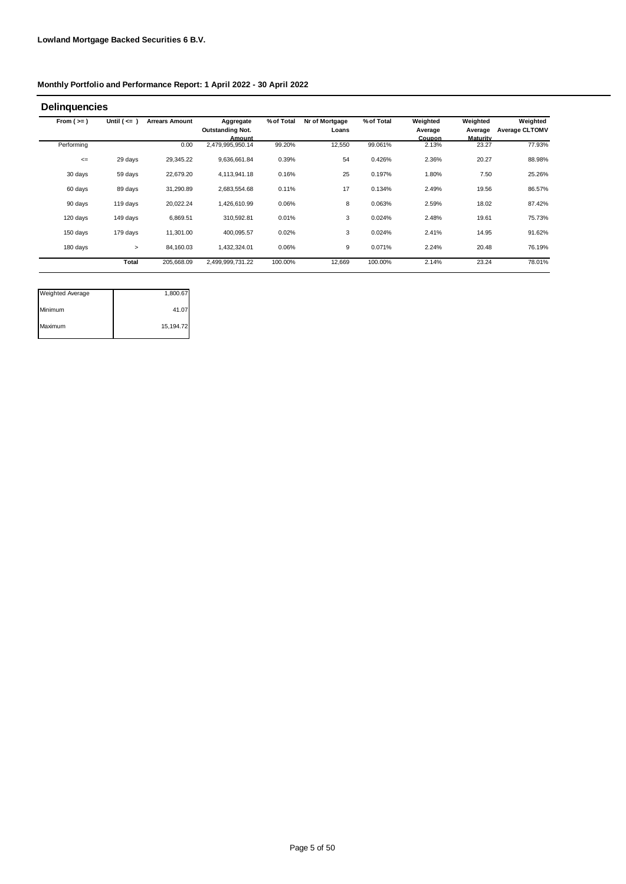| <b>Delinquencies</b> |                  |                       |                                                |            |                         |            |                               |                                        |                                   |
|----------------------|------------------|-----------------------|------------------------------------------------|------------|-------------------------|------------|-------------------------------|----------------------------------------|-----------------------------------|
| From $(>=)$          | Until $($ <= $)$ | <b>Arrears Amount</b> | Aggregate<br><b>Outstanding Not.</b><br>Amount | % of Total | Nr of Mortgage<br>Loans | % of Total | Weighted<br>Average<br>Coupon | Weighted<br>Average<br><b>Maturity</b> | Weighted<br><b>Average CLTOMV</b> |
| Performing           |                  | 0.00                  | 2,479,995,950.14                               | 99.20%     | 12,550                  | 99.061%    | 2.13%                         | 23.27                                  | 77.93%                            |
| $\leq$               | 29 days          | 29,345.22             | 9,636,661.84                                   | 0.39%      | 54                      | 0.426%     | 2.36%                         | 20.27                                  | 88.98%                            |
| 30 days              | 59 days          | 22,679.20             | 4,113,941.18                                   | 0.16%      | 25                      | 0.197%     | 1.80%                         | 7.50                                   | 25.26%                            |
| 60 days              | 89 days          | 31,290.89             | 2,683,554.68                                   | 0.11%      | 17                      | 0.134%     | 2.49%                         | 19.56                                  | 86.57%                            |
| 90 days              | 119 days         | 20,022.24             | 1,426,610.99                                   | 0.06%      | 8                       | 0.063%     | 2.59%                         | 18.02                                  | 87.42%                            |
| 120 days             | 149 days         | 6,869.51              | 310,592.81                                     | 0.01%      | 3                       | 0.024%     | 2.48%                         | 19.61                                  | 75.73%                            |
| 150 days             | 179 days         | 11,301.00             | 400,095.57                                     | 0.02%      | 3                       | 0.024%     | 2.41%                         | 14.95                                  | 91.62%                            |
| 180 days             | >                | 84,160.03             | 1,432,324.01                                   | 0.06%      | 9                       | 0.071%     | 2.24%                         | 20.48                                  | 76.19%                            |
|                      | <b>Total</b>     | 205,668.09            | 2,499,999,731.22                               | 100.00%    | 12,669                  | 100.00%    | 2.14%                         | 23.24                                  | 78.01%                            |

| <b>Weighted Average</b> | 1,800.67  |
|-------------------------|-----------|
| Minimum                 | 41.07     |
| Maximum                 | 15,194.72 |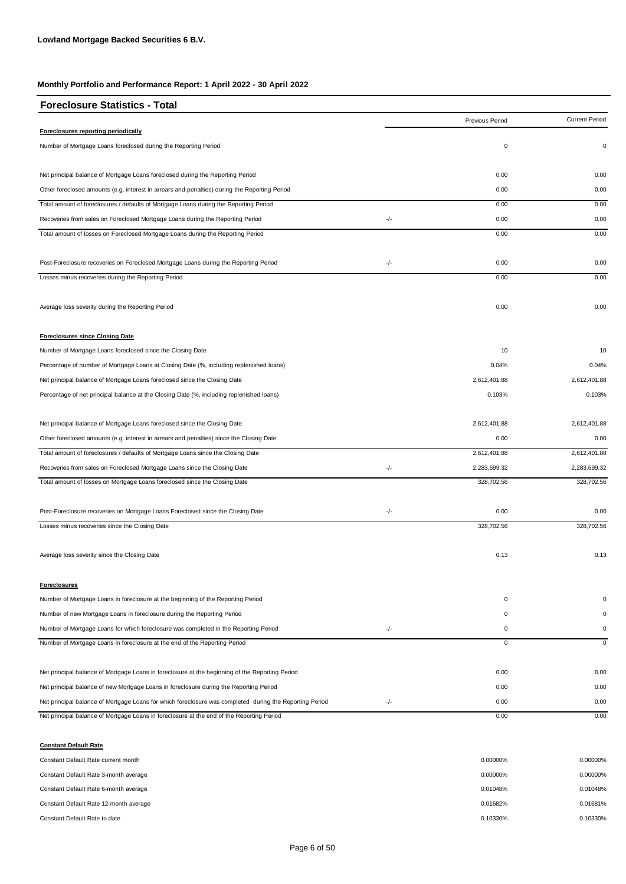| <b>Foreclosure Statistics - Total</b>                                                                   |       |                 |                       |
|---------------------------------------------------------------------------------------------------------|-------|-----------------|-----------------------|
|                                                                                                         |       | Previous Period | <b>Current Period</b> |
| Foreclosures reporting periodically                                                                     |       |                 |                       |
| Number of Mortgage Loans foreclosed during the Reporting Period                                         |       | $\pmb{0}$       | 0                     |
| Net principal balance of Mortgage Loans foreclosed during the Reporting Period                          |       | 0.00            | 0.00                  |
| Other foreclosed amounts (e.g. interest in arrears and penalties) during the Reporting Period           |       | 0.00            | 0.00                  |
| Total amount of foreclosures / defaults of Mortgage Loans during the Reporting Period                   |       | 0.00            | 0.00                  |
| Recoveries from sales on Foreclosed Mortgage Loans during the Reporting Period                          | -/-   | 0.00            | 0.00                  |
| Total amount of losses on Foreclosed Mortgage Loans during the Reporting Period                         |       | 0.00            | 0.00                  |
| Post-Foreclosure recoveries on Foreclosed Mortgage Loans during the Reporting Period                    | $-/-$ | 0.00            | 0.00                  |
| Losses minus recoveries during the Reporting Period                                                     |       | 0.00            | 0.00                  |
| Average loss severity during the Reporting Period                                                       |       | 0.00            | 0.00                  |
| <b>Foreclosures since Closing Date</b>                                                                  |       |                 |                       |
| Number of Mortgage Loans foreclosed since the Closing Date                                              |       | 10              | 10                    |
| Percentage of number of Mortgage Loans at Closing Date (%, including replenished loans)                 |       | 0.04%           | 0.04%                 |
| Net principal balance of Mortgage Loans foreclosed since the Closing Date                               |       | 2,612,401.88    | 2,612,401.88          |
| Percentage of net principal balance at the Closing Date (%, including replenished loans)                |       | 0.103%          | 0.103%                |
| Net principal balance of Mortgage Loans foreclosed since the Closing Date                               |       | 2,612,401.88    | 2,612,401.88          |
| Other foreclosed amounts (e.g. interest in arrears and penalties) since the Closing Date                |       | 0.00            | 0.00                  |
| Total amount of foreclosures / defaults of Mortgage Loans since the Closing Date                        |       | 2,612,401.88    | 2,612,401.88          |
| Recoveries from sales on Foreclosed Mortgage Loans since the Closing Date                               | $-/-$ | 2,283,699.32    | 2,283,699.32          |
| Total amount of losses on Mortgage Loans foreclosed since the Closing Date                              |       | 328,702.56      | 328,702.56            |
| Post-Foreclosure recoveries on Mortgage Loans Foreclosed since the Closing Date                         | -/-   | 0.00            | 0.00                  |
| Losses minus recoveries since the Closing Date                                                          |       | 328,702.56      | 328,702.56            |
| Average loss severity since the Closing Date                                                            |       | 0.13            | 0.13                  |
| <b>Foreclosures</b>                                                                                     |       |                 |                       |
| Number of Mortgage Loans in foreclosure at the beginning of the Reporting Period                        |       | 0               |                       |
| Number of new Mortgage Loans in foreclosure during the Reporting Period                                 |       | 0               | $\Omega$              |
| Number of Mortgage Loans for which foreclosure was completed in the Reporting Period                    | $-/-$ | 0               | 0                     |
| Number of Mortgage Loans in foreclosure at the end of the Reporting Period                              |       | $\mathbf 0$     | $\mathbf 0$           |
| Net principal balance of Mortgage Loans in foreclosure at the beginning of the Reporting Period         |       | 0.00            | 0.00                  |
| Net principal balance of new Mortgage Loans in foreclosure during the Reporting Period                  |       | 0.00            | 0.00                  |
| Net principal balance of Mortgage Loans for which foreclosure was completed during the Reporting Period | $-/-$ | 0.00            | 0.00                  |
| Net principal balance of Mortgage Loans in foreclosure at the end of the Reporting Period               |       | 0.00            | 0.00                  |
| <b>Constant Default Rate</b>                                                                            |       |                 |                       |
| Constant Default Rate current month                                                                     |       | 0.00000%        | 0.00000%              |

| Constant Default Rate 3-month average  | 0.00000% | 0.00000% |
|----------------------------------------|----------|----------|
| Constant Default Rate 6-month average  | 0.01048% | 0.01048% |
| Constant Default Rate 12-month average | 0.01682% | 0.01681% |
| Constant Default Rate to date          | 0.10330% | 0.10330% |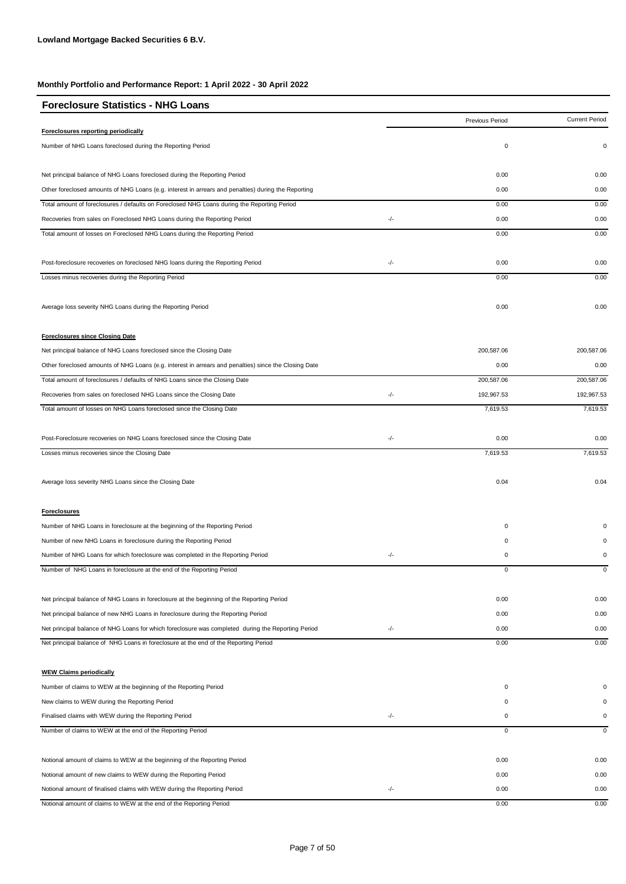| <b>Foreclosure Statistics - NHG Loans</b>                                                             |     |                 |                       |
|-------------------------------------------------------------------------------------------------------|-----|-----------------|-----------------------|
|                                                                                                       |     | Previous Period | <b>Current Period</b> |
| Foreclosures reporting periodically                                                                   |     |                 |                       |
| Number of NHG Loans foreclosed during the Reporting Period                                            |     | $\mathbf 0$     | 0                     |
| Net principal balance of NHG Loans foreclosed during the Reporting Period                             |     | 0.00            | 0.00                  |
| Other foreclosed amounts of NHG Loans (e.g. interest in arrears and penalties) during the Reporting   |     | 0.00            | 0.00                  |
| Total amount of foreclosures / defaults on Foreclosed NHG Loans during the Reporting Period           |     | 0.00            | 0.00                  |
| Recoveries from sales on Foreclosed NHG Loans during the Reporting Period                             | -/- | 0.00            | 0.00                  |
| Total amount of losses on Foreclosed NHG Loans during the Reporting Period                            |     | 0.00            | 0.00                  |
| Post-foreclosure recoveries on foreclosed NHG loans during the Reporting Period                       | -/- | 0.00            | 0.00                  |
| Losses minus recoveries during the Reporting Period                                                   |     | 0.00            | 0.00                  |
| Average loss severity NHG Loans during the Reporting Period                                           |     | 0.00            | 0.00                  |
| <b>Foreclosures since Closing Date</b>                                                                |     |                 |                       |
| Net principal balance of NHG Loans foreclosed since the Closing Date                                  |     | 200,587.06      | 200,587.06            |
| Other foreclosed amounts of NHG Loans (e.g. interest in arrears and penalties) since the Closing Date |     | 0.00            | 0.00                  |
| Total amount of foreclosures / defaults of NHG Loans since the Closing Date                           |     | 200,587.06      | 200,587.06            |
| Recoveries from sales on foreclosed NHG Loans since the Closing Date                                  | -/- | 192,967.53      | 192,967.53            |
| Total amount of losses on NHG Loans foreclosed since the Closing Date                                 |     | 7,619.53        | 7,619.53              |
| Post-Foreclosure recoveries on NHG Loans foreclosed since the Closing Date                            | -/- | 0.00            | 0.00                  |
| Losses minus recoveries since the Closing Date                                                        |     | 7,619.53        | 7,619.53              |
| Average loss severity NHG Loans since the Closing Date                                                |     | 0.04            | 0.04                  |
| <b>Foreclosures</b>                                                                                   |     |                 |                       |
| Number of NHG Loans in foreclosure at the beginning of the Reporting Period                           |     | 0               |                       |
| Number of new NHG Loans in foreclosure during the Reporting Period                                    |     | 0               | $\Omega$              |
| Number of NHG Loans for which foreclosure was completed in the Reporting Period                       | -/- | 0               | 0                     |
| Number of NHG Loans in foreclosure at the end of the Reporting Period                                 |     |                 |                       |
| Net principal balance of NHG Loans in foreclosure at the beginning of the Reporting Period            |     | 0.00            | 0.00                  |
| Net principal balance of new NHG Loans in foreclosure during the Reporting Period                     |     | 0.00            | 0.00                  |
| Net principal balance of NHG Loans for which foreclosure was completed during the Reporting Period    | -/- | 0.00            | 0.00                  |
| Net principal balance of NHG Loans in foreclosure at the end of the Reporting Period                  |     | 0.00            | 0.00                  |
| <b>WEW Claims periodically</b>                                                                        |     |                 |                       |
| Number of claims to WEW at the beginning of the Reporting Period                                      |     | 0               |                       |
| New claims to WEW during the Reporting Period                                                         |     | 0               | 0                     |
| Finalised claims with WEW during the Reporting Period                                                 | -/- | 0               | 0                     |
| Number of claims to WEW at the end of the Reporting Period                                            |     | $\overline{0}$  | $\pmb{0}$             |
| Notional amount of claims to WEW at the beginning of the Reporting Period                             |     | 0.00            | 0.00                  |
| Notional amount of new claims to WEW during the Reporting Period                                      |     | 0.00            | 0.00                  |
| Notional amount of finalised claims with WEW during the Reporting Period                              | -/- | 0.00            | 0.00                  |
| Notional amount of claims to WEW at the end of the Reporting Period                                   |     | 0.00            | 0.00                  |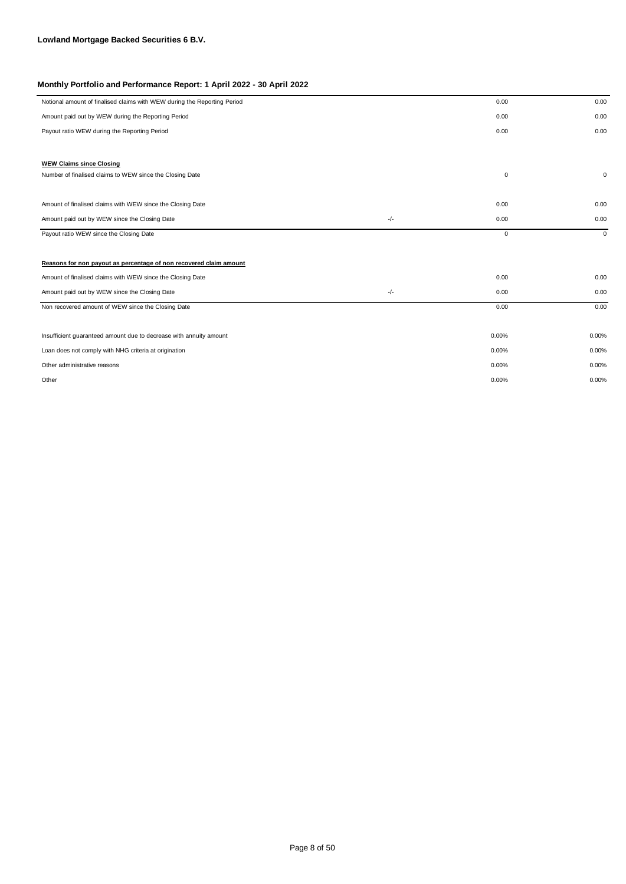| Notional amount of finalised claims with WEW during the Reporting Period |       | 0.00        | 0.00        |
|--------------------------------------------------------------------------|-------|-------------|-------------|
| Amount paid out by WEW during the Reporting Period                       |       | 0.00        | 0.00        |
| Payout ratio WEW during the Reporting Period                             |       | 0.00        | 0.00        |
|                                                                          |       |             |             |
| <b>WEW Claims since Closing</b>                                          |       |             |             |
| Number of finalised claims to WEW since the Closing Date                 |       | $\mathbf 0$ | $\mathbf 0$ |
|                                                                          |       |             |             |
| Amount of finalised claims with WEW since the Closing Date               |       | 0.00        | 0.00        |
| Amount paid out by WEW since the Closing Date                            | $-/-$ | 0.00        | 0.00        |
| Payout ratio WEW since the Closing Date                                  |       | 0           | $\mathbf 0$ |
|                                                                          |       |             |             |
| Reasons for non payout as percentage of non recovered claim amount       |       |             |             |
| Amount of finalised claims with WEW since the Closing Date               |       | 0.00        | 0.00        |
| Amount paid out by WEW since the Closing Date                            | $-/-$ | 0.00        | 0.00        |
| Non recovered amount of WEW since the Closing Date                       |       | 0.00        | 0.00        |
|                                                                          |       |             |             |
| Insufficient guaranteed amount due to decrease with annuity amount       |       | 0.00%       | 0.00%       |
| Loan does not comply with NHG criteria at origination                    |       | 0.00%       | 0.00%       |
| Other administrative reasons                                             |       | 0.00%       | 0.00%       |
| Other                                                                    |       | 0.00%       | 0.00%       |
|                                                                          |       |             |             |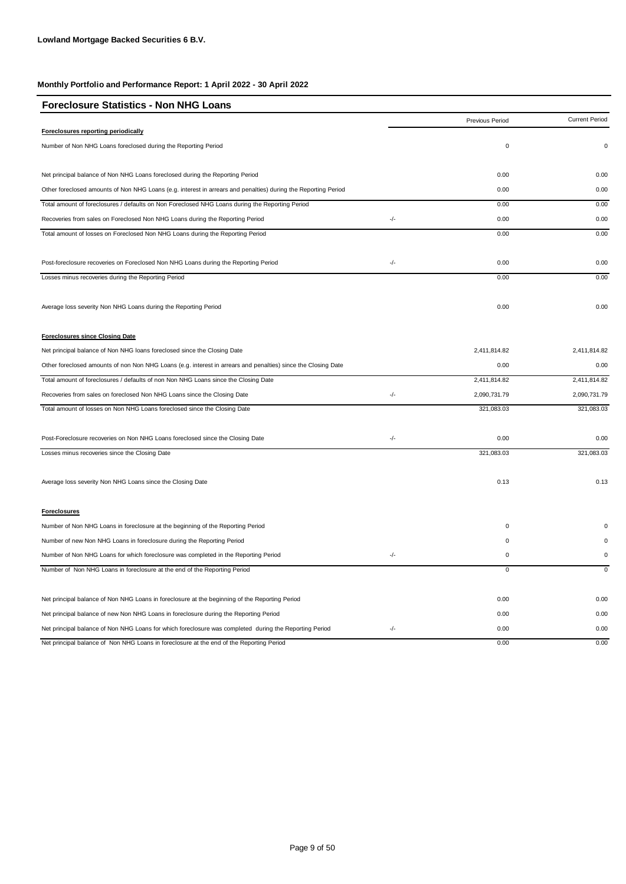| <b>Foreclosure Statistics - Non NHG Loans</b>                                                                  |     |                        |                       |
|----------------------------------------------------------------------------------------------------------------|-----|------------------------|-----------------------|
|                                                                                                                |     | <b>Previous Period</b> | <b>Current Period</b> |
| Foreclosures reporting periodically                                                                            |     |                        |                       |
| Number of Non NHG Loans foreclosed during the Reporting Period                                                 |     | $\mathbf 0$            | 0                     |
| Net principal balance of Non NHG Loans foreclosed during the Reporting Period                                  |     | 0.00                   | 0.00                  |
| Other foreclosed amounts of Non NHG Loans (e.g. interest in arrears and penalties) during the Reporting Period |     | 0.00                   | 0.00                  |
| Total amount of foreclosures / defaults on Non Foreclosed NHG Loans during the Reporting Period                |     | 0.00                   | 0.00                  |
| Recoveries from sales on Foreclosed Non NHG Loans during the Reporting Period                                  | -/- | 0.00                   | 0.00                  |
| Total amount of losses on Foreclosed Non NHG Loans during the Reporting Period                                 |     | 0.00                   | 0.00                  |
| Post-foreclosure recoveries on Foreclosed Non NHG Loans during the Reporting Period                            | -/- | 0.00                   | 0.00                  |
| Losses minus recoveries during the Reporting Period                                                            |     | 0.00                   | 0.00                  |
| Average loss severity Non NHG Loans during the Reporting Period                                                |     | 0.00                   | 0.00                  |
| <b>Foreclosures since Closing Date</b>                                                                         |     |                        |                       |
| Net principal balance of Non NHG loans foreclosed since the Closing Date                                       |     | 2,411,814.82           | 2,411,814.82          |
| Other foreclosed amounts of non Non NHG Loans (e.g. interest in arrears and penalties) since the Closing Date  |     | 0.00                   | 0.00                  |
| Total amount of foreclosures / defaults of non Non NHG Loans since the Closing Date                            |     | 2,411,814.82           | 2,411,814.82          |
| Recoveries from sales on foreclosed Non NHG Loans since the Closing Date                                       | -/- | 2,090,731.79           | 2,090,731.79          |
| Total amount of losses on Non NHG Loans foreclosed since the Closing Date                                      |     | 321,083.03             | 321,083.03            |
| Post-Foreclosure recoveries on Non NHG Loans foreclosed since the Closing Date                                 | -/- | 0.00                   | 0.00                  |
| Losses minus recoveries since the Closing Date                                                                 |     | 321,083.03             | 321,083.03            |
| Average loss severity Non NHG Loans since the Closing Date                                                     |     | 0.13                   | 0.13                  |
| Foreclosures                                                                                                   |     |                        |                       |
| Number of Non NHG Loans in foreclosure at the beginning of the Reporting Period                                |     | 0                      |                       |
| Number of new Non NHG Loans in foreclosure during the Reporting Period                                         |     | 0                      |                       |
| Number of Non NHG Loans for which foreclosure was completed in the Reporting Period                            | -/- | 0                      | $\Omega$              |
| Number of Non NHG Loans in foreclosure at the end of the Reporting Period                                      |     | 0                      |                       |
| Net principal balance of Non NHG Loans in foreclosure at the beginning of the Reporting Period                 |     | 0.00                   | 0.00                  |
| Net principal balance of new Non NHG Loans in foreclosure during the Reporting Period                          |     | 0.00                   | 0.00                  |
| Net principal balance of Non NHG Loans for which foreclosure was completed during the Reporting Period         | -/- | 0.00                   | 0.00                  |
| Net principal balance of Non NHG Loans in foreclosure at the end of the Reporting Period                       |     | 0.00                   | 0.00                  |

Page 9 of 50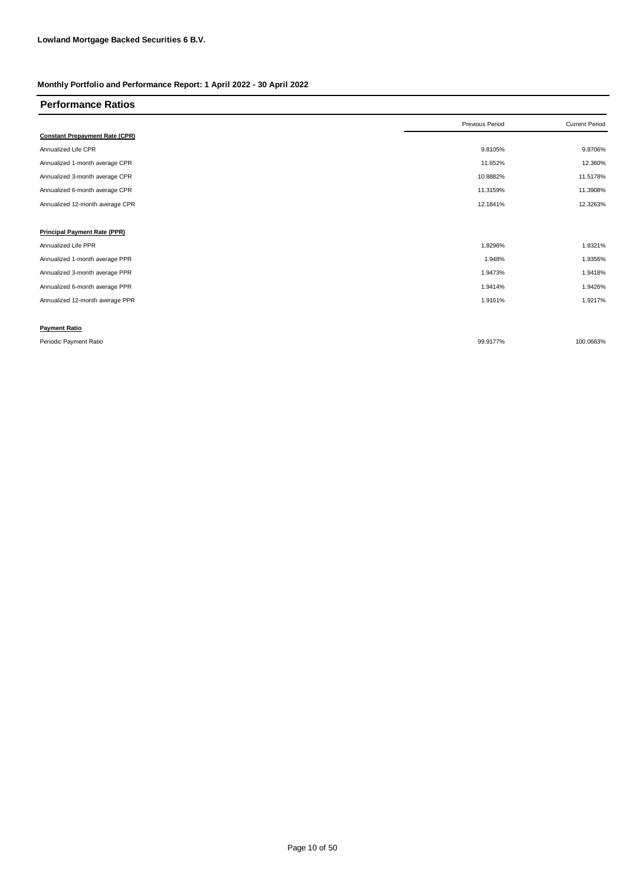| <b>Performance Ratios</b>             |                 |                       |
|---------------------------------------|-----------------|-----------------------|
|                                       | Previous Period | <b>Current Period</b> |
| <b>Constant Prepayment Rate (CPR)</b> |                 |                       |
| Annualized Life CPR                   | 9.8105%         | 9.8706%               |
| Annualized 1-month average CPR        | 11.652%         | 12.360%               |
| Annualized 3-month average CPR        | 10.8882%        | 11.5178%              |
| Annualized 6-month average CPR        | 11.3159%        | 11.3908%              |
| Annualized 12-month average CPR       | 12.1841%        | 12.3263%              |
|                                       |                 |                       |
| <b>Principal Payment Rate (PPR)</b>   |                 |                       |
| Annualized Life PPR                   | 1.8296%         | 1.8321%               |
| Annualized 1-month average PPR        | 1.948%          | 1.9356%               |
| Annualized 3-month average PPR        | 1.9473%         | 1.9418%               |
| Annualized 6-month average PPR        | 1.9414%         | 1.9426%               |
| Annualized 12-month average PPR       | 1.9161%         | 1.9217%               |
|                                       |                 |                       |
| <b>Payment Ratio</b>                  |                 |                       |
| Periodic Payment Ratio                | 99.9177%        | 100.0663%             |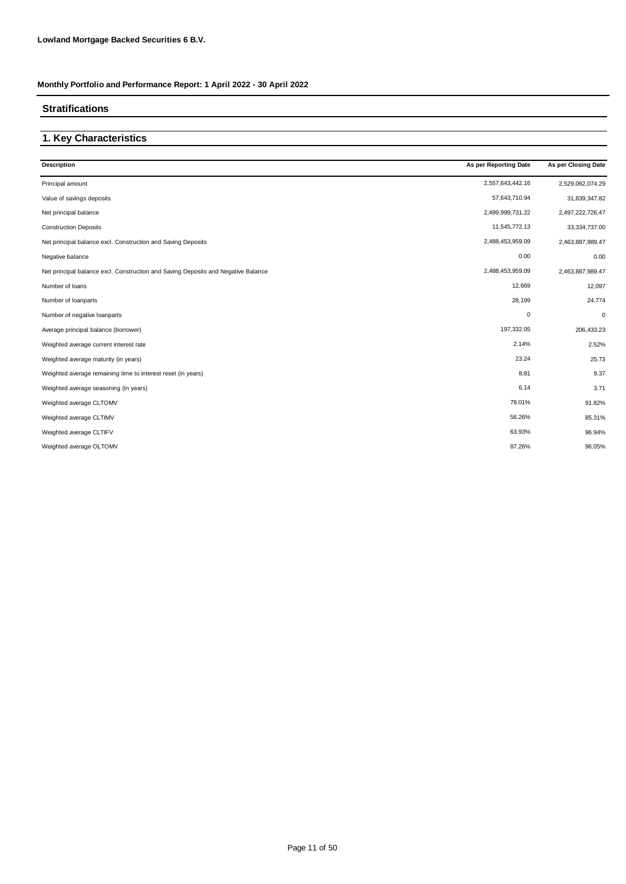#### **Stratifications**

# **1. Key Characteristics**

| <b>Description</b>                                                                | As per Reporting Date | As per Closing Date |
|-----------------------------------------------------------------------------------|-----------------------|---------------------|
| Principal amount                                                                  | 2,557,643,442.16      | 2,529,062,074.29    |
| Value of savings deposits                                                         | 57,643,710.94         | 31,839,347.82       |
| Net principal balance                                                             | 2,499,999,731.22      | 2,497,222,726.47    |
| <b>Construction Deposits</b>                                                      | 11,545,772.13         | 33,334,737.00       |
| Net principal balance excl. Construction and Saving Deposits                      | 2,488,453,959.09      | 2,463,887,989.47    |
| Negative balance                                                                  | 0.00                  | 0.00                |
| Net principal balance excl. Construction and Saving Deposits and Negative Balance | 2,488,453,959.09      | 2,463,887,989.47    |
| Number of loans                                                                   | 12,669                | 12,097              |
| Number of loanparts                                                               | 28,199                | 24,774              |
| Number of negative loanparts                                                      | 0                     | 0                   |
| Average principal balance (borrower)                                              | 197,332.05            | 206,433.23          |
| Weighted average current interest rate                                            | 2.14%                 | 2.52%               |
| Weighted average maturity (in years)                                              | 23.24                 | 25.73               |
| Weighted average remaining time to interest reset (in years)                      | 8.81                  | 9.37                |
| Weighted average seasoning (in years)                                             | 6.14                  | 3.71                |
| Weighted average CLTOMV                                                           | 78.01%                | 91.82%              |
| Weighted average CLTIMV                                                           | 56.26%                | 85.31%              |
| Weighted average CLTIFV                                                           | 63.93%                | 96.94%              |
| Weighted average OLTOMV                                                           | 87.26%                | 96.05%              |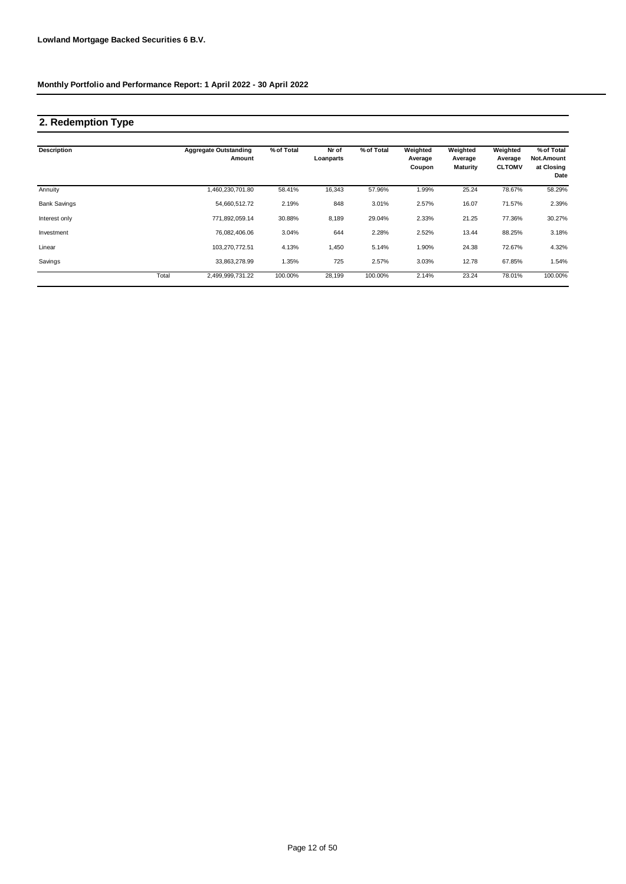## **2. Redemption Type**

| <b>Description</b>  |       | <b>Aggregate Outstanding</b><br>Amount | % of Total | Nr of<br>Loanparts | % of Total | Weighted<br>Average<br>Coupon | Weighted<br>Average<br><b>Maturity</b> | Weighted<br>Average<br><b>CLTOMV</b> | % of Total<br>Not.Amount<br>at Closing<br>Date |
|---------------------|-------|----------------------------------------|------------|--------------------|------------|-------------------------------|----------------------------------------|--------------------------------------|------------------------------------------------|
| Annuity             |       | ,460,230,701.80                        | 58.41%     | 16,343             | 57.96%     | 1.99%                         | 25.24                                  | 78.67%                               | 58.29%                                         |
| <b>Bank Savings</b> |       | 54,660,512.72                          | 2.19%      | 848                | 3.01%      | 2.57%                         | 16.07                                  | 71.57%                               | 2.39%                                          |
| Interest only       |       | 771.892.059.14                         | 30.88%     | 8,189              | 29.04%     | 2.33%                         | 21.25                                  | 77.36%                               | 30.27%                                         |
| Investment          |       | 76.082.406.06                          | 3.04%      | 644                | 2.28%      | 2.52%                         | 13.44                                  | 88.25%                               | 3.18%                                          |
| Linear              |       | 103,270,772.51                         | 4.13%      | 1,450              | 5.14%      | 1.90%                         | 24.38                                  | 72.67%                               | 4.32%                                          |
| Savings             |       | 33,863,278.99                          | 1.35%      | 725                | 2.57%      | 3.03%                         | 12.78                                  | 67.85%                               | 1.54%                                          |
|                     | Total | 2.499.999.731.22                       | 100.00%    | 28.199             | 100.00%    | 2.14%                         | 23.24                                  | 78.01%                               | 100.00%                                        |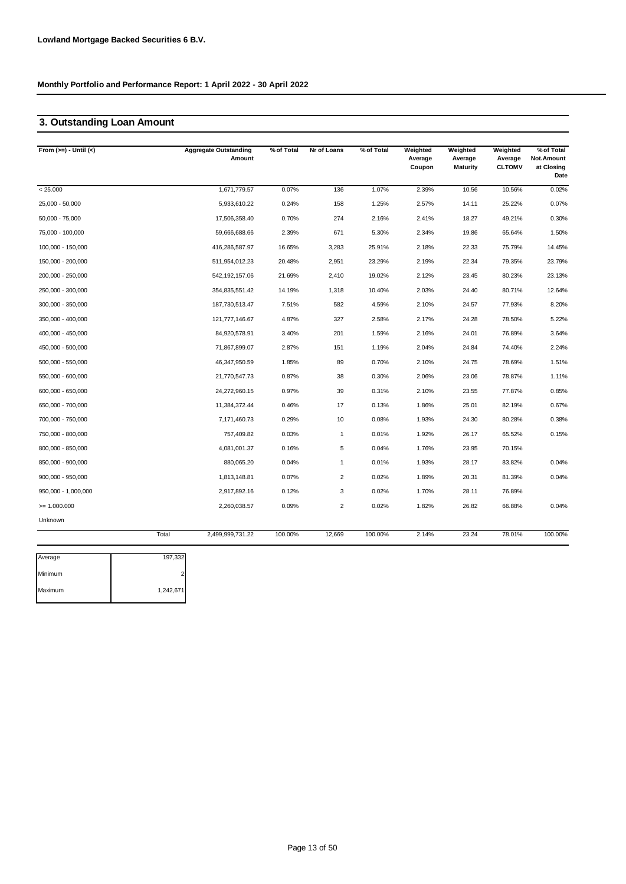## **3. Outstanding Loan Amount**

| From $(>=) -$ Until $(<)$ |       | <b>Aggregate Outstanding</b><br>Amount | % of Total | Nr of Loans    | % of Total | Weighted<br>Average<br>Coupon | Weighted<br>Average<br><b>Maturity</b> | Weighted<br>Average<br><b>CLTOMV</b> | % of Total<br>Not.Amount<br>at Closing<br>Date |
|---------------------------|-------|----------------------------------------|------------|----------------|------------|-------------------------------|----------------------------------------|--------------------------------------|------------------------------------------------|
| < 25.000                  |       | 1,671,779.57                           | 0.07%      | 136            | 1.07%      | 2.39%                         | 10.56                                  | 10.56%                               | 0.02%                                          |
| 25,000 - 50,000           |       | 5,933,610.22                           | 0.24%      | 158            | 1.25%      | 2.57%                         | 14.11                                  | 25.22%                               | 0.07%                                          |
| $50,000 - 75,000$         |       | 17,506,358.40                          | 0.70%      | 274            | 2.16%      | 2.41%                         | 18.27                                  | 49.21%                               | 0.30%                                          |
| 75,000 - 100,000          |       | 59,666,688.66                          | 2.39%      | 671            | 5.30%      | 2.34%                         | 19.86                                  | 65.64%                               | 1.50%                                          |
| 100,000 - 150,000         |       | 416,286,587.97                         | 16.65%     | 3,283          | 25.91%     | 2.18%                         | 22.33                                  | 75.79%                               | 14.45%                                         |
| 150,000 - 200,000         |       | 511,954,012.23                         | 20.48%     | 2,951          | 23.29%     | 2.19%                         | 22.34                                  | 79.35%                               | 23.79%                                         |
| 200,000 - 250,000         |       | 542, 192, 157.06                       | 21.69%     | 2,410          | 19.02%     | 2.12%                         | 23.45                                  | 80.23%                               | 23.13%                                         |
| 250,000 - 300,000         |       | 354,835,551.42                         | 14.19%     | 1,318          | 10.40%     | 2.03%                         | 24.40                                  | 80.71%                               | 12.64%                                         |
| 300,000 - 350,000         |       | 187,730,513.47                         | 7.51%      | 582            | 4.59%      | 2.10%                         | 24.57                                  | 77.93%                               | 8.20%                                          |
| 350,000 - 400,000         |       | 121,777,146.67                         | 4.87%      | 327            | 2.58%      | 2.17%                         | 24.28                                  | 78.50%                               | 5.22%                                          |
| 400,000 - 450,000         |       | 84,920,578.91                          | 3.40%      | 201            | 1.59%      | 2.16%                         | 24.01                                  | 76.89%                               | 3.64%                                          |
| 450,000 - 500,000         |       | 71,867,899.07                          | 2.87%      | 151            | 1.19%      | 2.04%                         | 24.84                                  | 74.40%                               | 2.24%                                          |
| 500,000 - 550,000         |       | 46,347,950.59                          | 1.85%      | 89             | 0.70%      | 2.10%                         | 24.75                                  | 78.69%                               | 1.51%                                          |
| 550,000 - 600,000         |       | 21,770,547.73                          | 0.87%      | 38             | 0.30%      | 2.06%                         | 23.06                                  | 78.87%                               | 1.11%                                          |
| 600,000 - 650,000         |       | 24,272,960.15                          | 0.97%      | 39             | 0.31%      | 2.10%                         | 23.55                                  | 77.87%                               | 0.85%                                          |
| 650,000 - 700,000         |       | 11,384,372.44                          | 0.46%      | 17             | 0.13%      | 1.86%                         | 25.01                                  | 82.19%                               | 0.67%                                          |
| 700,000 - 750,000         |       | 7,171,460.73                           | 0.29%      | 10             | 0.08%      | 1.93%                         | 24.30                                  | 80.28%                               | 0.38%                                          |
| 750,000 - 800,000         |       | 757,409.82                             | 0.03%      | $\mathbf{1}$   | 0.01%      | 1.92%                         | 26.17                                  | 65.52%                               | 0.15%                                          |
| 800,000 - 850,000         |       | 4,081,001.37                           | 0.16%      | 5              | 0.04%      | 1.76%                         | 23.95                                  | 70.15%                               |                                                |
| 850,000 - 900,000         |       | 880,065.20                             | 0.04%      | $\mathbf{1}$   | 0.01%      | 1.93%                         | 28.17                                  | 83.82%                               | 0.04%                                          |
| 900,000 - 950,000         |       | 1,813,148.81                           | 0.07%      | $\overline{2}$ | 0.02%      | 1.89%                         | 20.31                                  | 81.39%                               | 0.04%                                          |
| 950,000 - 1,000,000       |       | 2,917,892.16                           | 0.12%      | 3              | 0.02%      | 1.70%                         | 28.11                                  | 76.89%                               |                                                |
| $= 1.000.000$             |       | 2,260,038.57                           | 0.09%      | $\overline{2}$ | 0.02%      | 1.82%                         | 26.82                                  | 66.88%                               | 0.04%                                          |
| Unknown                   |       |                                        |            |                |            |                               |                                        |                                      |                                                |
|                           | Total | 2,499,999,731.22                       | 100.00%    | 12,669         | 100.00%    | 2.14%                         | 23.24                                  | 78.01%                               | 100.00%                                        |

| Average | 197,332   |
|---------|-----------|
| Minimum |           |
| Maximum | 1,242,671 |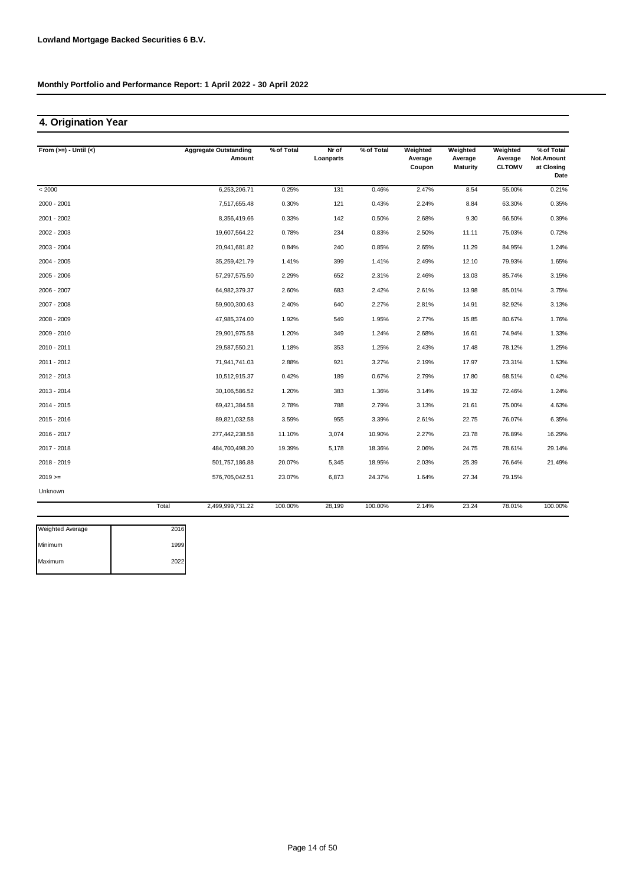## **4. Origination Year**

| From $(>=) -$ Until $(<)$ |       | <b>Aggregate Outstanding</b> | % of Total | Nr of     | % of Total | Weighted          | Weighted                   | Weighted                 | % of Total                       |
|---------------------------|-------|------------------------------|------------|-----------|------------|-------------------|----------------------------|--------------------------|----------------------------------|
|                           |       | Amount                       |            | Loanparts |            | Average<br>Coupon | Average<br><b>Maturity</b> | Average<br><b>CLTOMV</b> | Not.Amount<br>at Closing<br>Date |
| < 2000                    |       | 6,253,206.71                 | 0.25%      | 131       | 0.46%      | 2.47%             | 8.54                       | 55.00%                   | 0.21%                            |
| 2000 - 2001               |       | 7,517,655.48                 | 0.30%      | 121       | 0.43%      | 2.24%             | 8.84                       | 63.30%                   | 0.35%                            |
| 2001 - 2002               |       | 8,356,419.66                 | 0.33%      | 142       | 0.50%      | 2.68%             | 9.30                       | 66.50%                   | 0.39%                            |
| 2002 - 2003               |       | 19,607,564.22                | 0.78%      | 234       | 0.83%      | 2.50%             | 11.11                      | 75.03%                   | 0.72%                            |
| 2003 - 2004               |       | 20,941,681.82                | 0.84%      | 240       | 0.85%      | 2.65%             | 11.29                      | 84.95%                   | 1.24%                            |
| 2004 - 2005               |       | 35,259,421.79                | 1.41%      | 399       | 1.41%      | 2.49%             | 12.10                      | 79.93%                   | 1.65%                            |
| 2005 - 2006               |       | 57,297,575.50                | 2.29%      | 652       | 2.31%      | 2.46%             | 13.03                      | 85.74%                   | 3.15%                            |
| 2006 - 2007               |       | 64,982,379.37                | 2.60%      | 683       | 2.42%      | 2.61%             | 13.98                      | 85.01%                   | 3.75%                            |
| 2007 - 2008               |       | 59,900,300.63                | 2.40%      | 640       | 2.27%      | 2.81%             | 14.91                      | 82.92%                   | 3.13%                            |
| 2008 - 2009               |       | 47,985,374.00                | 1.92%      | 549       | 1.95%      | 2.77%             | 15.85                      | 80.67%                   | 1.76%                            |
| 2009 - 2010               |       | 29,901,975.58                | 1.20%      | 349       | 1.24%      | 2.68%             | 16.61                      | 74.94%                   | 1.33%                            |
| 2010 - 2011               |       | 29,587,550.21                | 1.18%      | 353       | 1.25%      | 2.43%             | 17.48                      | 78.12%                   | 1.25%                            |
| 2011 - 2012               |       | 71,941,741.03                | 2.88%      | 921       | 3.27%      | 2.19%             | 17.97                      | 73.31%                   | 1.53%                            |
| 2012 - 2013               |       | 10,512,915.37                | 0.42%      | 189       | 0.67%      | 2.79%             | 17.80                      | 68.51%                   | 0.42%                            |
| 2013 - 2014               |       | 30,106,586.52                | 1.20%      | 383       | 1.36%      | 3.14%             | 19.32                      | 72.46%                   | 1.24%                            |
| 2014 - 2015               |       | 69,421,384.58                | 2.78%      | 788       | 2.79%      | 3.13%             | 21.61                      | 75.00%                   | 4.63%                            |
| 2015 - 2016               |       | 89,821,032.58                | 3.59%      | 955       | 3.39%      | 2.61%             | 22.75                      | 76.07%                   | 6.35%                            |
| 2016 - 2017               |       | 277,442,238.58               | 11.10%     | 3,074     | 10.90%     | 2.27%             | 23.78                      | 76.89%                   | 16.29%                           |
| 2017 - 2018               |       | 484,700,498.20               | 19.39%     | 5,178     | 18.36%     | 2.06%             | 24.75                      | 78.61%                   | 29.14%                           |
| 2018 - 2019               |       | 501,757,186.88               | 20.07%     | 5,345     | 18.95%     | 2.03%             | 25.39                      | 76.64%                   | 21.49%                           |
| $2019 ==$                 |       | 576,705,042.51               | 23.07%     | 6,873     | 24.37%     | 1.64%             | 27.34                      | 79.15%                   |                                  |
| Unknown                   |       |                              |            |           |            |                   |                            |                          |                                  |
|                           | Total | 2,499,999,731.22             | 100.00%    | 28,199    | 100.00%    | 2.14%             | 23.24                      | 78.01%                   | 100.00%                          |

| <b>Weighted Average</b> | 2016 |
|-------------------------|------|
| Minimum                 | 1999 |
| Maximum                 | 2022 |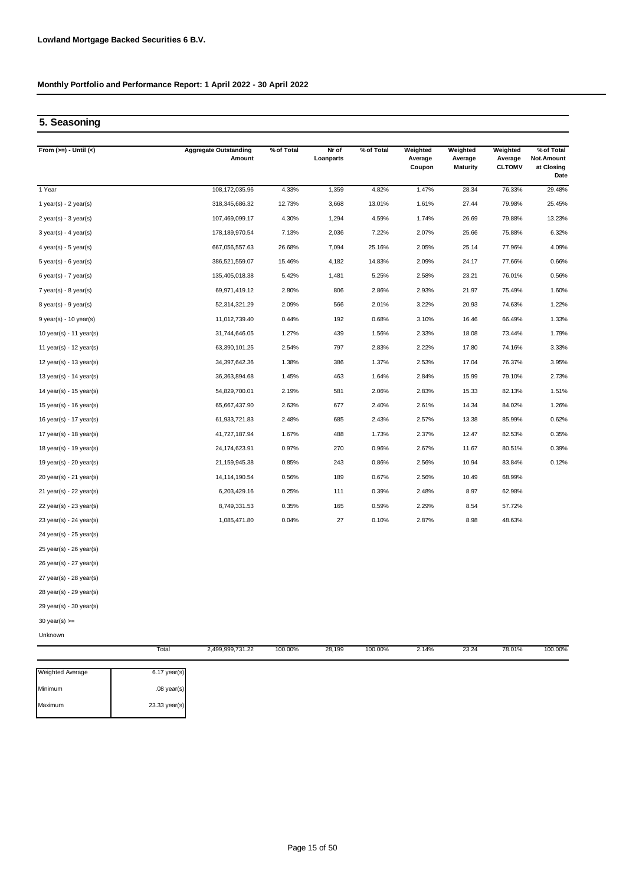## **5. Seasoning**

| From $(>=) -$ Until $(<)$   | <b>Aggregate Outstanding</b><br>Amount | % of Total | Nr of<br>Loanparts | % of Total | Weighted<br>Average<br>Coupon | Weighted<br>Average<br><b>Maturity</b> | Weighted<br>Average<br><b>CLTOMV</b> | % of Total<br>Not.Amount<br>at Closing<br>Date |
|-----------------------------|----------------------------------------|------------|--------------------|------------|-------------------------------|----------------------------------------|--------------------------------------|------------------------------------------------|
| 1 Year                      | 108,172,035.96                         | 4.33%      | 1,359              | 4.82%      | 1.47%                         | 28.34                                  | 76.33%                               | 29.48%                                         |
| 1 year(s) - $2$ year(s)     | 318,345,686.32                         | 12.73%     | 3,668              | 13.01%     | 1.61%                         | 27.44                                  | 79.98%                               | 25.45%                                         |
| $2$ year(s) - $3$ year(s)   | 107,469,099.17                         | 4.30%      | 1,294              | 4.59%      | 1.74%                         | 26.69                                  | 79.88%                               | 13.23%                                         |
| $3$ year(s) - 4 year(s)     | 178,189,970.54                         | 7.13%      | 2,036              | 7.22%      | 2.07%                         | 25.66                                  | 75.88%                               | 6.32%                                          |
| 4 year(s) - $5$ year(s)     | 667,056,557.63                         | 26.68%     | 7,094              | 25.16%     | 2.05%                         | 25.14                                  | 77.96%                               | 4.09%                                          |
| $5$ year(s) - 6 year(s)     | 386,521,559.07                         | 15.46%     | 4,182              | 14.83%     | 2.09%                         | 24.17                                  | 77.66%                               | 0.66%                                          |
| 6 year(s) - $7$ year(s)     | 135,405,018.38                         | 5.42%      | 1,481              | 5.25%      | 2.58%                         | 23.21                                  | 76.01%                               | 0.56%                                          |
| $7$ year(s) - 8 year(s)     | 69,971,419.12                          | 2.80%      | 806                | 2.86%      | 2.93%                         | 21.97                                  | 75.49%                               | 1.60%                                          |
| $8$ year(s) - $9$ year(s)   | 52,314,321.29                          | 2.09%      | 566                | 2.01%      | 3.22%                         | 20.93                                  | 74.63%                               | 1.22%                                          |
| $9$ year(s) - 10 year(s)    | 11,012,739.40                          | 0.44%      | 192                | 0.68%      | 3.10%                         | 16.46                                  | 66.49%                               | 1.33%                                          |
| 10 year(s) - 11 year(s)     | 31,744,646.05                          | 1.27%      | 439                | 1.56%      | 2.33%                         | 18.08                                  | 73.44%                               | 1.79%                                          |
| 11 year(s) - $12$ year(s)   | 63,390,101.25                          | 2.54%      | 797                | 2.83%      | 2.22%                         | 17.80                                  | 74.16%                               | 3.33%                                          |
| 12 year(s) - 13 year(s)     | 34,397,642.36                          | 1.38%      | 386                | 1.37%      | 2.53%                         | 17.04                                  | 76.37%                               | 3.95%                                          |
| 13 year(s) - $14$ year(s)   | 36, 363, 894. 68                       | 1.45%      | 463                | 1.64%      | 2.84%                         | 15.99                                  | 79.10%                               | 2.73%                                          |
| 14 year(s) - 15 year(s)     | 54,829,700.01                          | 2.19%      | 581                | 2.06%      | 2.83%                         | 15.33                                  | 82.13%                               | 1.51%                                          |
| 15 year(s) - 16 year(s)     | 65,667,437.90                          | 2.63%      | 677                | 2.40%      | 2.61%                         | 14.34                                  | 84.02%                               | 1.26%                                          |
| 16 year(s) - 17 year(s)     | 61,933,721.83                          | 2.48%      | 685                | 2.43%      | 2.57%                         | 13.38                                  | 85.99%                               | 0.62%                                          |
| 17 year(s) - 18 year(s)     | 41,727,187.94                          | 1.67%      | 488                | 1.73%      | 2.37%                         | 12.47                                  | 82.53%                               | 0.35%                                          |
| 18 year(s) - 19 year(s)     | 24,174,623.91                          | 0.97%      | 270                | 0.96%      | 2.67%                         | 11.67                                  | 80.51%                               | 0.39%                                          |
| 19 year(s) - $20$ year(s)   | 21,159,945.38                          | 0.85%      | 243                | 0.86%      | 2.56%                         | 10.94                                  | 83.84%                               | 0.12%                                          |
| 20 year(s) - 21 year(s)     | 14,114,190.54                          | 0.56%      | 189                | 0.67%      | 2.56%                         | 10.49                                  | 68.99%                               |                                                |
| $21$ year(s) - $22$ year(s) | 6,203,429.16                           | 0.25%      | 111                | 0.39%      | 2.48%                         | 8.97                                   | 62.98%                               |                                                |
| 22 year(s) - 23 year(s)     | 8,749,331.53                           | 0.35%      | 165                | 0.59%      | 2.29%                         | 8.54                                   | 57.72%                               |                                                |
| 23 year(s) - 24 year(s)     | 1,085,471.80                           | 0.04%      | 27                 | 0.10%      | 2.87%                         | 8.98                                   | 48.63%                               |                                                |
| 24 year(s) - 25 year(s)     |                                        |            |                    |            |                               |                                        |                                      |                                                |
| 25 year(s) - 26 year(s)     |                                        |            |                    |            |                               |                                        |                                      |                                                |
| 26 year(s) - 27 year(s)     |                                        |            |                    |            |                               |                                        |                                      |                                                |
| $27$ year(s) - $28$ year(s) |                                        |            |                    |            |                               |                                        |                                      |                                                |
| 28 year(s) - 29 year(s)     |                                        |            |                    |            |                               |                                        |                                      |                                                |
| 29 year(s) - 30 year(s)     |                                        |            |                    |            |                               |                                        |                                      |                                                |
| 30 year(s) $>=$             |                                        |            |                    |            |                               |                                        |                                      |                                                |
| Unknown                     |                                        |            |                    |            |                               |                                        |                                      |                                                |
|                             | Total<br>2,499,999,731.22              | 100.00%    | 28,199             | 100.00%    | 2.14%                         | 23.24                                  | 78.01%                               | 100.00%                                        |

| <b>Weighted Average</b> | $6.17$ year(s)  |
|-------------------------|-----------------|
| Minimum                 | $.08$ year(s)   |
| Maximum                 | $23.33$ year(s) |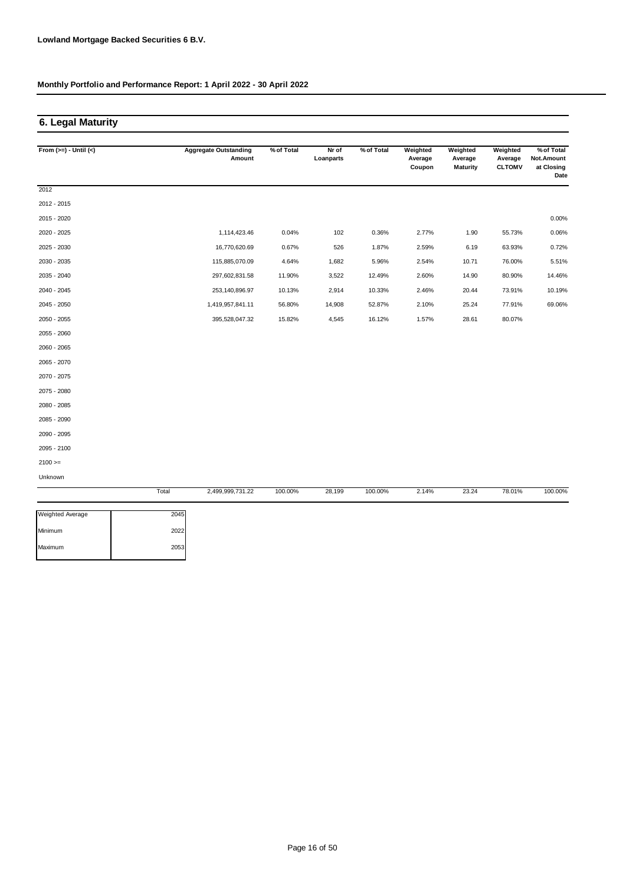## **6. Legal Maturity**

| From $(>=) -$ Until $(<)$ |       | <b>Aggregate Outstanding</b><br>Amount | % of Total | Nr of<br>Loanparts | % of Total | Weighted<br>Average<br>Coupon | Weighted<br>Average<br><b>Maturity</b> | Weighted<br>Average<br><b>CLTOMV</b> | % of Total<br>Not.Amount<br>at Closing<br>Date |
|---------------------------|-------|----------------------------------------|------------|--------------------|------------|-------------------------------|----------------------------------------|--------------------------------------|------------------------------------------------|
| 2012                      |       |                                        |            |                    |            |                               |                                        |                                      |                                                |
| 2012 - 2015               |       |                                        |            |                    |            |                               |                                        |                                      |                                                |
| 2015 - 2020               |       |                                        |            |                    |            |                               |                                        |                                      | $0.00\%$                                       |
| 2020 - 2025               |       | 1,114,423.46                           | 0.04%      | 102                | 0.36%      | 2.77%                         | 1.90                                   | 55.73%                               | 0.06%                                          |
| 2025 - 2030               |       | 16,770,620.69                          | 0.67%      | 526                | 1.87%      | 2.59%                         | 6.19                                   | 63.93%                               | 0.72%                                          |
| 2030 - 2035               |       | 115,885,070.09                         | 4.64%      | 1,682              | 5.96%      | 2.54%                         | 10.71                                  | 76.00%                               | 5.51%                                          |
| 2035 - 2040               |       | 297,602,831.58                         | 11.90%     | 3,522              | 12.49%     | 2.60%                         | 14.90                                  | 80.90%                               | 14.46%                                         |
| 2040 - 2045               |       | 253,140,896.97                         | 10.13%     | 2,914              | 10.33%     | 2.46%                         | 20.44                                  | 73.91%                               | 10.19%                                         |
| 2045 - 2050               |       | 1,419,957,841.11                       | 56.80%     | 14,908             | 52.87%     | 2.10%                         | 25.24                                  | 77.91%                               | 69.06%                                         |
| 2050 - 2055               |       | 395,528,047.32                         | 15.82%     | 4,545              | 16.12%     | 1.57%                         | 28.61                                  | 80.07%                               |                                                |
| 2055 - 2060               |       |                                        |            |                    |            |                               |                                        |                                      |                                                |
| 2060 - 2065               |       |                                        |            |                    |            |                               |                                        |                                      |                                                |
| 2065 - 2070               |       |                                        |            |                    |            |                               |                                        |                                      |                                                |
| 2070 - 2075               |       |                                        |            |                    |            |                               |                                        |                                      |                                                |
| 2075 - 2080               |       |                                        |            |                    |            |                               |                                        |                                      |                                                |
| 2080 - 2085               |       |                                        |            |                    |            |                               |                                        |                                      |                                                |
| 2085 - 2090               |       |                                        |            |                    |            |                               |                                        |                                      |                                                |
| 2090 - 2095               |       |                                        |            |                    |            |                               |                                        |                                      |                                                |
| 2095 - 2100               |       |                                        |            |                    |            |                               |                                        |                                      |                                                |
| $2100 >=$                 |       |                                        |            |                    |            |                               |                                        |                                      |                                                |
| Unknown                   |       |                                        |            |                    |            |                               |                                        |                                      |                                                |
|                           | Total | 2,499,999,731.22                       | 100.00%    | 28,199             | 100.00%    | 2.14%                         | 23.24                                  | 78.01%                               | 100.00%                                        |

| 2045 |
|------|
| 2022 |
| 2053 |
|      |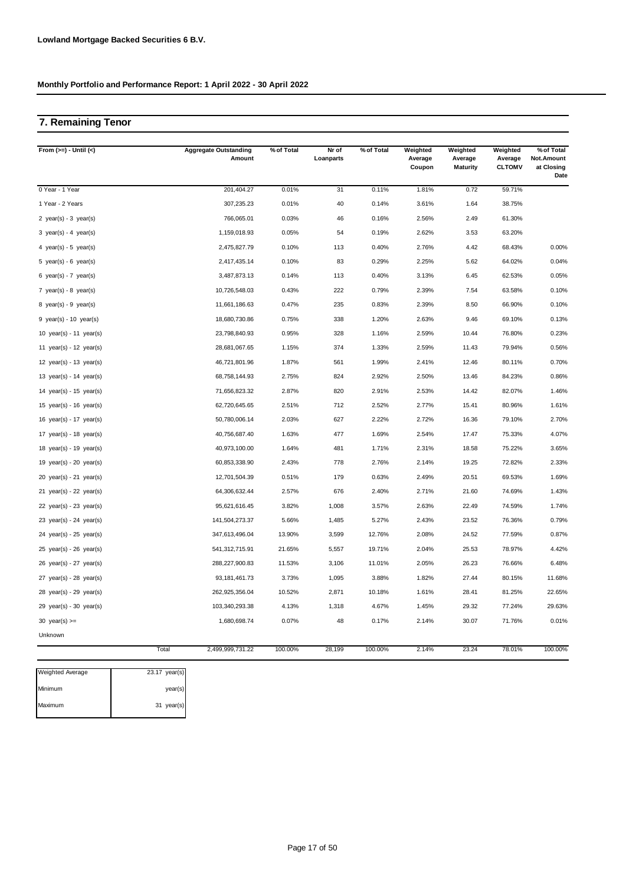## **7. Remaining Tenor**

| From $(>=) -$ Until $(<)$   | <b>Aggregate Outstanding</b><br>Amount | % of Total | Nr of<br>Loanparts | % of Total | Weighted<br>Average<br>Coupon | Weighted<br>Average<br><b>Maturity</b> | Weighted<br>Average<br><b>CLTOMV</b> | % of Total<br>Not.Amount<br>at Closing<br>Date |
|-----------------------------|----------------------------------------|------------|--------------------|------------|-------------------------------|----------------------------------------|--------------------------------------|------------------------------------------------|
| 0 Year - 1 Year             | 201,404.27                             | 0.01%      | 31                 | 0.11%      | 1.81%                         | 0.72                                   | 59.71%                               |                                                |
| 1 Year - 2 Years            | 307,235.23                             | 0.01%      | 40                 | 0.14%      | 3.61%                         | 1.64                                   | 38.75%                               |                                                |
| 2 year(s) - $3$ year(s)     | 766,065.01                             | 0.03%      | 46                 | 0.16%      | 2.56%                         | 2.49                                   | 61.30%                               |                                                |
| 3 year(s) - 4 year(s)       | 1,159,018.93                           | 0.05%      | 54                 | 0.19%      | 2.62%                         | 3.53                                   | 63.20%                               |                                                |
| 4 year(s) - 5 year(s)       | 2,475,827.79                           | 0.10%      | 113                | 0.40%      | 2.76%                         | 4.42                                   | 68.43%                               | 0.00%                                          |
| 5 year(s) - 6 year(s)       | 2,417,435.14                           | 0.10%      | 83                 | 0.29%      | 2.25%                         | 5.62                                   | 64.02%                               | 0.04%                                          |
| 6 $year(s) - 7 year(s)$     | 3,487,873.13                           | 0.14%      | 113                | 0.40%      | 3.13%                         | 6.45                                   | 62.53%                               | 0.05%                                          |
| 7 year(s) - 8 year(s)       | 10,726,548.03                          | 0.43%      | 222                | 0.79%      | 2.39%                         | 7.54                                   | 63.58%                               | 0.10%                                          |
| 8 year(s) - 9 year(s)       | 11,661,186.63                          | 0.47%      | 235                | 0.83%      | 2.39%                         | 8.50                                   | 66.90%                               | 0.10%                                          |
| $9$ year(s) - 10 year(s)    | 18,680,730.86                          | 0.75%      | 338                | 1.20%      | 2.63%                         | 9.46                                   | 69.10%                               | 0.13%                                          |
| 10 $year(s) - 11$ $year(s)$ | 23,798,840.93                          | 0.95%      | 328                | 1.16%      | 2.59%                         | 10.44                                  | 76.80%                               | 0.23%                                          |
| 11 year(s) - 12 year(s)     | 28,681,067.65                          | 1.15%      | 374                | 1.33%      | 2.59%                         | 11.43                                  | 79.94%                               | 0.56%                                          |
| 12 $year(s) - 13 year(s)$   | 46,721,801.96                          | 1.87%      | 561                | 1.99%      | 2.41%                         | 12.46                                  | 80.11%                               | 0.70%                                          |
| 13 $year(s) - 14$ $year(s)$ | 68,758,144.93                          | 2.75%      | 824                | 2.92%      | 2.50%                         | 13.46                                  | 84.23%                               | 0.86%                                          |
| 14 year(s) - 15 year(s)     | 71,656,823.32                          | 2.87%      | 820                | 2.91%      | 2.53%                         | 14.42                                  | 82.07%                               | 1.46%                                          |
| 15 year(s) - 16 year(s)     | 62,720,645.65                          | 2.51%      | 712                | 2.52%      | 2.77%                         | 15.41                                  | 80.96%                               | 1.61%                                          |
| 16 $year(s) - 17$ $year(s)$ | 50,780,006.14                          | 2.03%      | 627                | 2.22%      | 2.72%                         | 16.36                                  | 79.10%                               | 2.70%                                          |
| 17 year(s) - 18 year(s)     | 40,756,687.40                          | 1.63%      | 477                | 1.69%      | 2.54%                         | 17.47                                  | 75.33%                               | 4.07%                                          |
| 18 $year(s) - 19$ $year(s)$ | 40,973,100.00                          | 1.64%      | 481                | 1.71%      | 2.31%                         | 18.58                                  | 75.22%                               | 3.65%                                          |
| 19 year(s) - 20 year(s)     | 60,853,338.90                          | 2.43%      | 778                | 2.76%      | 2.14%                         | 19.25                                  | 72.82%                               | 2.33%                                          |
| $20$ year(s) - $21$ year(s) | 12,701,504.39                          | 0.51%      | 179                | 0.63%      | 2.49%                         | 20.51                                  | 69.53%                               | 1.69%                                          |
| $21$ year(s) - 22 year(s)   | 64,306,632.44                          | 2.57%      | 676                | 2.40%      | 2.71%                         | 21.60                                  | 74.69%                               | 1.43%                                          |
| $22$ year(s) - $23$ year(s) | 95,621,616.45                          | 3.82%      | 1,008              | 3.57%      | 2.63%                         | 22.49                                  | 74.59%                               | 1.74%                                          |
| 23 year(s) - 24 year(s)     | 141,504,273.37                         | 5.66%      | 1,485              | 5.27%      | 2.43%                         | 23.52                                  | 76.36%                               | 0.79%                                          |
| 24 year(s) - $25$ year(s)   | 347,613,496.04                         | 13.90%     | 3,599              | 12.76%     | 2.08%                         | 24.52                                  | 77.59%                               | 0.87%                                          |
| $25$ year(s) - $26$ year(s) | 541,312,715.91                         | 21.65%     | 5,557              | 19.71%     | 2.04%                         | 25.53                                  | 78.97%                               | 4.42%                                          |
| 26 year(s) - 27 year(s)     | 288,227,900.83                         | 11.53%     | 3,106              | 11.01%     | 2.05%                         | 26.23                                  | 76.66%                               | 6.48%                                          |
| 27 $year(s) - 28$ $year(s)$ | 93, 181, 461. 73                       | 3.73%      | 1,095              | 3.88%      | 1.82%                         | 27.44                                  | 80.15%                               | 11.68%                                         |
| 28 year(s) - 29 year(s)     | 262,925,356.04                         | 10.52%     | 2,871              | 10.18%     | 1.61%                         | 28.41                                  | 81.25%                               | 22.65%                                         |
| $29$ year(s) - 30 year(s)   | 103,340,293.38                         | 4.13%      | 1,318              | 4.67%      | 1.45%                         | 29.32                                  | 77.24%                               | 29.63%                                         |
| 30 year(s) $>=$             | 1,680,698.74                           | 0.07%      | 48                 | 0.17%      | 2.14%                         | 30.07                                  | 71.76%                               | 0.01%                                          |
| Unknown                     |                                        |            |                    |            |                               |                                        |                                      |                                                |
|                             | Total<br>2,499,999,731.22              | 100.00%    | 28,199             | 100.00%    | 2.14%                         | 23.24                                  | 78.01%                               | 100.00%                                        |

| <b>Weighted Average</b> | 23.17 year(s) |
|-------------------------|---------------|
| Minimum                 | year(s)       |
| Maximum                 | 31 year(s)    |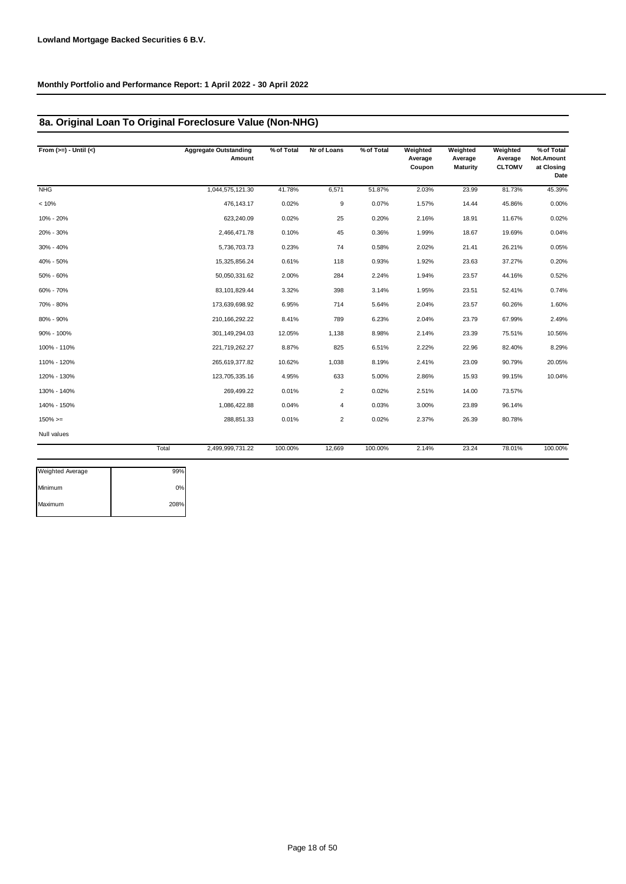## **8a. Original Loan To Original Foreclosure Value (Non-NHG)**

| From $(>=) -$ Until $(<)$ |       | <b>Aggregate Outstanding</b><br>Amount | % of Total | Nr of Loans    | % of Total | Weighted<br>Average<br>Coupon | Weighted<br>Average<br><b>Maturity</b> | Weighted<br>Average<br><b>CLTOMV</b> | % of Total<br>Not.Amount<br>at Closing<br>Date |
|---------------------------|-------|----------------------------------------|------------|----------------|------------|-------------------------------|----------------------------------------|--------------------------------------|------------------------------------------------|
| NHG                       |       | 1,044,575,121.30                       | 41.78%     | 6,571          | 51.87%     | 2.03%                         | 23.99                                  | 81.73%                               | 45.39%                                         |
| < 10%                     |       | 476, 143. 17                           | 0.02%      | 9              | 0.07%      | 1.57%                         | 14.44                                  | 45.86%                               | 0.00%                                          |
| 10% - 20%                 |       | 623,240.09                             | 0.02%      | 25             | 0.20%      | 2.16%                         | 18.91                                  | 11.67%                               | 0.02%                                          |
| 20% - 30%                 |       | 2,466,471.78                           | 0.10%      | 45             | 0.36%      | 1.99%                         | 18.67                                  | 19.69%                               | 0.04%                                          |
| 30% - 40%                 |       | 5,736,703.73                           | 0.23%      | 74             | 0.58%      | 2.02%                         | 21.41                                  | 26.21%                               | 0.05%                                          |
| 40% - 50%                 |       | 15,325,856.24                          | 0.61%      | 118            | 0.93%      | 1.92%                         | 23.63                                  | 37.27%                               | 0.20%                                          |
| 50% - 60%                 |       | 50,050,331.62                          | 2.00%      | 284            | 2.24%      | 1.94%                         | 23.57                                  | 44.16%                               | 0.52%                                          |
| 60% - 70%                 |       | 83,101,829.44                          | 3.32%      | 398            | 3.14%      | 1.95%                         | 23.51                                  | 52.41%                               | 0.74%                                          |
| 70% - 80%                 |       | 173,639,698.92                         | 6.95%      | 714            | 5.64%      | 2.04%                         | 23.57                                  | 60.26%                               | 1.60%                                          |
| 80% - 90%                 |       | 210, 166, 292. 22                      | 8.41%      | 789            | 6.23%      | 2.04%                         | 23.79                                  | 67.99%                               | 2.49%                                          |
| 90% - 100%                |       | 301,149,294.03                         | 12.05%     | 1,138          | 8.98%      | 2.14%                         | 23.39                                  | 75.51%                               | 10.56%                                         |
| 100% - 110%               |       | 221,719,262.27                         | 8.87%      | 825            | 6.51%      | 2.22%                         | 22.96                                  | 82.40%                               | 8.29%                                          |
| 110% - 120%               |       | 265,619,377.82                         | 10.62%     | 1,038          | 8.19%      | 2.41%                         | 23.09                                  | 90.79%                               | 20.05%                                         |
| 120% - 130%               |       | 123,705,335.16                         | 4.95%      | 633            | 5.00%      | 2.86%                         | 15.93                                  | 99.15%                               | 10.04%                                         |
| 130% - 140%               |       | 269,499.22                             | 0.01%      | $\overline{2}$ | 0.02%      | 2.51%                         | 14.00                                  | 73.57%                               |                                                |
| 140% - 150%               |       | 1,086,422.88                           | 0.04%      | 4              | 0.03%      | 3.00%                         | 23.89                                  | 96.14%                               |                                                |
| $150\%>=$                 |       | 288,851.33                             | 0.01%      | 2              | 0.02%      | 2.37%                         | 26.39                                  | 80.78%                               |                                                |
| Null values               |       |                                        |            |                |            |                               |                                        |                                      |                                                |
|                           | Total | 2,499,999,731.22                       | 100.00%    | 12,669         | 100.00%    | 2.14%                         | 23.24                                  | 78.01%                               | 100.00%                                        |

| <b>Weighted Average</b> | 99%  |
|-------------------------|------|
| Minimum                 | 0%   |
| Maximum                 | 208% |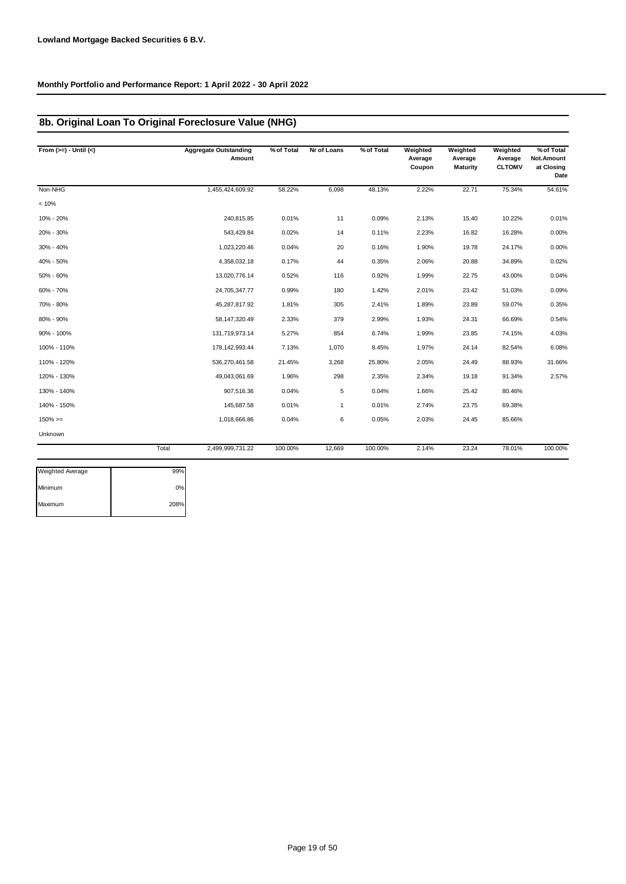## **8b. Original Loan To Original Foreclosure Value (NHG)**

| From $(>=) -$ Until $(<)$ |       | <b>Aggregate Outstanding</b><br>Amount | % of Total | Nr of Loans  | % of Total | Weighted<br>Average<br>Coupon | Weighted<br>Average<br><b>Maturity</b> | Weighted<br>Average<br><b>CLTOMV</b> | % of Total<br>Not.Amount<br>at Closing<br>Date |
|---------------------------|-------|----------------------------------------|------------|--------------|------------|-------------------------------|----------------------------------------|--------------------------------------|------------------------------------------------|
| Non-NHG                   |       | 1,455,424,609.92                       | 58.22%     | 6,098        | 48.13%     | 2.22%                         | 22.71                                  | 75.34%                               | 54.61%                                         |
| < 10%                     |       |                                        |            |              |            |                               |                                        |                                      |                                                |
| 10% - 20%                 |       | 240,815.85                             | 0.01%      | 11           | 0.09%      | 2.13%                         | 15.40                                  | 10.22%                               | 0.01%                                          |
| 20% - 30%                 |       | 543,429.84                             | 0.02%      | 14           | 0.11%      | 2.23%                         | 16.82                                  | 16.28%                               | 0.00%                                          |
| 30% - 40%                 |       | 1,023,220.46                           | 0.04%      | 20           | 0.16%      | 1.90%                         | 19.78                                  | 24.17%                               | 0.00%                                          |
| 40% - 50%                 |       | 4,358,032.18                           | 0.17%      | 44           | 0.35%      | 2.06%                         | 20.88                                  | 34.89%                               | 0.02%                                          |
| 50% - 60%                 |       | 13,020,776.14                          | 0.52%      | 116          | 0.92%      | 1.99%                         | 22.75                                  | 43.00%                               | 0.04%                                          |
| 60% - 70%                 |       | 24,705,347.77                          | 0.99%      | 180          | 1.42%      | 2.01%                         | 23.42                                  | 51.03%                               | 0.09%                                          |
| 70% - 80%                 |       | 45,287,817.92                          | 1.81%      | 305          | 2.41%      | 1.89%                         | 23.89                                  | 59.07%                               | 0.35%                                          |
| 80% - 90%                 |       | 58, 147, 320.49                        | 2.33%      | 379          | 2.99%      | 1.93%                         | 24.31                                  | 66.69%                               | 0.54%                                          |
| 90% - 100%                |       | 131,719,973.14                         | 5.27%      | 854          | 6.74%      | 1.99%                         | 23.85                                  | 74.15%                               | 4.03%                                          |
| 100% - 110%               |       | 178, 142, 993. 44                      | 7.13%      | 1,070        | 8.45%      | 1.97%                         | 24.14                                  | 82.54%                               | 6.08%                                          |
| 110% - 120%               |       | 536,270,461.58                         | 21.45%     | 3,268        | 25.80%     | 2.05%                         | 24.49                                  | 88.93%                               | 31.66%                                         |
| 120% - 130%               |       | 49,043,061.69                          | 1.96%      | 298          | 2.35%      | 2.34%                         | 19.18                                  | 91.34%                               | 2.57%                                          |
| 130% - 140%               |       | 907,516.36                             | 0.04%      | 5            | 0.04%      | 1.66%                         | 25.42                                  | 80.46%                               |                                                |
| 140% - 150%               |       | 145,687.58                             | 0.01%      | $\mathbf{1}$ | 0.01%      | 2.74%                         | 23.75                                  | 69.38%                               |                                                |
| $150\%>=$                 |       | 1,018,666.86                           | 0.04%      | 6            | 0.05%      | 2.03%                         | 24.45                                  | 85.66%                               |                                                |
| Unknown                   |       |                                        |            |              |            |                               |                                        |                                      |                                                |
|                           | Total | 2,499,999,731.22                       | 100.00%    | 12,669       | 100.00%    | 2.14%                         | 23.24                                  | 78.01%                               | 100.00%                                        |

| <b>Weighted Average</b> | 99%  |
|-------------------------|------|
| Minimum                 | 0%   |
| Maximum                 | 208% |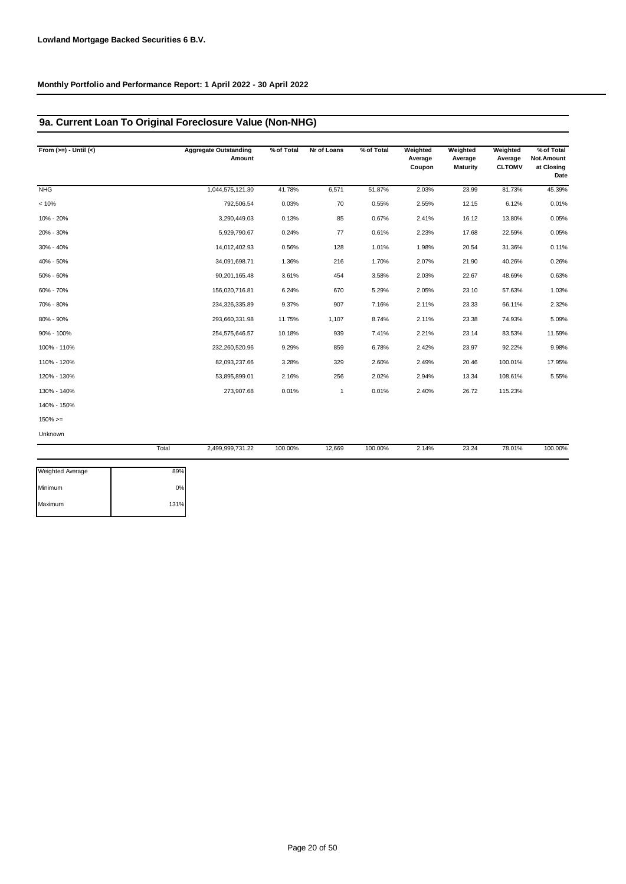## **9a. Current Loan To Original Foreclosure Value (Non-NHG)**

| From $(>=) -$ Until $(<)$ |       | <b>Aggregate Outstanding</b><br>Amount | % of Total | Nr of Loans  | % of Total | Weighted<br>Average<br>Coupon | Weighted<br>Average<br><b>Maturity</b> | Weighted<br>Average<br><b>CLTOMV</b> | % of Total<br>Not.Amount<br>at Closing<br>Date |
|---------------------------|-------|----------------------------------------|------------|--------------|------------|-------------------------------|----------------------------------------|--------------------------------------|------------------------------------------------|
| <b>NHG</b>                |       | 1,044,575,121.30                       | 41.78%     | 6,571        | 51.87%     | 2.03%                         | 23.99                                  | 81.73%                               | 45.39%                                         |
| < 10%                     |       | 792,506.54                             | 0.03%      | 70           | 0.55%      | 2.55%                         | 12.15                                  | 6.12%                                | 0.01%                                          |
| 10% - 20%                 |       | 3,290,449.03                           | 0.13%      | 85           | 0.67%      | 2.41%                         | 16.12                                  | 13.80%                               | 0.05%                                          |
| 20% - 30%                 |       | 5,929,790.67                           | 0.24%      | 77           | 0.61%      | 2.23%                         | 17.68                                  | 22.59%                               | 0.05%                                          |
| 30% - 40%                 |       | 14,012,402.93                          | 0.56%      | 128          | 1.01%      | 1.98%                         | 20.54                                  | 31.36%                               | 0.11%                                          |
| 40% - 50%                 |       | 34,091,698.71                          | 1.36%      | 216          | 1.70%      | 2.07%                         | 21.90                                  | 40.26%                               | 0.26%                                          |
| 50% - 60%                 |       | 90,201,165.48                          | 3.61%      | 454          | 3.58%      | 2.03%                         | 22.67                                  | 48.69%                               | 0.63%                                          |
| 60% - 70%                 |       | 156,020,716.81                         | 6.24%      | 670          | 5.29%      | 2.05%                         | 23.10                                  | 57.63%                               | 1.03%                                          |
| 70% - 80%                 |       | 234,326,335.89                         | 9.37%      | 907          | 7.16%      | 2.11%                         | 23.33                                  | 66.11%                               | 2.32%                                          |
| 80% - 90%                 |       | 293,660,331.98                         | 11.75%     | 1,107        | 8.74%      | 2.11%                         | 23.38                                  | 74.93%                               | 5.09%                                          |
| 90% - 100%                |       | 254,575,646.57                         | 10.18%     | 939          | 7.41%      | 2.21%                         | 23.14                                  | 83.53%                               | 11.59%                                         |
| 100% - 110%               |       | 232,260,520.96                         | 9.29%      | 859          | 6.78%      | 2.42%                         | 23.97                                  | 92.22%                               | 9.98%                                          |
| 110% - 120%               |       | 82,093,237.66                          | 3.28%      | 329          | 2.60%      | 2.49%                         | 20.46                                  | 100.01%                              | 17.95%                                         |
| 120% - 130%               |       | 53,895,899.01                          | 2.16%      | 256          | 2.02%      | 2.94%                         | 13.34                                  | 108.61%                              | 5.55%                                          |
| 130% - 140%               |       | 273,907.68                             | 0.01%      | $\mathbf{1}$ | 0.01%      | 2.40%                         | 26.72                                  | 115.23%                              |                                                |
| 140% - 150%               |       |                                        |            |              |            |                               |                                        |                                      |                                                |
| $150\%>=$                 |       |                                        |            |              |            |                               |                                        |                                      |                                                |
| Unknown                   |       |                                        |            |              |            |                               |                                        |                                      |                                                |
|                           | Total | 2,499,999,731.22                       | 100.00%    | 12,669       | 100.00%    | 2.14%                         | 23.24                                  | 78.01%                               | 100.00%                                        |
| Weighted Average          | 89%   |                                        |            |              |            |                               |                                        |                                      |                                                |

| <b>Weighted Average</b> | 89%  |
|-------------------------|------|
| Minimum                 | 0%   |
| Maximum                 | 131% |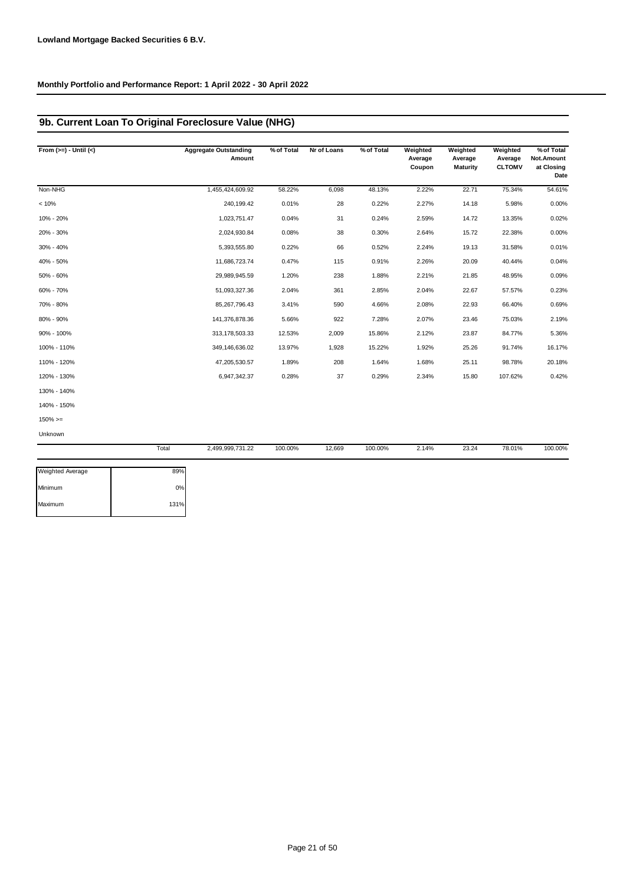## **9b. Current Loan To Original Foreclosure Value (NHG)**

| From $(>=) -$ Until $(<)$ | <b>Aggregate Outstanding</b><br>Amount | % of Total | Nr of Loans | % of Total | Weighted<br>Average<br>Coupon | Weighted<br>Average<br><b>Maturity</b> | Weighted<br>Average<br><b>CLTOMV</b> | % of Total<br>Not.Amount<br>at Closing<br>Date |
|---------------------------|----------------------------------------|------------|-------------|------------|-------------------------------|----------------------------------------|--------------------------------------|------------------------------------------------|
| Non-NHG                   | 1,455,424,609.92                       | 58.22%     | 6,098       | 48.13%     | 2.22%                         | 22.71                                  | 75.34%                               | 54.61%                                         |
| < 10%                     | 240,199.42                             | 0.01%      | 28          | 0.22%      | 2.27%                         | 14.18                                  | 5.98%                                | 0.00%                                          |
| 10% - 20%                 | 1,023,751.47                           | 0.04%      | 31          | 0.24%      | 2.59%                         | 14.72                                  | 13.35%                               | 0.02%                                          |
| 20% - 30%                 | 2,024,930.84                           | 0.08%      | 38          | 0.30%      | 2.64%                         | 15.72                                  | 22.38%                               | 0.00%                                          |
| 30% - 40%                 | 5,393,555.80                           | 0.22%      | 66          | 0.52%      | 2.24%                         | 19.13                                  | 31.58%                               | 0.01%                                          |
| 40% - 50%                 | 11,686,723.74                          | 0.47%      | 115         | 0.91%      | 2.26%                         | 20.09                                  | 40.44%                               | 0.04%                                          |
| 50% - 60%                 | 29,989,945.59                          | 1.20%      | 238         | 1.88%      | 2.21%                         | 21.85                                  | 48.95%                               | 0.09%                                          |
| 60% - 70%                 | 51,093,327.36                          | 2.04%      | 361         | 2.85%      | 2.04%                         | 22.67                                  | 57.57%                               | 0.23%                                          |
| 70% - 80%                 | 85,267,796.43                          | 3.41%      | 590         | 4.66%      | 2.08%                         | 22.93                                  | 66.40%                               | 0.69%                                          |
| 80% - 90%                 | 141,376,878.36                         | 5.66%      | 922         | 7.28%      | 2.07%                         | 23.46                                  | 75.03%                               | 2.19%                                          |
| 90% - 100%                | 313, 178, 503. 33                      | 12.53%     | 2,009       | 15.86%     | 2.12%                         | 23.87                                  | 84.77%                               | 5.36%                                          |
| 100% - 110%               | 349,146,636.02                         | 13.97%     | 1,928       | 15.22%     | 1.92%                         | 25.26                                  | 91.74%                               | 16.17%                                         |
| 110% - 120%               | 47,205,530.57                          | 1.89%      | 208         | 1.64%      | 1.68%                         | 25.11                                  | 98.78%                               | 20.18%                                         |
| 120% - 130%               | 6,947,342.37                           | 0.28%      | 37          | 0.29%      | 2.34%                         | 15.80                                  | 107.62%                              | 0.42%                                          |
| 130% - 140%               |                                        |            |             |            |                               |                                        |                                      |                                                |
| 140% - 150%               |                                        |            |             |            |                               |                                        |                                      |                                                |
| $150\%>=$                 |                                        |            |             |            |                               |                                        |                                      |                                                |
| Unknown                   |                                        |            |             |            |                               |                                        |                                      |                                                |
|                           | Total<br>2,499,999,731.22              | 100.00%    | 12,669      | 100.00%    | 2.14%                         | 23.24                                  | 78.01%                               | 100.00%                                        |

| <b>Weighted Average</b> | 89%  |
|-------------------------|------|
| Minimum                 | 0%   |
| Maximum                 | 131% |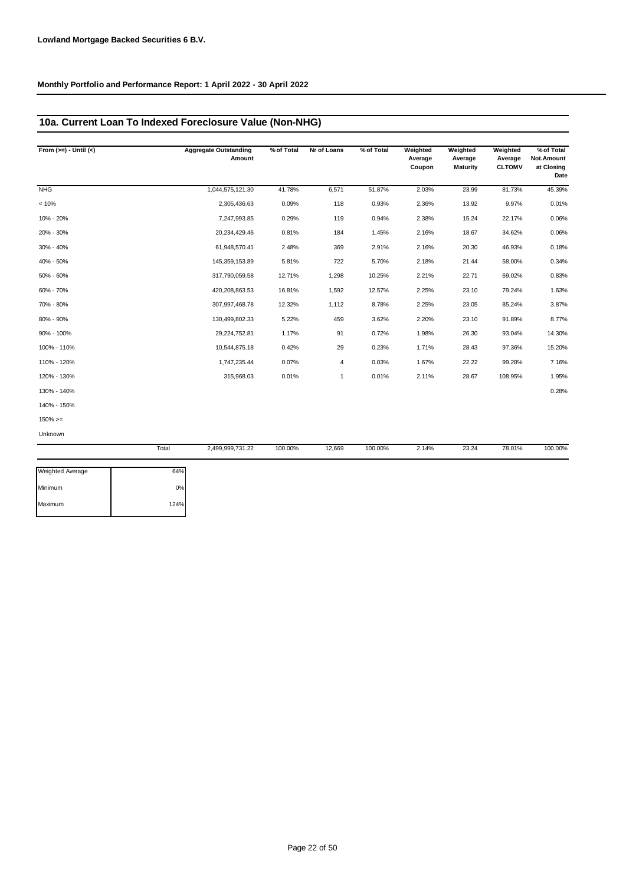## **10a. Current Loan To Indexed Foreclosure Value (Non-NHG)**

| From $(>=) -$ Until $(<)$ |       | <b>Aggregate Outstanding</b><br>Amount | % of Total | Nr of Loans | % of Total | Weighted<br>Average<br>Coupon | Weighted<br>Average<br><b>Maturity</b> | Weighted<br>Average<br><b>CLTOMV</b> | % of Total<br>Not.Amount<br>at Closing<br>Date |
|---------------------------|-------|----------------------------------------|------------|-------------|------------|-------------------------------|----------------------------------------|--------------------------------------|------------------------------------------------|
| <b>NHG</b>                |       | 1,044,575,121.30                       | 41.78%     | 6,571       | 51.87%     | 2.03%                         | 23.99                                  | 81.73%                               | 45.39%                                         |
| < 10%                     |       | 2,305,436.63                           | 0.09%      | 118         | 0.93%      | 2.36%                         | 13.92                                  | 9.97%                                | 0.01%                                          |
| 10% - 20%                 |       | 7,247,993.85                           | 0.29%      | 119         | 0.94%      | 2.38%                         | 15.24                                  | 22.17%                               | 0.06%                                          |
| 20% - 30%                 |       | 20,234,429.46                          | 0.81%      | 184         | 1.45%      | 2.16%                         | 18.67                                  | 34.62%                               | 0.06%                                          |
| 30% - 40%                 |       | 61,948,570.41                          | 2.48%      | 369         | 2.91%      | 2.16%                         | 20.30                                  | 46.93%                               | 0.18%                                          |
| 40% - 50%                 |       | 145,359,153.89                         | 5.81%      | 722         | 5.70%      | 2.18%                         | 21.44                                  | 58.00%                               | 0.34%                                          |
| 50% - 60%                 |       | 317,790,059.58                         | 12.71%     | 1,298       | 10.25%     | 2.21%                         | 22.71                                  | 69.02%                               | 0.83%                                          |
| 60% - 70%                 |       | 420,208,863.53                         | 16.81%     | 1,592       | 12.57%     | 2.25%                         | 23.10                                  | 79.24%                               | 1.63%                                          |
| 70% - 80%                 |       | 307,997,468.78                         | 12.32%     | 1,112       | 8.78%      | 2.25%                         | 23.05                                  | 85.24%                               | 3.87%                                          |
| 80% - 90%                 |       | 130,499,802.33                         | 5.22%      | 459         | 3.62%      | 2.20%                         | 23.10                                  | 91.89%                               | 8.77%                                          |
| 90% - 100%                |       | 29,224,752.81                          | 1.17%      | 91          | 0.72%      | 1.98%                         | 26.30                                  | 93.04%                               | 14.30%                                         |
| 100% - 110%               |       | 10,544,875.18                          | 0.42%      | 29          | 0.23%      | 1.71%                         | 28.43                                  | 97.36%                               | 15.20%                                         |
| 110% - 120%               |       | 1,747,235.44                           | 0.07%      | 4           | 0.03%      | 1.67%                         | 22.22                                  | 99.28%                               | 7.16%                                          |
| 120% - 130%               |       | 315,968.03                             | 0.01%      | 1           | 0.01%      | 2.11%                         | 28.67                                  | 108.95%                              | 1.95%                                          |
| 130% - 140%               |       |                                        |            |             |            |                               |                                        |                                      | 0.28%                                          |
| 140% - 150%               |       |                                        |            |             |            |                               |                                        |                                      |                                                |
| $150\%>=$                 |       |                                        |            |             |            |                               |                                        |                                      |                                                |
| Unknown                   |       |                                        |            |             |            |                               |                                        |                                      |                                                |
|                           | Total | 2,499,999,731.22                       | 100.00%    | 12,669      | 100.00%    | 2.14%                         | 23.24                                  | 78.01%                               | 100.00%                                        |

| <b>Weighted Average</b> | 64%  |
|-------------------------|------|
| Minimum                 | 0%   |
| Maximum                 | 124% |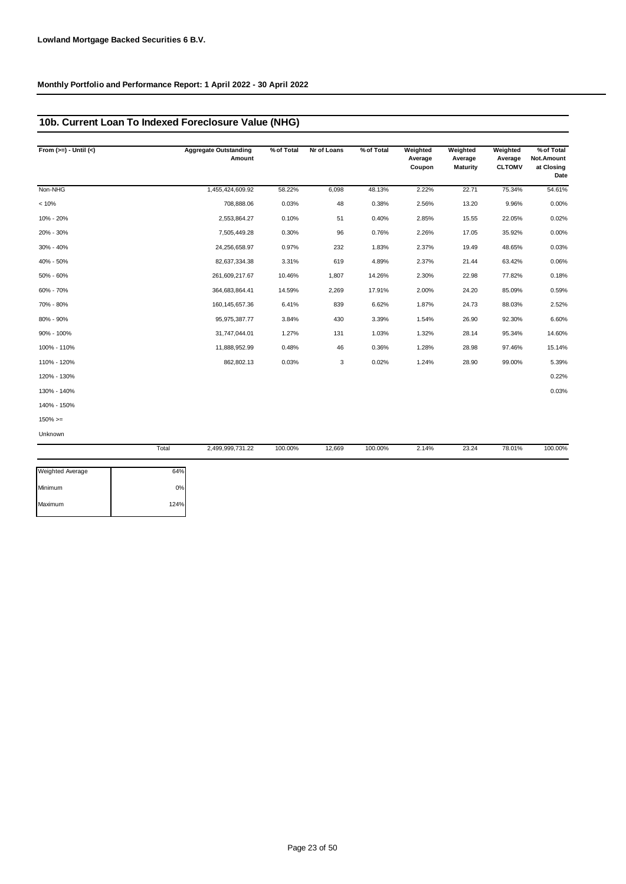## **10b. Current Loan To Indexed Foreclosure Value (NHG)**

| From $(>=) -$ Until $(<)$ | <b>Aggregate Outstanding</b><br>Amount | % of Total | Nr of Loans | % of Total | Weighted<br>Average<br>Coupon | Weighted<br>Average<br><b>Maturity</b> | Weighted<br>Average<br><b>CLTOMV</b> | % of Total<br>Not.Amount<br>at Closing<br>Date |
|---------------------------|----------------------------------------|------------|-------------|------------|-------------------------------|----------------------------------------|--------------------------------------|------------------------------------------------|
| Non-NHG                   | 1,455,424,609.92                       | 58.22%     | 6,098       | 48.13%     | 2.22%                         | 22.71                                  | 75.34%                               | 54.61%                                         |
| < 10%                     | 708,888.06                             | 0.03%      | 48          | 0.38%      | 2.56%                         | 13.20                                  | 9.96%                                | 0.00%                                          |
| 10% - 20%                 | 2,553,864.27                           | 0.10%      | 51          | 0.40%      | 2.85%                         | 15.55                                  | 22.05%                               | 0.02%                                          |
| 20% - 30%                 | 7,505,449.28                           | 0.30%      | 96          | 0.76%      | 2.26%                         | 17.05                                  | 35.92%                               | 0.00%                                          |
| 30% - 40%                 | 24,256,658.97                          | 0.97%      | 232         | 1.83%      | 2.37%                         | 19.49                                  | 48.65%                               | 0.03%                                          |
| 40% - 50%                 | 82,637,334.38                          | 3.31%      | 619         | 4.89%      | 2.37%                         | 21.44                                  | 63.42%                               | 0.06%                                          |
| 50% - 60%                 | 261,609,217.67                         | 10.46%     | 1,807       | 14.26%     | 2.30%                         | 22.98                                  | 77.82%                               | 0.18%                                          |
| 60% - 70%                 | 364,683,864.41                         | 14.59%     | 2,269       | 17.91%     | 2.00%                         | 24.20                                  | 85.09%                               | 0.59%                                          |
| 70% - 80%                 | 160, 145, 657. 36                      | 6.41%      | 839         | 6.62%      | 1.87%                         | 24.73                                  | 88.03%                               | 2.52%                                          |
| 80% - 90%                 | 95,975,387.77                          | 3.84%      | 430         | 3.39%      | 1.54%                         | 26.90                                  | 92.30%                               | 6.60%                                          |
| 90% - 100%                | 31,747,044.01                          | 1.27%      | 131         | 1.03%      | 1.32%                         | 28.14                                  | 95.34%                               | 14.60%                                         |
| 100% - 110%               | 11,888,952.99                          | 0.48%      | 46          | 0.36%      | 1.28%                         | 28.98                                  | 97.46%                               | 15.14%                                         |
| 110% - 120%               | 862,802.13                             | 0.03%      | 3           | 0.02%      | 1.24%                         | 28.90                                  | 99.00%                               | 5.39%                                          |
| 120% - 130%               |                                        |            |             |            |                               |                                        |                                      | 0.22%                                          |
| 130% - 140%               |                                        |            |             |            |                               |                                        |                                      | 0.03%                                          |
| 140% - 150%               |                                        |            |             |            |                               |                                        |                                      |                                                |
| $150\%>=$                 |                                        |            |             |            |                               |                                        |                                      |                                                |
| Unknown                   |                                        |            |             |            |                               |                                        |                                      |                                                |
|                           | Total<br>2,499,999,731.22              | 100.00%    | 12,669      | 100.00%    | 2.14%                         | 23.24                                  | 78.01%                               | 100.00%                                        |

| <b>Weighted Average</b> | 64%  |
|-------------------------|------|
| Minimum                 | 0%   |
| Maximum                 | 124% |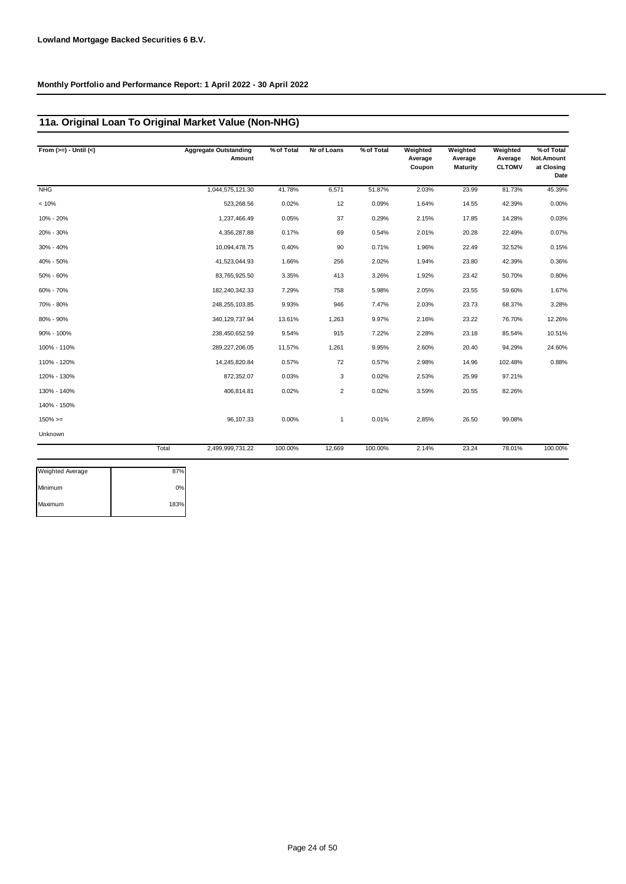## **11a. Original Loan To Original Market Value (Non-NHG)**

| From $(>=) -$ Until $(<)$ |       | <b>Aggregate Outstanding</b><br>Amount | % of Total | Nr of Loans    | % of Total | Weighted<br>Average<br>Coupon | Weighted<br>Average<br><b>Maturity</b> | Weighted<br>Average<br><b>CLTOMV</b> | % of Total<br>Not.Amount<br>at Closing<br>Date |
|---------------------------|-------|----------------------------------------|------------|----------------|------------|-------------------------------|----------------------------------------|--------------------------------------|------------------------------------------------|
| <b>NHG</b>                |       | 1,044,575,121.30                       | 41.78%     | 6,571          | 51.87%     | 2.03%                         | 23.99                                  | 81.73%                               | 45.39%                                         |
| < 10%                     |       | 523,268.56                             | 0.02%      | 12             | 0.09%      | 1.64%                         | 14.55                                  | 42.39%                               | 0.00%                                          |
| 10% - 20%                 |       | 1,237,466.49                           | 0.05%      | 37             | 0.29%      | 2.15%                         | 17.85                                  | 14.28%                               | 0.03%                                          |
| 20% - 30%                 |       | 4,356,287.88                           | 0.17%      | 69             | 0.54%      | 2.01%                         | 20.28                                  | 22.49%                               | 0.07%                                          |
| 30% - 40%                 |       | 10,094,478.75                          | 0.40%      | 90             | 0.71%      | 1.96%                         | 22.49                                  | 32.52%                               | 0.15%                                          |
| 40% - 50%                 |       | 41,523,044.93                          | 1.66%      | 256            | 2.02%      | 1.94%                         | 23.80                                  | 42.39%                               | 0.36%                                          |
| 50% - 60%                 |       | 83,765,925.50                          | 3.35%      | 413            | 3.26%      | 1.92%                         | 23.42                                  | 50.70%                               | 0.80%                                          |
| 60% - 70%                 |       | 182,240,342.33                         | 7.29%      | 758            | 5.98%      | 2.05%                         | 23.55                                  | 59.60%                               | 1.67%                                          |
| 70% - 80%                 |       | 248,255,103.85                         | 9.93%      | 946            | 7.47%      | 2.03%                         | 23.73                                  | 68.37%                               | 3.28%                                          |
| 80% - 90%                 |       | 340, 129, 737.94                       | 13.61%     | 1,263          | 9.97%      | 2.16%                         | 23.22                                  | 76.70%                               | 12.26%                                         |
| 90% - 100%                |       | 238,450,652.59                         | 9.54%      | 915            | 7.22%      | 2.28%                         | 23.18                                  | 85.54%                               | 10.51%                                         |
| 100% - 110%               |       | 289,227,206.05                         | 11.57%     | 1,261          | 9.95%      | 2.60%                         | 20.40                                  | 94.29%                               | 24.60%                                         |
| 110% - 120%               |       | 14,245,820.84                          | 0.57%      | 72             | 0.57%      | 2.98%                         | 14.96                                  | 102.48%                              | 0.88%                                          |
| 120% - 130%               |       | 872,352.07                             | 0.03%      | 3              | 0.02%      | 2.53%                         | 25.99                                  | 97.21%                               |                                                |
| 130% - 140%               |       | 406,814.81                             | 0.02%      | $\overline{2}$ | 0.02%      | 3.59%                         | 20.55                                  | 82.26%                               |                                                |
| 140% - 150%               |       |                                        |            |                |            |                               |                                        |                                      |                                                |
| $150\%>=$                 |       | 96,107.33                              | 0.00%      | $\mathbf{1}$   | 0.01%      | 2.85%                         | 26.50                                  | 99.08%                               |                                                |
| Unknown                   |       |                                        |            |                |            |                               |                                        |                                      |                                                |
|                           | Total | 2,499,999,731.22                       | 100.00%    | 12,669         | 100.00%    | 2.14%                         | 23.24                                  | 78.01%                               | 100.00%                                        |

| 87%  |
|------|
| 0%   |
| 183% |
|      |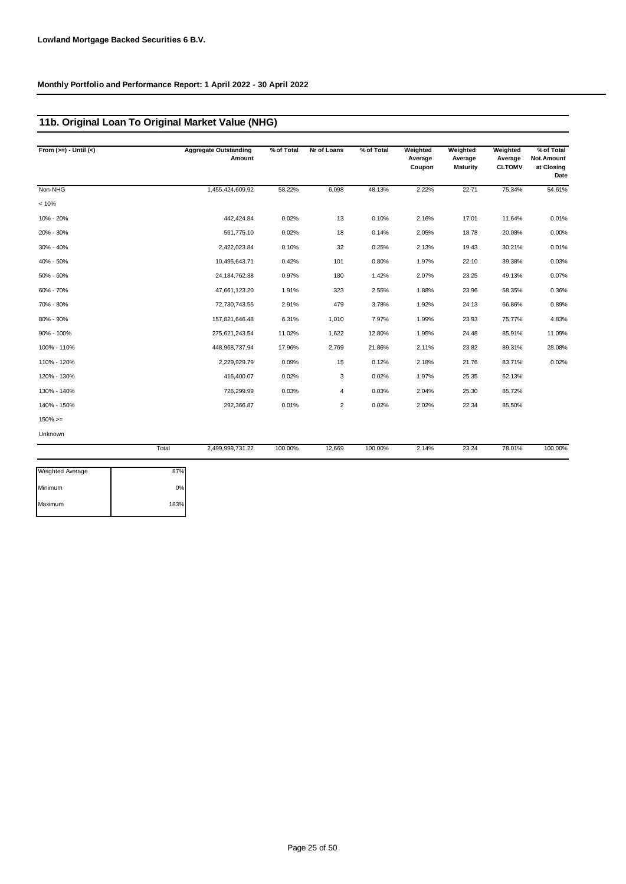## **11b. Original Loan To Original Market Value (NHG)**

| From $(>=) -$ Until $(<)$ |       | <b>Aggregate Outstanding</b><br>Amount | % of Total | Nr of Loans    | % of Total | Weighted<br>Average<br>Coupon | Weighted<br>Average<br><b>Maturity</b> | Weighted<br>Average<br><b>CLTOMV</b> | % of Total<br>Not.Amount<br>at Closing<br>Date |
|---------------------------|-------|----------------------------------------|------------|----------------|------------|-------------------------------|----------------------------------------|--------------------------------------|------------------------------------------------|
| Non-NHG                   |       | 1,455,424,609.92                       | 58.22%     | 6,098          | 48.13%     | 2.22%                         | 22.71                                  | 75.34%                               | 54.61%                                         |
| < 10%                     |       |                                        |            |                |            |                               |                                        |                                      |                                                |
| 10% - 20%                 |       | 442,424.84                             | 0.02%      | 13             | 0.10%      | 2.16%                         | 17.01                                  | 11.64%                               | 0.01%                                          |
| 20% - 30%                 |       | 561,775.10                             | 0.02%      | 18             | 0.14%      | 2.05%                         | 18.78                                  | 20.08%                               | 0.00%                                          |
| 30% - 40%                 |       | 2,422,023.84                           | 0.10%      | 32             | 0.25%      | 2.13%                         | 19.43                                  | 30.21%                               | 0.01%                                          |
| 40% - 50%                 |       | 10,495,643.71                          | 0.42%      | 101            | 0.80%      | 1.97%                         | 22.10                                  | 39.38%                               | 0.03%                                          |
| 50% - 60%                 |       | 24, 184, 762. 38                       | 0.97%      | 180            | 1.42%      | 2.07%                         | 23.25                                  | 49.13%                               | 0.07%                                          |
| 60% - 70%                 |       | 47,661,123.20                          | 1.91%      | 323            | 2.55%      | 1.88%                         | 23.96                                  | 58.35%                               | 0.36%                                          |
| 70% - 80%                 |       | 72,730,743.55                          | 2.91%      | 479            | 3.78%      | 1.92%                         | 24.13                                  | 66.86%                               | 0.89%                                          |
| 80% - 90%                 |       | 157,821,646.48                         | 6.31%      | 1,010          | 7.97%      | 1.99%                         | 23.93                                  | 75.77%                               | 4.83%                                          |
| 90% - 100%                |       | 275,621,243.54                         | 11.02%     | 1,622          | 12.80%     | 1.95%                         | 24.48                                  | 85.91%                               | 11.09%                                         |
| 100% - 110%               |       | 448,968,737.94                         | 17.96%     | 2,769          | 21.86%     | 2.11%                         | 23.82                                  | 89.31%                               | 28.08%                                         |
| 110% - 120%               |       | 2,229,929.79                           | 0.09%      | 15             | 0.12%      | 2.18%                         | 21.76                                  | 83.71%                               | 0.02%                                          |
| 120% - 130%               |       | 416,400.07                             | 0.02%      | 3              | 0.02%      | 1.97%                         | 25.35                                  | 62.13%                               |                                                |
| 130% - 140%               |       | 726,299.99                             | 0.03%      | 4              | 0.03%      | 2.04%                         | 25.30                                  | 85.72%                               |                                                |
| 140% - 150%               |       | 292,366.87                             | 0.01%      | $\overline{2}$ | 0.02%      | 2.02%                         | 22.34                                  | 85.50%                               |                                                |
| $150\%>=$                 |       |                                        |            |                |            |                               |                                        |                                      |                                                |
| Unknown                   |       |                                        |            |                |            |                               |                                        |                                      |                                                |
|                           | Total | 2,499,999,731.22                       | 100.00%    | 12,669         | 100.00%    | 2.14%                         | 23.24                                  | 78.01%                               | 100.00%                                        |
| Weighted Average          | 87%   |                                        |            |                |            |                               |                                        |                                      |                                                |

| <b>Weighted Average</b> | 87%  |
|-------------------------|------|
| Minimum                 | 0%   |
| Maximum                 | 183% |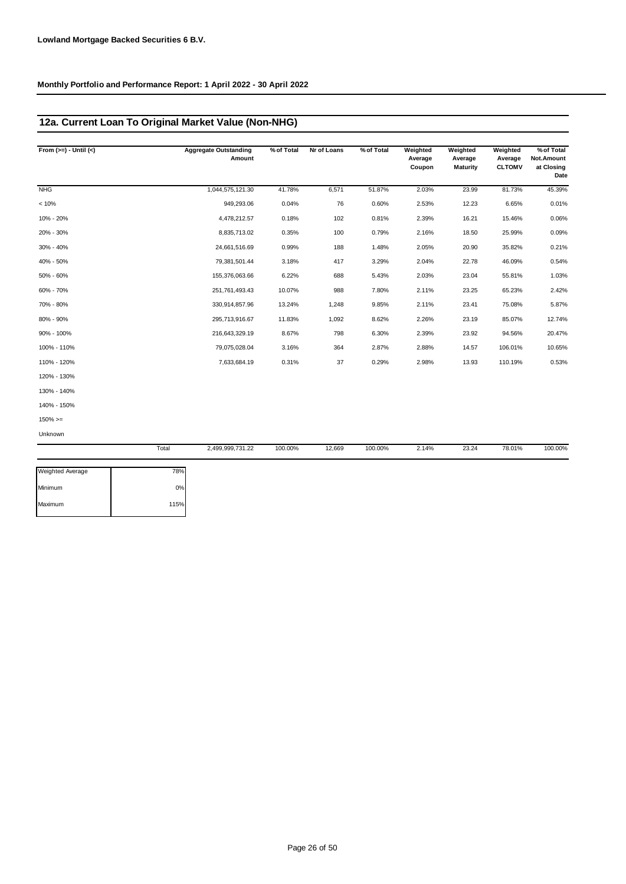## **12a. Current Loan To Original Market Value (Non-NHG)**

| From $(>=) -$ Until $(<)$ | <b>Aggregate Outstanding</b><br>Amount | % of Total | Nr of Loans | % of Total | Weighted<br>Average<br>Coupon | Weighted<br>Average<br><b>Maturity</b> | Weighted<br>Average<br><b>CLTOMV</b> | % of Total<br>Not.Amount<br>at Closing<br>Date |
|---------------------------|----------------------------------------|------------|-------------|------------|-------------------------------|----------------------------------------|--------------------------------------|------------------------------------------------|
| <b>NHG</b>                | 1,044,575,121.30                       | 41.78%     | 6,571       | 51.87%     | 2.03%                         | 23.99                                  | 81.73%                               | 45.39%                                         |
| < 10%                     | 949,293.06                             | 0.04%      | 76          | 0.60%      | 2.53%                         | 12.23                                  | 6.65%                                | 0.01%                                          |
| 10% - 20%                 | 4,478,212.57                           | 0.18%      | 102         | 0.81%      | 2.39%                         | 16.21                                  | 15.46%                               | 0.06%                                          |
| 20% - 30%                 | 8,835,713.02                           | 0.35%      | 100         | 0.79%      | 2.16%                         | 18.50                                  | 25.99%                               | 0.09%                                          |
| 30% - 40%                 | 24,661,516.69                          | 0.99%      | 188         | 1.48%      | 2.05%                         | 20.90                                  | 35.82%                               | 0.21%                                          |
| 40% - 50%                 | 79,381,501.44                          | 3.18%      | 417         | 3.29%      | 2.04%                         | 22.78                                  | 46.09%                               | 0.54%                                          |
| 50% - 60%                 | 155,376,063.66                         | 6.22%      | 688         | 5.43%      | 2.03%                         | 23.04                                  | 55.81%                               | 1.03%                                          |
| 60% - 70%                 | 251,761,493.43                         | 10.07%     | 988         | 7.80%      | 2.11%                         | 23.25                                  | 65.23%                               | 2.42%                                          |
| 70% - 80%                 | 330,914,857.96                         | 13.24%     | 1,248       | 9.85%      | 2.11%                         | 23.41                                  | 75.08%                               | 5.87%                                          |
| 80% - 90%                 | 295,713,916.67                         | 11.83%     | 1,092       | 8.62%      | 2.26%                         | 23.19                                  | 85.07%                               | 12.74%                                         |
| 90% - 100%                | 216,643,329.19                         | 8.67%      | 798         | 6.30%      | 2.39%                         | 23.92                                  | 94.56%                               | 20.47%                                         |
| 100% - 110%               | 79,075,028.04                          | 3.16%      | 364         | 2.87%      | 2.88%                         | 14.57                                  | 106.01%                              | 10.65%                                         |
| 110% - 120%               | 7,633,684.19                           | 0.31%      | 37          | 0.29%      | 2.98%                         | 13.93                                  | 110.19%                              | 0.53%                                          |
| 120% - 130%               |                                        |            |             |            |                               |                                        |                                      |                                                |
| 130% - 140%               |                                        |            |             |            |                               |                                        |                                      |                                                |
| 140% - 150%               |                                        |            |             |            |                               |                                        |                                      |                                                |
| $150\%>=$                 |                                        |            |             |            |                               |                                        |                                      |                                                |
| Unknown                   |                                        |            |             |            |                               |                                        |                                      |                                                |
|                           | Total<br>2,499,999,731.22              | 100.00%    | 12,669      | 100.00%    | 2.14%                         | 23.24                                  | 78.01%                               | 100.00%                                        |

| <b>Weighted Average</b> | 78%  |
|-------------------------|------|
| Minimum                 | 0%   |
| Maximum                 | 115% |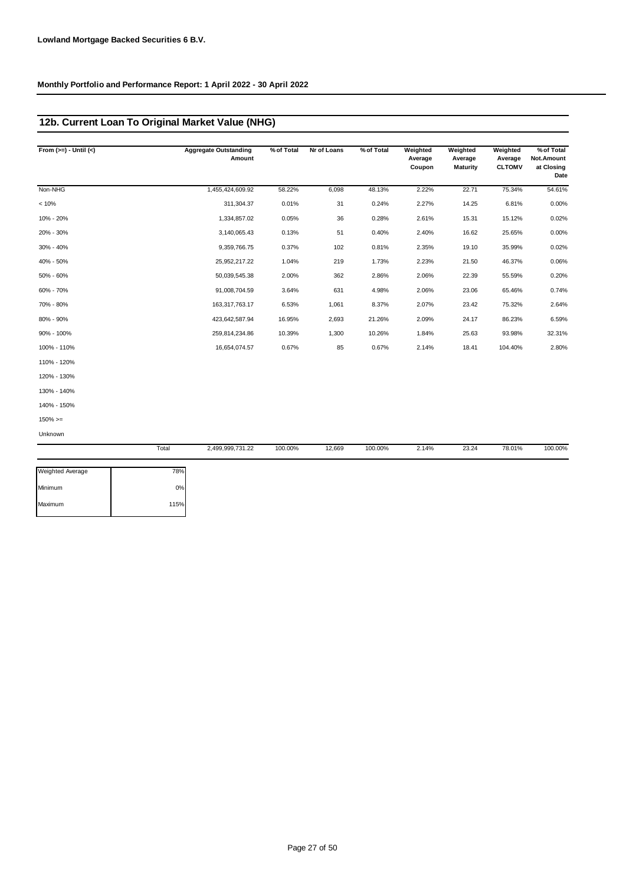## **12b. Current Loan To Original Market Value (NHG)**

| From $(>=) -$ Until $(<)$ |       | <b>Aggregate Outstanding</b><br>Amount | % of Total | Nr of Loans | % of Total | Weighted<br>Average<br>Coupon | Weighted<br>Average<br><b>Maturity</b> | Weighted<br>Average<br><b>CLTOMV</b> | % of Total<br>Not.Amount<br>at Closing<br>Date |
|---------------------------|-------|----------------------------------------|------------|-------------|------------|-------------------------------|----------------------------------------|--------------------------------------|------------------------------------------------|
| Non-NHG                   |       | 1,455,424,609.92                       | 58.22%     | 6,098       | 48.13%     | 2.22%                         | 22.71                                  | 75.34%                               | 54.61%                                         |
| < 10%                     |       | 311,304.37                             | 0.01%      | 31          | 0.24%      | 2.27%                         | 14.25                                  | 6.81%                                | 0.00%                                          |
| 10% - 20%                 |       | 1,334,857.02                           | 0.05%      | 36          | 0.28%      | 2.61%                         | 15.31                                  | 15.12%                               | 0.02%                                          |
| 20% - 30%                 |       | 3,140,065.43                           | 0.13%      | 51          | 0.40%      | 2.40%                         | 16.62                                  | 25.65%                               | 0.00%                                          |
| 30% - 40%                 |       | 9,359,766.75                           | 0.37%      | 102         | 0.81%      | 2.35%                         | 19.10                                  | 35.99%                               | 0.02%                                          |
| 40% - 50%                 |       | 25,952,217.22                          | 1.04%      | 219         | 1.73%      | 2.23%                         | 21.50                                  | 46.37%                               | 0.06%                                          |
| 50% - 60%                 |       | 50,039,545.38                          | 2.00%      | 362         | 2.86%      | 2.06%                         | 22.39                                  | 55.59%                               | 0.20%                                          |
| 60% - 70%                 |       | 91,008,704.59                          | 3.64%      | 631         | 4.98%      | 2.06%                         | 23.06                                  | 65.46%                               | 0.74%                                          |
| 70% - 80%                 |       | 163,317,763.17                         | 6.53%      | 1,061       | 8.37%      | 2.07%                         | 23.42                                  | 75.32%                               | 2.64%                                          |
| 80% - 90%                 |       | 423,642,587.94                         | 16.95%     | 2,693       | 21.26%     | 2.09%                         | 24.17                                  | 86.23%                               | 6.59%                                          |
| 90% - 100%                |       | 259,814,234.86                         | 10.39%     | 1,300       | 10.26%     | 1.84%                         | 25.63                                  | 93.98%                               | 32.31%                                         |
| 100% - 110%               |       | 16,654,074.57                          | 0.67%      | 85          | 0.67%      | 2.14%                         | 18.41                                  | 104.40%                              | 2.80%                                          |
| 110% - 120%               |       |                                        |            |             |            |                               |                                        |                                      |                                                |
| 120% - 130%               |       |                                        |            |             |            |                               |                                        |                                      |                                                |
| 130% - 140%               |       |                                        |            |             |            |                               |                                        |                                      |                                                |
| 140% - 150%               |       |                                        |            |             |            |                               |                                        |                                      |                                                |
| $150\%>=$                 |       |                                        |            |             |            |                               |                                        |                                      |                                                |
| Unknown                   |       |                                        |            |             |            |                               |                                        |                                      |                                                |
|                           | Total | 2,499,999,731.22                       | 100.00%    | 12,669      | 100.00%    | 2.14%                         | 23.24                                  | 78.01%                               | 100.00%                                        |

| <b>Weighted Average</b> | 78%  |
|-------------------------|------|
| Minimum                 | 0%   |
| Maximum                 | 115% |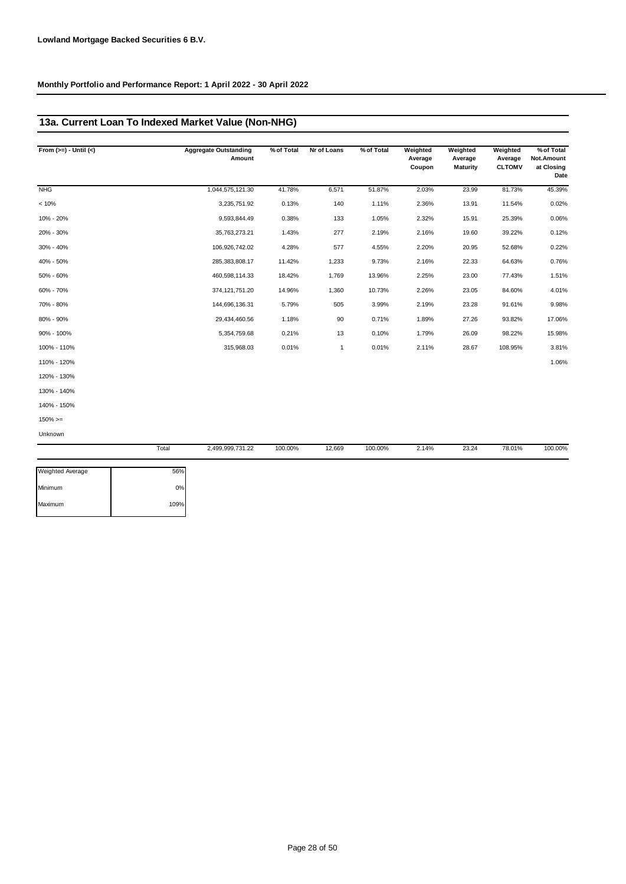## **13a. Current Loan To Indexed Market Value (Non-NHG)**

| From $(>=) -$ Until $(<)$ |       | <b>Aggregate Outstanding</b><br>Amount | % of Total | Nr of Loans | % of Total | Weighted<br>Average | Weighted<br>Average | Weighted<br>Average | % of Total<br>Not.Amount |
|---------------------------|-------|----------------------------------------|------------|-------------|------------|---------------------|---------------------|---------------------|--------------------------|
|                           |       |                                        |            |             |            | Coupon              | <b>Maturity</b>     | <b>CLTOMV</b>       | at Closing<br>Date       |
| <b>NHG</b>                |       | 1,044,575,121.30                       | 41.78%     | 6,571       | 51.87%     | 2.03%               | 23.99               | 81.73%              | 45.39%                   |
| < 10%                     |       | 3,235,751.92                           | 0.13%      | 140         | 1.11%      | 2.36%               | 13.91               | 11.54%              | 0.02%                    |
| 10% - 20%                 |       | 9,593,844.49                           | 0.38%      | 133         | 1.05%      | 2.32%               | 15.91               | 25.39%              | 0.06%                    |
| 20% - 30%                 |       | 35,763,273.21                          | 1.43%      | 277         | 2.19%      | 2.16%               | 19.60               | 39.22%              | 0.12%                    |
| 30% - 40%                 |       | 106,926,742.02                         | 4.28%      | 577         | 4.55%      | 2.20%               | 20.95               | 52.68%              | 0.22%                    |
| 40% - 50%                 |       | 285,383,808.17                         | 11.42%     | 1,233       | 9.73%      | 2.16%               | 22.33               | 64.63%              | 0.76%                    |
| 50% - 60%                 |       | 460,598,114.33                         | 18.42%     | 1,769       | 13.96%     | 2.25%               | 23.00               | 77.43%              | 1.51%                    |
| 60% - 70%                 |       | 374, 121, 751.20                       | 14.96%     | 1,360       | 10.73%     | 2.26%               | 23.05               | 84.60%              | 4.01%                    |
| 70% - 80%                 |       | 144,696,136.31                         | 5.79%      | 505         | 3.99%      | 2.19%               | 23.28               | 91.61%              | 9.98%                    |
| 80% - 90%                 |       | 29,434,460.56                          | 1.18%      | 90          | 0.71%      | 1.89%               | 27.26               | 93.82%              | 17.06%                   |
| 90% - 100%                |       | 5,354,759.68                           | 0.21%      | 13          | 0.10%      | 1.79%               | 26.09               | 98.22%              | 15.98%                   |
| 100% - 110%               |       | 315,968.03                             | 0.01%      | 1           | 0.01%      | 2.11%               | 28.67               | 108.95%             | 3.81%                    |
| 110% - 120%               |       |                                        |            |             |            |                     |                     |                     | 1.06%                    |
| 120% - 130%               |       |                                        |            |             |            |                     |                     |                     |                          |
| 130% - 140%               |       |                                        |            |             |            |                     |                     |                     |                          |
| 140% - 150%               |       |                                        |            |             |            |                     |                     |                     |                          |
| $150\%>=$                 |       |                                        |            |             |            |                     |                     |                     |                          |
| Unknown                   |       |                                        |            |             |            |                     |                     |                     |                          |
|                           | Total | 2,499,999,731.22                       | 100.00%    | 12,669      | 100.00%    | 2.14%               | 23.24               | 78.01%              | 100.00%                  |

| Weighted Average | 56%  |
|------------------|------|
| Minimum          | 0%   |
| Maximum          | 109% |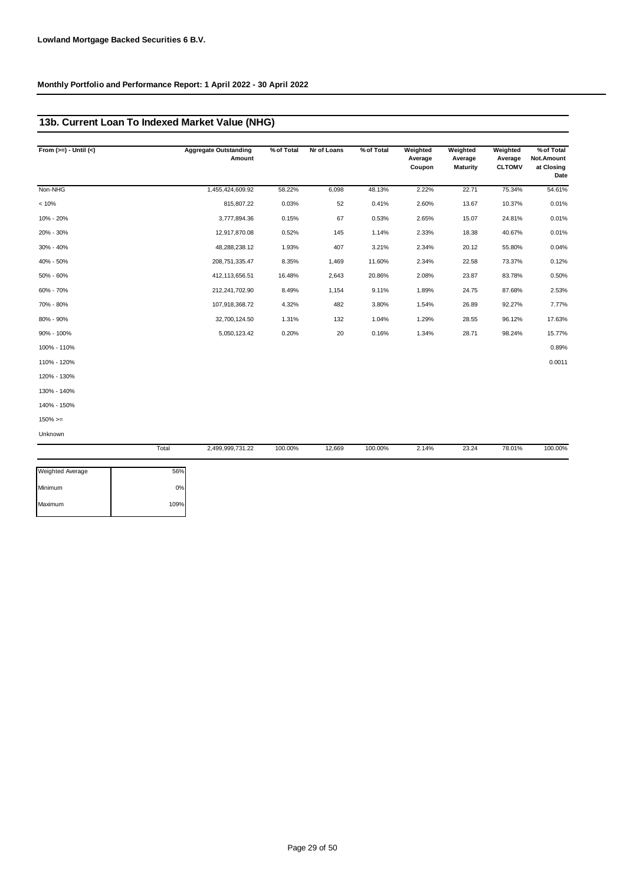## **13b. Current Loan To Indexed Market Value (NHG)**

| From $(>=) -$ Until $(<)$ |       | <b>Aggregate Outstanding</b><br>Amount | % of Total | Nr of Loans | % of Total | Weighted<br>Average<br>Coupon | Weighted<br>Average<br><b>Maturity</b> | Weighted<br>Average<br><b>CLTOMV</b> | % of Total<br>Not.Amount<br>at Closing<br>Date |
|---------------------------|-------|----------------------------------------|------------|-------------|------------|-------------------------------|----------------------------------------|--------------------------------------|------------------------------------------------|
| Non-NHG                   |       | 1,455,424,609.92                       | 58.22%     | 6,098       | 48.13%     | 2.22%                         | 22.71                                  | 75.34%                               | 54.61%                                         |
| < 10%                     |       | 815,807.22                             | 0.03%      | 52          | 0.41%      | 2.60%                         | 13.67                                  | 10.37%                               | 0.01%                                          |
| 10% - 20%                 |       | 3,777,894.36                           | 0.15%      | 67          | 0.53%      | 2.65%                         | 15.07                                  | 24.81%                               | 0.01%                                          |
| 20% - 30%                 |       | 12,917,870.08                          | 0.52%      | 145         | 1.14%      | 2.33%                         | 18.38                                  | 40.67%                               | 0.01%                                          |
| 30% - 40%                 |       | 48,288,238.12                          | 1.93%      | 407         | 3.21%      | 2.34%                         | 20.12                                  | 55.80%                               | 0.04%                                          |
| 40% - 50%                 |       | 208,751,335.47                         | 8.35%      | 1,469       | 11.60%     | 2.34%                         | 22.58                                  | 73.37%                               | 0.12%                                          |
| 50% - 60%                 |       | 412,113,656.51                         | 16.48%     | 2,643       | 20.86%     | 2.08%                         | 23.87                                  | 83.78%                               | 0.50%                                          |
| 60% - 70%                 |       | 212,241,702.90                         | 8.49%      | 1,154       | 9.11%      | 1.89%                         | 24.75                                  | 87.68%                               | 2.53%                                          |
| 70% - 80%                 |       | 107,918,368.72                         | 4.32%      | 482         | 3.80%      | 1.54%                         | 26.89                                  | 92.27%                               | 7.77%                                          |
| 80% - 90%                 |       | 32,700,124.50                          | 1.31%      | 132         | 1.04%      | 1.29%                         | 28.55                                  | 96.12%                               | 17.63%                                         |
| 90% - 100%                |       | 5,050,123.42                           | 0.20%      | 20          | 0.16%      | 1.34%                         | 28.71                                  | 98.24%                               | 15.77%                                         |
| 100% - 110%               |       |                                        |            |             |            |                               |                                        |                                      | 0.89%                                          |
| 110% - 120%               |       |                                        |            |             |            |                               |                                        |                                      | 0.0011                                         |
| 120% - 130%               |       |                                        |            |             |            |                               |                                        |                                      |                                                |
| 130% - 140%               |       |                                        |            |             |            |                               |                                        |                                      |                                                |
| 140% - 150%               |       |                                        |            |             |            |                               |                                        |                                      |                                                |
| $150\%>=$                 |       |                                        |            |             |            |                               |                                        |                                      |                                                |
| Unknown                   |       |                                        |            |             |            |                               |                                        |                                      |                                                |
|                           | Total | 2.499.999.731.22                       | 100.00%    | 12,669      | 100.00%    | 2.14%                         | 23.24                                  | 78.01%                               | 100.00%                                        |

| <b>Weighted Average</b> | 56%  |
|-------------------------|------|
| Minimum                 | 0%   |
| Maximum                 | 109% |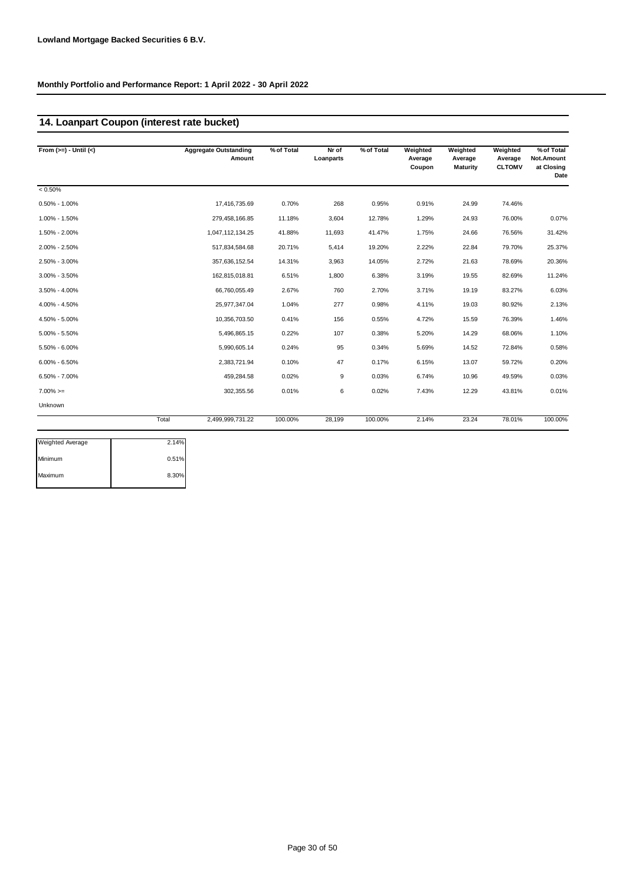## **14. Loanpart Coupon (interest rate bucket)**

| From $(>=) -$ Until $(<)$ |       | <b>Aggregate Outstanding</b><br>Amount | % of Total | Nr of<br>Loanparts | % of Total | Weighted<br>Average<br>Coupon | Weighted<br>Average<br><b>Maturity</b> | Weighted<br>Average<br><b>CLTOMV</b> | % of Total<br>Not.Amount<br>at Closing<br>Date |
|---------------------------|-------|----------------------------------------|------------|--------------------|------------|-------------------------------|----------------------------------------|--------------------------------------|------------------------------------------------|
| $< 0.50\%$                |       |                                        |            |                    |            |                               |                                        |                                      |                                                |
| $0.50\% - 1.00\%$         |       | 17,416,735.69                          | 0.70%      | 268                | 0.95%      | 0.91%                         | 24.99                                  | 74.46%                               |                                                |
| 1.00% - 1.50%             |       | 279,458,166.85                         | 11.18%     | 3,604              | 12.78%     | 1.29%                         | 24.93                                  | 76.00%                               | 0.07%                                          |
| 1.50% - 2.00%             |       | 1,047,112,134.25                       | 41.88%     | 11,693             | 41.47%     | 1.75%                         | 24.66                                  | 76.56%                               | 31.42%                                         |
| 2.00% - 2.50%             |       | 517,834,584.68                         | 20.71%     | 5,414              | 19.20%     | 2.22%                         | 22.84                                  | 79.70%                               | 25.37%                                         |
| 2.50% - 3.00%             |       | 357,636,152.54                         | 14.31%     | 3,963              | 14.05%     | 2.72%                         | 21.63                                  | 78.69%                               | 20.36%                                         |
| $3.00\% - 3.50\%$         |       | 162,815,018.81                         | 6.51%      | 1,800              | 6.38%      | 3.19%                         | 19.55                                  | 82.69%                               | 11.24%                                         |
| $3.50\% - 4.00\%$         |       | 66,760,055.49                          | 2.67%      | 760                | 2.70%      | 3.71%                         | 19.19                                  | 83.27%                               | 6.03%                                          |
| 4.00% - 4.50%             |       | 25,977,347.04                          | 1.04%      | 277                | 0.98%      | 4.11%                         | 19.03                                  | 80.92%                               | 2.13%                                          |
| 4.50% - 5.00%             |       | 10,356,703.50                          | 0.41%      | 156                | 0.55%      | 4.72%                         | 15.59                                  | 76.39%                               | 1.46%                                          |
| $5.00\% - 5.50\%$         |       | 5,496,865.15                           | 0.22%      | 107                | 0.38%      | 5.20%                         | 14.29                                  | 68.06%                               | 1.10%                                          |
| 5.50% - 6.00%             |       | 5,990,605.14                           | 0.24%      | 95                 | 0.34%      | 5.69%                         | 14.52                                  | 72.84%                               | 0.58%                                          |
| $6.00\% - 6.50\%$         |       | 2,383,721.94                           | 0.10%      | 47                 | 0.17%      | 6.15%                         | 13.07                                  | 59.72%                               | 0.20%                                          |
| 6.50% - 7.00%             |       | 459.284.58                             | 0.02%      | 9                  | 0.03%      | 6.74%                         | 10.96                                  | 49.59%                               | 0.03%                                          |
| $7.00\%>=$                |       | 302,355.56                             | 0.01%      | 6                  | 0.02%      | 7.43%                         | 12.29                                  | 43.81%                               | 0.01%                                          |
| Unknown                   |       |                                        |            |                    |            |                               |                                        |                                      |                                                |
|                           | Total | 2,499,999,731.22                       | 100.00%    | 28,199             | 100.00%    | 2.14%                         | 23.24                                  | 78.01%                               | 100.00%                                        |

| <b>Weighted Average</b> | 2.14% |
|-------------------------|-------|
| Minimum                 | 0.51% |
| Maximum                 | 8.30% |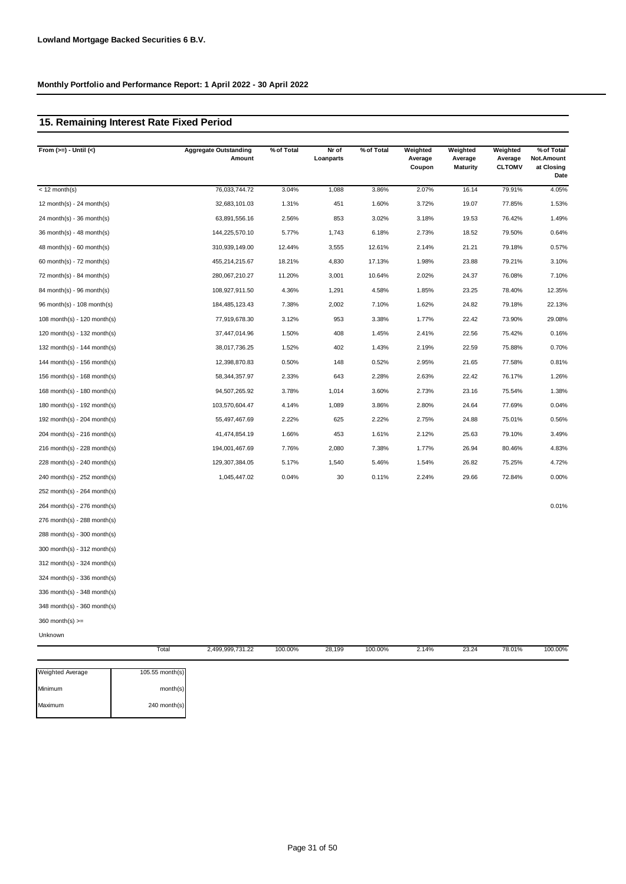# **15. Remaining Interest Rate Fixed Period**

| From $(>=) -$ Until $(<)$   | <b>Aggregate Outstanding</b><br>Amount | % of Total | Nr of<br>Loanparts | % of Total | Weighted<br>Average | Weighted<br>Average | Weighted<br>Average | % of Total<br>Not.Amount |
|-----------------------------|----------------------------------------|------------|--------------------|------------|---------------------|---------------------|---------------------|--------------------------|
|                             |                                        |            |                    |            | Coupon              | <b>Maturity</b>     | <b>CLTOMV</b>       | at Closing<br>Date       |
| $<$ 12 month(s)             | 76,033,744.72                          | 3.04%      | 1,088              | 3.86%      | 2.07%               | 16.14               | 79.91%              | 4.05%                    |
| 12 month(s) - 24 month(s)   | 32,683,101.03                          | 1.31%      | 451                | 1.60%      | 3.72%               | 19.07               | 77.85%              | 1.53%                    |
| $24$ month(s) - 36 month(s) | 63,891,556.16                          | 2.56%      | 853                | 3.02%      | 3.18%               | 19.53               | 76.42%              | 1.49%                    |
| $36$ month(s) - 48 month(s) | 144,225,570.10                         | 5.77%      | 1,743              | 6.18%      | 2.73%               | 18.52               | 79.50%              | 0.64%                    |
| $48$ month(s) - 60 month(s) | 310,939,149.00                         | 12.44%     | 3,555              | 12.61%     | 2.14%               | 21.21               | 79.18%              | 0.57%                    |
| 60 month(s) - $72$ month(s) | 455,214,215.67                         | 18.21%     | 4,830              | 17.13%     | 1.98%               | 23.88               | 79.21%              | 3.10%                    |
| 72 month(s) - 84 month(s)   | 280,067,210.27                         | 11.20%     | 3,001              | 10.64%     | 2.02%               | 24.37               | 76.08%              | 7.10%                    |
| $84$ month(s) - 96 month(s) | 108,927,911.50                         | 4.36%      | 1,291              | 4.58%      | 1.85%               | 23.25               | 78.40%              | 12.35%                   |
| 96 month(s) - 108 month(s)  | 184,485,123.43                         | 7.38%      | 2,002              | 7.10%      | 1.62%               | 24.82               | 79.18%              | 22.13%                   |
| 108 month(s) - 120 month(s) | 77,919,678.30                          | 3.12%      | 953                | 3.38%      | 1.77%               | 22.42               | 73.90%              | 29.08%                   |
| 120 month(s) - 132 month(s) | 37,447,014.96                          | 1.50%      | 408                | 1.45%      | 2.41%               | 22.56               | 75.42%              | 0.16%                    |
| 132 month(s) - 144 month(s) | 38,017,736.25                          | 1.52%      | 402                | 1.43%      | 2.19%               | 22.59               | 75.88%              | 0.70%                    |
| 144 month(s) - 156 month(s) | 12,398,870.83                          | 0.50%      | 148                | 0.52%      | 2.95%               | 21.65               | 77.58%              | 0.81%                    |
| 156 month(s) - 168 month(s) | 58,344,357.97                          | 2.33%      | 643                | 2.28%      | 2.63%               | 22.42               | 76.17%              | 1.26%                    |
| 168 month(s) - 180 month(s) | 94,507,265.92                          | 3.78%      | 1,014              | 3.60%      | 2.73%               | 23.16               | 75.54%              | 1.38%                    |
| 180 month(s) - 192 month(s) | 103,570,604.47                         | 4.14%      | 1,089              | 3.86%      | 2.80%               | 24.64               | 77.69%              | 0.04%                    |
| 192 month(s) - 204 month(s) | 55,497,467.69                          | 2.22%      | 625                | 2.22%      | 2.75%               | 24.88               | 75.01%              | 0.56%                    |
| 204 month(s) - 216 month(s) | 41,474,854.19                          | 1.66%      | 453                | 1.61%      | 2.12%               | 25.63               | 79.10%              | 3.49%                    |
| 216 month(s) - 228 month(s) | 194,001,467.69                         | 7.76%      | 2,080              | 7.38%      | 1.77%               | 26.94               | 80.46%              | 4.83%                    |
| 228 month(s) - 240 month(s) | 129,307,384.05                         | 5.17%      | 1,540              | 5.46%      | 1.54%               | 26.82               | 75.25%              | 4.72%                    |
| 240 month(s) - 252 month(s) | 1,045,447.02                           | 0.04%      | 30                 | 0.11%      | 2.24%               | 29.66               | 72.84%              | 0.00%                    |
| 252 month(s) - 264 month(s) |                                        |            |                    |            |                     |                     |                     |                          |
| 264 month(s) - 276 month(s) |                                        |            |                    |            |                     |                     |                     | 0.01%                    |
| 276 month(s) - 288 month(s) |                                        |            |                    |            |                     |                     |                     |                          |
| 288 month(s) - 300 month(s) |                                        |            |                    |            |                     |                     |                     |                          |
| 300 month(s) - 312 month(s) |                                        |            |                    |            |                     |                     |                     |                          |
| 312 month(s) - 324 month(s) |                                        |            |                    |            |                     |                     |                     |                          |
| 324 month(s) - 336 month(s) |                                        |            |                    |            |                     |                     |                     |                          |
| 336 month(s) - 348 month(s) |                                        |            |                    |            |                     |                     |                     |                          |
| 348 month(s) - 360 month(s) |                                        |            |                    |            |                     |                     |                     |                          |
| $360$ month(s) $>=$         |                                        |            |                    |            |                     |                     |                     |                          |
| Unknown                     |                                        |            |                    |            |                     |                     |                     |                          |

|                  | Total           | 2,499,999,731.22 | 100.00% | 28,199 | 100.00% | 2.14% | 23.24 | 78.01% | 100.00% |
|------------------|-----------------|------------------|---------|--------|---------|-------|-------|--------|---------|
| Weighted Average | 105.55 month(s) |                  |         |        |         |       |       |        |         |
| Minimum          | month(s)        |                  |         |        |         |       |       |        |         |
| Maximum          | 240 month(s)    |                  |         |        |         |       |       |        |         |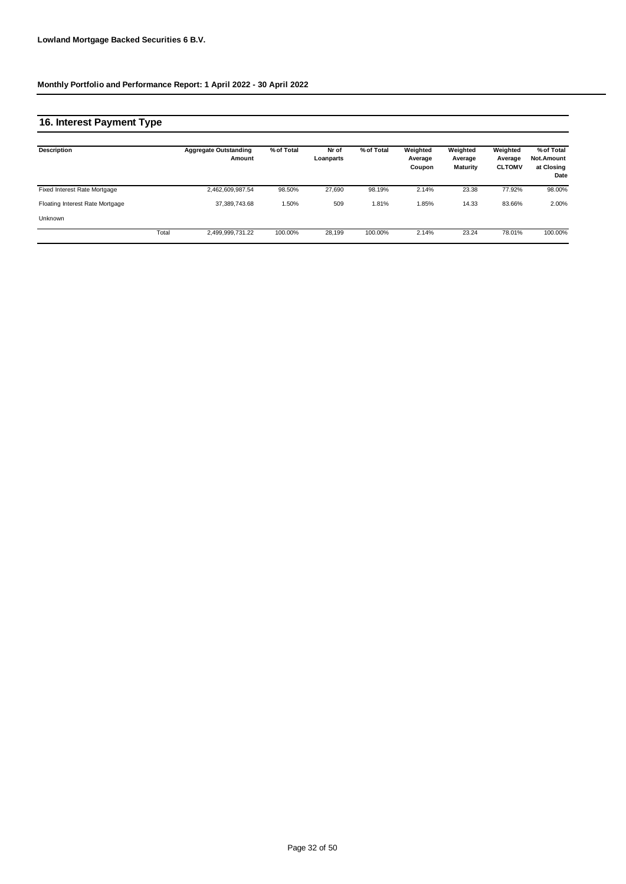## **16. Interest Payment Type**

| <b>Description</b>              |       | <b>Aggregate Outstanding</b><br>Amount | % of Total | Nr of<br>Loanparts | % of Total | Weighted<br>Average<br>Coupon | Weighted<br>Average<br><b>Maturity</b> | Weighted<br>Average<br><b>CLTOMV</b> | % of Total<br>Not.Amount<br>at Closing<br>Date |
|---------------------------------|-------|----------------------------------------|------------|--------------------|------------|-------------------------------|----------------------------------------|--------------------------------------|------------------------------------------------|
| Fixed Interest Rate Mortgage    |       | 2,462,609,987.54                       | 98.50%     | 27.690             | 98.19%     | 2.14%                         | 23.38                                  | 77.92%                               | 98.00%                                         |
| Floating Interest Rate Mortgage |       | 37,389,743.68                          | .50%       | 509                | 1.81%      | 1.85%                         | 14.33                                  | 83.66%                               | 2.00%                                          |
| Unknown                         |       |                                        |            |                    |            |                               |                                        |                                      |                                                |
|                                 | Total | 2,499,999,731.22                       | 100.00%    | 28.199             | 100.00%    | 2.14%                         | 23.24                                  | 78.01%                               | 100.00%                                        |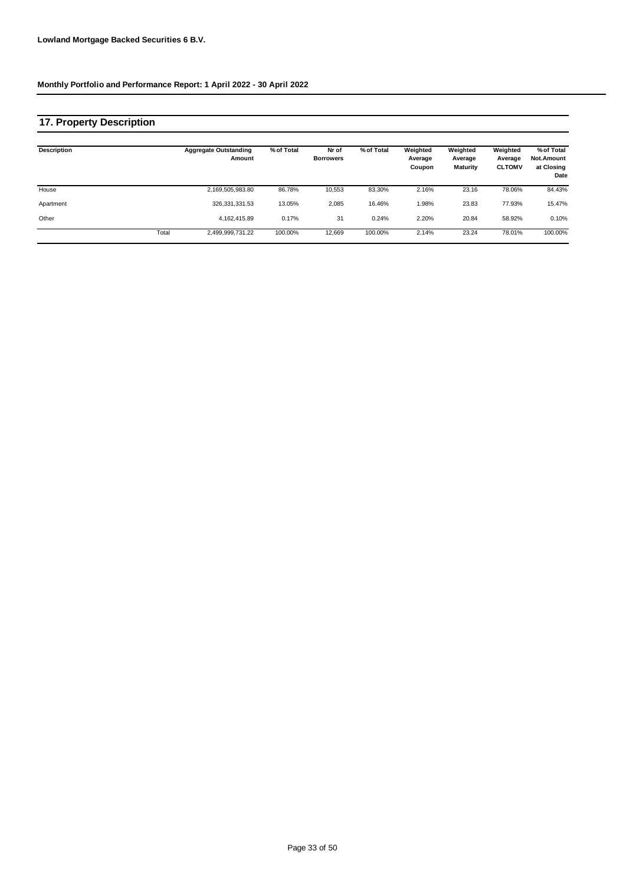## **17. Property Description**

| <b>Description</b> |       | <b>Aggregate Outstanding</b><br>Amount | % of Total | Nr of<br><b>Borrowers</b> | % of Total | Weighted<br>Average<br>Coupon | Weighted<br>Average<br><b>Maturity</b> | Weighted<br>Average<br><b>CLTOMV</b> | % of Total<br>Not.Amount<br>at Closing<br>Date |
|--------------------|-------|----------------------------------------|------------|---------------------------|------------|-------------------------------|----------------------------------------|--------------------------------------|------------------------------------------------|
| House              |       | 2,169,505,983.80                       | 86.78%     | 10,553                    | 83.30%     | 2.16%                         | 23.16                                  | 78.06%                               | 84.43%                                         |
| Apartment          |       | 326, 331, 331.53                       | 13.05%     | 2,085                     | 16.46%     | 1.98%                         | 23.83                                  | 77.93%                               | 15.47%                                         |
| Other              |       | 4.162.415.89                           | 0.17%      | 31                        | 0.24%      | 2.20%                         | 20.84                                  | 58.92%                               | 0.10%                                          |
|                    | Total | 2,499,999,731.22                       | 100.00%    | 12,669                    | 100.00%    | 2.14%                         | 23.24                                  | 78.01%                               | 100.00%                                        |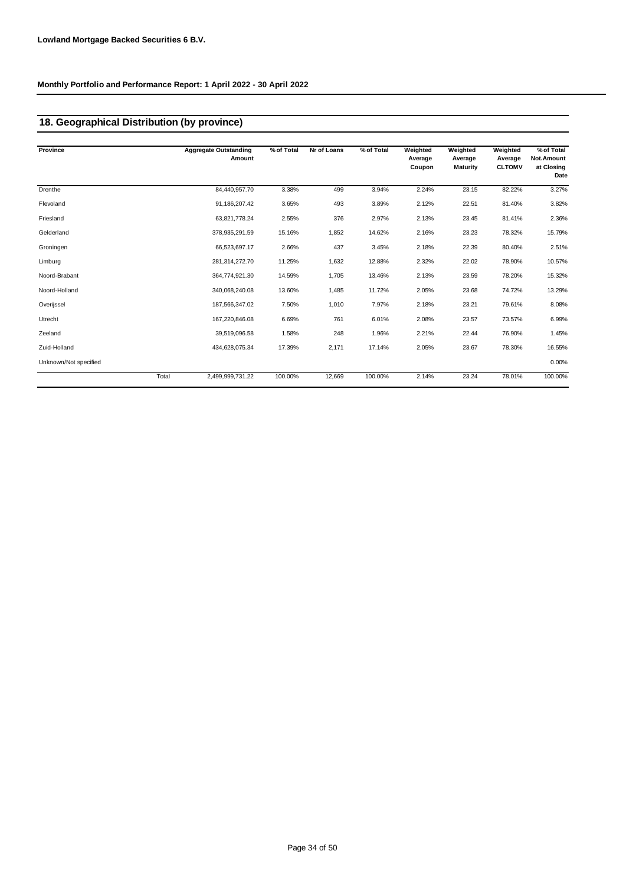# **18. Geographical Distribution (by province)**

| Province              |       | <b>Aggregate Outstanding</b><br>Amount | % of Total | Nr of Loans | % of Total | Weighted<br>Average<br>Coupon | Weighted<br>Average<br><b>Maturity</b> | Weighted<br>Average<br><b>CLTOMV</b> | % of Total<br>Not.Amount<br>at Closing |
|-----------------------|-------|----------------------------------------|------------|-------------|------------|-------------------------------|----------------------------------------|--------------------------------------|----------------------------------------|
|                       |       |                                        |            |             |            |                               |                                        |                                      | Date                                   |
| Drenthe               |       | 84,440,957.70                          | 3.38%      | 499         | 3.94%      | 2.24%                         | 23.15                                  | 82.22%                               | 3.27%                                  |
| Flevoland             |       | 91,186,207.42                          | 3.65%      | 493         | 3.89%      | 2.12%                         | 22.51                                  | 81.40%                               | 3.82%                                  |
| Friesland             |       | 63,821,778.24                          | 2.55%      | 376         | 2.97%      | 2.13%                         | 23.45                                  | 81.41%                               | 2.36%                                  |
| Gelderland            |       | 378,935,291.59                         | 15.16%     | 1,852       | 14.62%     | 2.16%                         | 23.23                                  | 78.32%                               | 15.79%                                 |
| Groningen             |       | 66,523,697.17                          | 2.66%      | 437         | 3.45%      | 2.18%                         | 22.39                                  | 80.40%                               | 2.51%                                  |
| Limburg               |       | 281,314,272.70                         | 11.25%     | 1,632       | 12.88%     | 2.32%                         | 22.02                                  | 78.90%                               | 10.57%                                 |
| Noord-Brabant         |       | 364,774,921.30                         | 14.59%     | 1,705       | 13.46%     | 2.13%                         | 23.59                                  | 78.20%                               | 15.32%                                 |
| Noord-Holland         |       | 340,068,240.08                         | 13.60%     | 1,485       | 11.72%     | 2.05%                         | 23.68                                  | 74.72%                               | 13.29%                                 |
| Overijssel            |       | 187,566,347.02                         | 7.50%      | 1,010       | 7.97%      | 2.18%                         | 23.21                                  | 79.61%                               | 8.08%                                  |
| Utrecht               |       | 167,220,846.08                         | 6.69%      | 761         | 6.01%      | 2.08%                         | 23.57                                  | 73.57%                               | 6.99%                                  |
| Zeeland               |       | 39,519,096.58                          | 1.58%      | 248         | 1.96%      | 2.21%                         | 22.44                                  | 76.90%                               | 1.45%                                  |
| Zuid-Holland          |       | 434,628,075.34                         | 17.39%     | 2,171       | 17.14%     | 2.05%                         | 23.67                                  | 78.30%                               | 16.55%                                 |
| Unknown/Not specified |       |                                        |            |             |            |                               |                                        |                                      | 0.00%                                  |
|                       | Total | 2,499,999,731.22                       | 100.00%    | 12,669      | 100.00%    | 2.14%                         | 23.24                                  | 78.01%                               | 100.00%                                |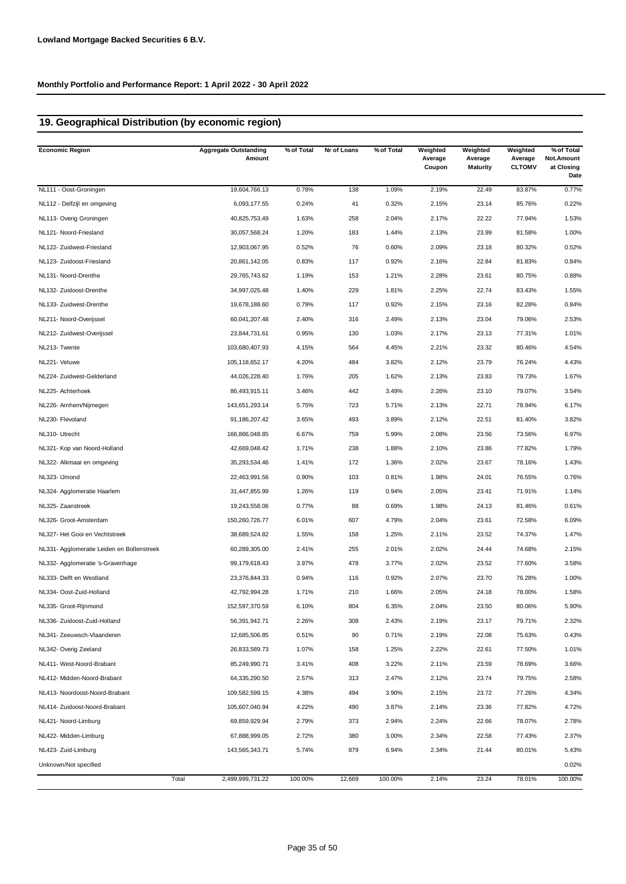# **19. Geographical Distribution (by economic region)**

| <b>Economic Region</b>                     | <b>Aggregate Outstanding</b><br>Amount | % of Total | Nr of Loans | % of Total | Weighted<br>Average<br>Coupon | Weighted<br>Average<br><b>Maturity</b> | Weighted<br>Average<br><b>CLTOMV</b> | % of Total<br>Not.Amount<br>at Closing<br>Date |
|--------------------------------------------|----------------------------------------|------------|-------------|------------|-------------------------------|----------------------------------------|--------------------------------------|------------------------------------------------|
| NL111 - Oost-Groningen                     | 19,604,766.13                          | 0.78%      | 138         | 1.09%      | 2.19%                         | 22.49                                  | 83.87%                               | 0.77%                                          |
| NL112 - Delfzijl en omgeving               | 6,093,177.55                           | 0.24%      | 41          | 0.32%      | 2.15%                         | 23.14                                  | 85.76%                               | 0.22%                                          |
| NL113- Overig Groningen                    | 40,825,753.49                          | 1.63%      | 258         | 2.04%      | 2.17%                         | 22.22                                  | 77.94%                               | 1.53%                                          |
| NL121- Noord-Friesland                     | 30,057,568.24                          | 1.20%      | 183         | 1.44%      | 2.13%                         | 23.99                                  | 81.58%                               | 1.00%                                          |
| NL122- Zuidwest-Friesland                  | 12,903,067.95                          | 0.52%      | 76          | 0.60%      | 2.09%                         | 23.18                                  | 80.32%                               | 0.52%                                          |
| NL123- Zuidoost-Friesland                  | 20,861,142.05                          | 0.83%      | 117         | 0.92%      | 2.16%                         | 22.84                                  | 81.83%                               | 0.84%                                          |
| NL131- Noord-Drenthe                       | 29,765,743.62                          | 1.19%      | 153         | 1.21%      | 2.28%                         | 23.61                                  | 80.75%                               | 0.88%                                          |
| NL132- Zuidoost-Drenthe                    | 34,997,025.48                          | 1.40%      | 229         | 1.81%      | 2.25%                         | 22.74                                  | 83.43%                               | 1.55%                                          |
| NL133- Zuidwest-Drenthe                    | 19,678,188.60                          | 0.79%      | 117         | 0.92%      | 2.15%                         | 23.16                                  | 82.28%                               | 0.84%                                          |
| NL211- Noord-Overijssel                    | 60,041,207.48                          | 2.40%      | 316         | 2.49%      | 2.13%                         | 23.04                                  | 79.06%                               | 2.53%                                          |
| NL212- Zuidwest-Overijssel                 | 23,844,731.61                          | 0.95%      | 130         | 1.03%      | 2.17%                         | 23.13                                  | 77.31%                               | 1.01%                                          |
| NL213- Twente                              | 103,680,407.93                         | 4.15%      | 564         | 4.45%      | 2.21%                         | 23.32                                  | 80.46%                               | 4.54%                                          |
| NL221- Veluwe                              | 105,118,652.17                         | 4.20%      | 484         | 3.82%      | 2.12%                         | 23.79                                  | 76.24%                               | 4.43%                                          |
| NL224- Zuidwest-Gelderland                 | 44,026,228.40                          | 1.76%      | 205         | 1.62%      | 2.13%                         | 23.83                                  | 79.73%                               | 1.67%                                          |
| NL225- Achterhoek                          | 86,493,915.11                          | 3.46%      | 442         | 3.49%      | 2.26%                         | 23.10                                  | 79.07%                               | 3.54%                                          |
| NL226- Arnhem/Nijmegen                     | 143,651,293.14                         | 5.75%      | 723         | 5.71%      | 2.13%                         | 22.71                                  | 78.94%                               | 6.17%                                          |
| NL230- Flevoland                           | 91,186,207.42                          | 3.65%      | 493         | 3.89%      | 2.12%                         | 22.51                                  | 81.40%                               | 3.82%                                          |
| NL310- Utrecht                             | 166,866,048.85                         | 6.67%      | 759         | 5.99%      | 2.08%                         | 23.56                                  | 73.56%                               | 6.97%                                          |
| NL321- Kop van Noord-Holland               | 42,669,048.42                          | 1.71%      | 238         | 1.88%      | 2.10%                         | 23.86                                  | 77.82%                               | 1.79%                                          |
| NL322- Alkmaar en omgeving                 | 35,293,534.46                          | 1.41%      | 172         | 1.36%      | 2.02%                         | 23.67                                  | 78.16%                               | 1.43%                                          |
| NL323- IJmond                              | 22,463,991.56                          | 0.90%      | 103         | 0.81%      | 1.98%                         | 24.01                                  | 76.55%                               | 0.76%                                          |
| NL324- Agglomeratie Haarlem                | 31,447,855.99                          | 1.26%      | 119         | 0.94%      | 2.05%                         | 23.41                                  | 71.91%                               | 1.14%                                          |
| NL325- Zaanstreek                          | 19,243,558.06                          | 0.77%      | 88          | 0.69%      | 1.98%                         | 24.13                                  | 81.46%                               | 0.61%                                          |
| NL326- Groot-Amsterdam                     | 150,260,726.77                         | 6.01%      | 607         | 4.79%      | 2.04%                         | 23.61                                  | 72.58%                               | 6.09%                                          |
| NL327- Het Gooi en Vechtstreek             | 38,689,524.82                          | 1.55%      | 158         | 1.25%      | 2.11%                         | 23.52                                  | 74.37%                               | 1.47%                                          |
| NL331- Agglomeratie Leiden en Bollenstreek | 60,289,305.00                          | 2.41%      | 255         | 2.01%      | 2.02%                         | 24.44                                  | 74.68%                               | 2.15%                                          |
| NL332- Agglomeratie 's-Gravenhage          | 99,179,618.43                          | 3.97%      | 478         | 3.77%      | 2.02%                         | 23.52                                  | 77.60%                               | 3.58%                                          |
| NL333- Delft en Westland                   | 23,376,844.33                          | 0.94%      | 116         | 0.92%      | 2.07%                         | 23.70                                  | 76.28%                               | 1.00%                                          |
| NL334- Oost-Zuid-Holland                   | 42,792,994.28                          | 1.71%      | 210         | 1.66%      | 2.05%                         | 24.18                                  | 78.00%                               | 1.58%                                          |
| NL335- Groot-Rijnmond                      | 152,597,370.59                         | 6.10%      | 804         | 6.35%      | 2.04%                         | 23.50                                  | 80.06%                               | 5.90%                                          |
| NL336- Zuidoost-Zuid-Holland               | 56,391,942.71                          | 2.26%      | 308         | 2.43%      | 2.19%                         | 23.17                                  | 79.71%                               | 2.32%                                          |
| NL341- Zeeuwsch-Vlaanderen                 | 12,685,506.85                          | 0.51%      | 90          | 0.71%      | 2.19%                         | 22.08                                  | 75.63%                               | 0.43%                                          |
| NL342- Overig Zeeland                      | 26,833,589.73                          | 1.07%      | 158         | 1.25%      | 2.22%                         | 22.61                                  | 77.50%                               | 1.01%                                          |
| NL411- West-Noord-Brabant                  | 85,249,990.71                          | 3.41%      | 408         | 3.22%      | 2.11%                         | 23.59                                  | 78.69%                               | 3.66%                                          |
| NL412- Midden-Noord-Brabant                | 64,335,290.50                          | 2.57%      | 313         | 2.47%      | 2.12%                         | 23.74                                  | 79.75%                               | 2.58%                                          |
| NL413- Noordoost-Noord-Brabant             | 109,582,599.15                         | 4.38%      | 494         | 3.90%      | 2.15%                         | 23.72                                  | 77.26%                               | 4.34%                                          |
| NL414- Zuidoost-Noord-Brabant              | 105,607,040.94                         | 4.22%      | 490         | 3.87%      | 2.14%                         | 23.36                                  | 77.82%                               | 4.72%                                          |
| NL421- Noord-Limburg                       | 69,859,929.94                          | 2.79%      | 373         | 2.94%      | 2.24%                         | 22.66                                  | 78.07%                               | 2.78%                                          |
| NL422- Midden-Limburg                      | 67,888,999.05                          | 2.72%      | 380         | 3.00%      | 2.34%                         | 22.58                                  | 77.43%                               | 2.37%                                          |
| NL423- Zuid-Limburg                        | 143,565,343.71                         | 5.74%      | 879         | 6.94%      | 2.34%                         | 21.44                                  | 80.01%                               | 5.43%                                          |
| Unknown/Not specified                      |                                        |            |             |            |                               |                                        |                                      | 0.02%                                          |
|                                            | Total<br>2,499,999,731.22              | 100.00%    | 12,669      | 100.00%    | 2.14%                         | 23.24                                  | 78.01%                               | 100.00%                                        |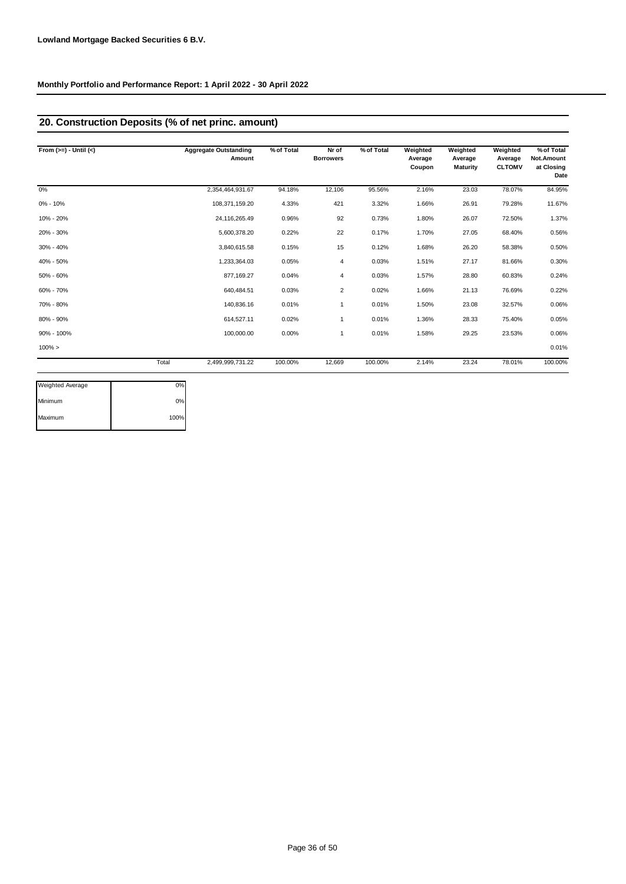## **20. Construction Deposits (% of net princ. amount)**

| From $(>=) -$ Until $(<)$ |       | <b>Aggregate Outstanding</b><br>Amount | % of Total | Nr of<br><b>Borrowers</b> | % of Total | Weighted<br>Average<br>Coupon | Weighted<br>Average<br><b>Maturity</b> | Weighted<br>Average<br><b>CLTOMV</b> | % of Total<br>Not.Amount<br>at Closing<br>Date |
|---------------------------|-------|----------------------------------------|------------|---------------------------|------------|-------------------------------|----------------------------------------|--------------------------------------|------------------------------------------------|
| 0%                        |       | 2,354,464,931.67                       | 94.18%     | 12,106                    | 95.56%     | 2.16%                         | 23.03                                  | 78.07%                               | 84.95%                                         |
| $0\% - 10\%$              |       | 108,371,159.20                         | 4.33%      | 421                       | 3.32%      | 1.66%                         | 26.91                                  | 79.28%                               | 11.67%                                         |
| 10% - 20%                 |       | 24,116,265.49                          | 0.96%      | 92                        | 0.73%      | 1.80%                         | 26.07                                  | 72.50%                               | 1.37%                                          |
| 20% - 30%                 |       | 5,600,378.20                           | 0.22%      | 22                        | 0.17%      | 1.70%                         | 27.05                                  | 68.40%                               | 0.56%                                          |
| 30% - 40%                 |       | 3,840,615.58                           | 0.15%      | 15                        | 0.12%      | 1.68%                         | 26.20                                  | 58.38%                               | 0.50%                                          |
| 40% - 50%                 |       | 1,233,364.03                           | 0.05%      | 4                         | 0.03%      | 1.51%                         | 27.17                                  | 81.66%                               | 0.30%                                          |
| 50% - 60%                 |       | 877,169.27                             | 0.04%      | 4                         | 0.03%      | 1.57%                         | 28.80                                  | 60.83%                               | 0.24%                                          |
| 60% - 70%                 |       | 640,484.51                             | 0.03%      | 2                         | 0.02%      | 1.66%                         | 21.13                                  | 76.69%                               | 0.22%                                          |
| 70% - 80%                 |       | 140,836.16                             | 0.01%      | 1                         | 0.01%      | 1.50%                         | 23.08                                  | 32.57%                               | 0.06%                                          |
| 80% - 90%                 |       | 614,527.11                             | 0.02%      | 1                         | 0.01%      | 1.36%                         | 28.33                                  | 75.40%                               | 0.05%                                          |
| 90% - 100%                |       | 100,000.00                             | 0.00%      | 1                         | 0.01%      | 1.58%                         | 29.25                                  | 23.53%                               | 0.06%                                          |
| $100\% >$                 |       |                                        |            |                           |            |                               |                                        |                                      | 0.01%                                          |
|                           | Total | 2,499,999,731.22                       | 100.00%    | 12,669                    | 100.00%    | 2.14%                         | 23.24                                  | 78.01%                               | 100.00%                                        |

| <b>Weighted Average</b> | 0%   |
|-------------------------|------|
| Minimum                 | 0%   |
| Maximum                 | 100% |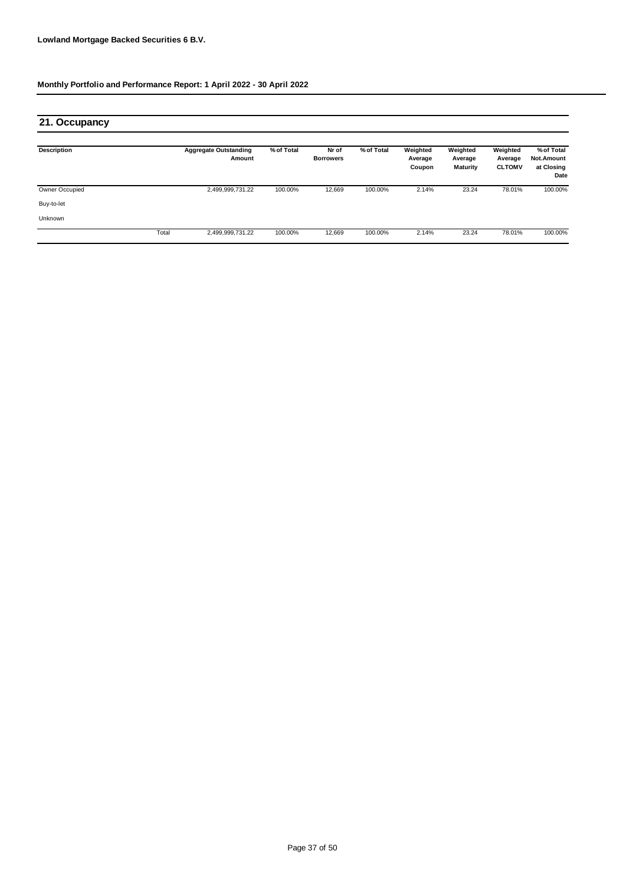| 21. Occupancy      |       |                                        |            |                           |            |                               |                                        |                                      |                                                |
|--------------------|-------|----------------------------------------|------------|---------------------------|------------|-------------------------------|----------------------------------------|--------------------------------------|------------------------------------------------|
| <b>Description</b> |       | <b>Aggregate Outstanding</b><br>Amount | % of Total | Nr of<br><b>Borrowers</b> | % of Total | Weighted<br>Average<br>Coupon | Weighted<br>Average<br><b>Maturity</b> | Weighted<br>Average<br><b>CLTOMV</b> | % of Total<br>Not.Amount<br>at Closing<br>Date |
| Owner Occupied     |       | 2,499,999,731.22                       | 100.00%    | 12,669                    | 100.00%    | 2.14%                         | 23.24                                  | 78.01%                               | 100.00%                                        |
| Buy-to-let         |       |                                        |            |                           |            |                               |                                        |                                      |                                                |
| Unknown            |       |                                        |            |                           |            |                               |                                        |                                      |                                                |
|                    | Total | 2,499,999,731.22                       | 100.00%    | 12,669                    | 100.00%    | 2.14%                         | 23.24                                  | 78.01%                               | 100.00%                                        |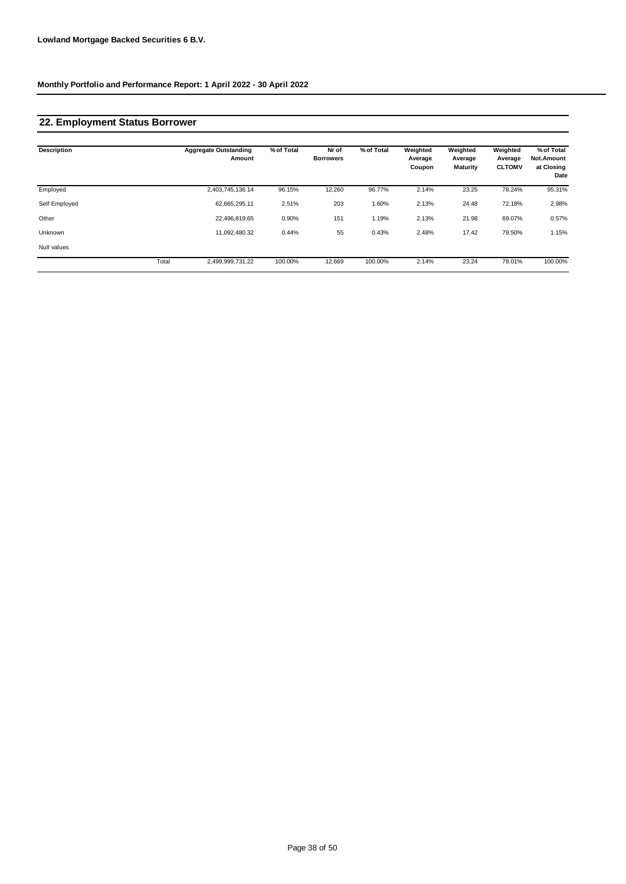## **22. Employment Status Borrower**

| <b>Description</b> |       | <b>Aggregate Outstanding</b><br>Amount | % of Total | Nr of<br><b>Borrowers</b> | % of Total | Weighted<br>Average<br>Coupon | Weighted<br>Average<br><b>Maturity</b> | Weighted<br>Average<br><b>CLTOMV</b> | % of Total<br><b>Not.Amount</b><br>at Closing<br>Date |
|--------------------|-------|----------------------------------------|------------|---------------------------|------------|-------------------------------|----------------------------------------|--------------------------------------|-------------------------------------------------------|
| Employed           |       | 2,403,745,136.14                       | 96.15%     | 12,260                    | 96.77%     | 2.14%                         | 23.25                                  | 78.24%                               | 95.31%                                                |
| Self Employed      |       | 62,665,295.11                          | 2.51%      | 203                       | 1.60%      | 2.13%                         | 24.48                                  | 72.18%                               | 2.98%                                                 |
| Other              |       | 22,496,819.65                          | 0.90%      | 151                       | 1.19%      | 2.13%                         | 21.98                                  | 69.07%                               | 0.57%                                                 |
| Unknown            |       | 11,092,480.32                          | 0.44%      | 55                        | 0.43%      | 2.48%                         | 17.42                                  | 79.50%                               | 1.15%                                                 |
| Null values        |       |                                        |            |                           |            |                               |                                        |                                      |                                                       |
|                    | Total | 2,499,999,731.22                       | 100.00%    | 12,669                    | 100.00%    | 2.14%                         | 23.24                                  | 78.01%                               | 100.00%                                               |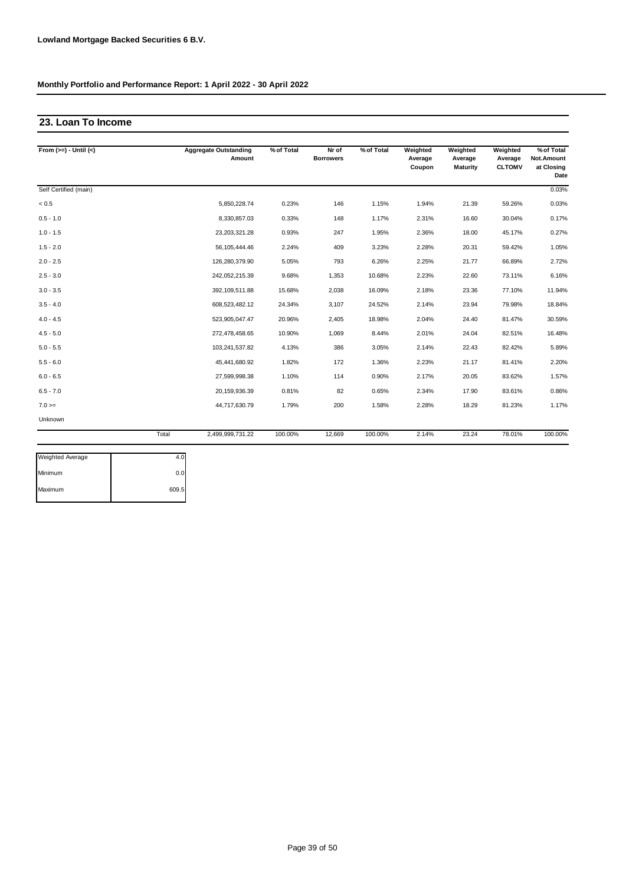#### **23. Loan To Income**

| From $(>=) -$ Until $(<)$ |       | <b>Aggregate Outstanding</b><br>Amount | % of Total | Nr of<br><b>Borrowers</b> | % of Total | Weighted<br>Average<br>Coupon | Weighted<br>Average<br><b>Maturity</b> | Weighted<br>Average<br><b>CLTOMV</b> | % of Total<br>Not.Amount<br>at Closing<br>Date |
|---------------------------|-------|----------------------------------------|------------|---------------------------|------------|-------------------------------|----------------------------------------|--------------------------------------|------------------------------------------------|
| Self Certified (main)     |       |                                        |            |                           |            |                               |                                        |                                      | 0.03%                                          |
| < 0.5                     |       | 5,850,228.74                           | 0.23%      | 146                       | 1.15%      | 1.94%                         | 21.39                                  | 59.26%                               | 0.03%                                          |
| $0.5 - 1.0$               |       | 8,330,857.03                           | 0.33%      | 148                       | 1.17%      | 2.31%                         | 16.60                                  | 30.04%                               | 0.17%                                          |
| $1.0 - 1.5$               |       | 23,203,321.28                          | 0.93%      | 247                       | 1.95%      | 2.36%                         | 18.00                                  | 45.17%                               | 0.27%                                          |
| $1.5 - 2.0$               |       | 56,105,444.46                          | 2.24%      | 409                       | 3.23%      | 2.28%                         | 20.31                                  | 59.42%                               | 1.05%                                          |
| $2.0 - 2.5$               |       | 126,280,379.90                         | 5.05%      | 793                       | 6.26%      | 2.25%                         | 21.77                                  | 66.89%                               | 2.72%                                          |
| $2.5 - 3.0$               |       | 242,052,215.39                         | 9.68%      | 1,353                     | 10.68%     | 2.23%                         | 22.60                                  | 73.11%                               | 6.16%                                          |
| $3.0 - 3.5$               |       | 392,109,511.88                         | 15.68%     | 2,038                     | 16.09%     | 2.18%                         | 23.36                                  | 77.10%                               | 11.94%                                         |
| $3.5 - 4.0$               |       | 608,523,482.12                         | 24.34%     | 3,107                     | 24.52%     | 2.14%                         | 23.94                                  | 79.98%                               | 18.84%                                         |
| $4.0 - 4.5$               |       | 523,905,047.47                         | 20.96%     | 2,405                     | 18.98%     | 2.04%                         | 24.40                                  | 81.47%                               | 30.59%                                         |
| $4.5 - 5.0$               |       | 272,478,458.65                         | 10.90%     | 1,069                     | 8.44%      | 2.01%                         | 24.04                                  | 82.51%                               | 16.48%                                         |
| $5.0 - 5.5$               |       | 103,241,537.82                         | 4.13%      | 386                       | 3.05%      | 2.14%                         | 22.43                                  | 82.42%                               | 5.89%                                          |
| $5.5 - 6.0$               |       | 45,441,680.92                          | 1.82%      | 172                       | 1.36%      | 2.23%                         | 21.17                                  | 81.41%                               | 2.20%                                          |
| $6.0 - 6.5$               |       | 27,599,998.38                          | 1.10%      | 114                       | 0.90%      | 2.17%                         | 20.05                                  | 83.62%                               | 1.57%                                          |
| $6.5 - 7.0$               |       | 20,159,936.39                          | 0.81%      | 82                        | 0.65%      | 2.34%                         | 17.90                                  | 83.61%                               | 0.86%                                          |
| $7.0 =$                   |       | 44,717,630.79                          | 1.79%      | 200                       | 1.58%      | 2.28%                         | 18.29                                  | 81.23%                               | 1.17%                                          |
| Unknown                   |       |                                        |            |                           |            |                               |                                        |                                      |                                                |
|                           | Total | 2,499,999,731.22                       | 100.00%    | 12.669                    | 100.00%    | 2.14%                         | 23.24                                  | 78.01%                               | 100.00%                                        |

| 0.0   |
|-------|
| 609.5 |
|       |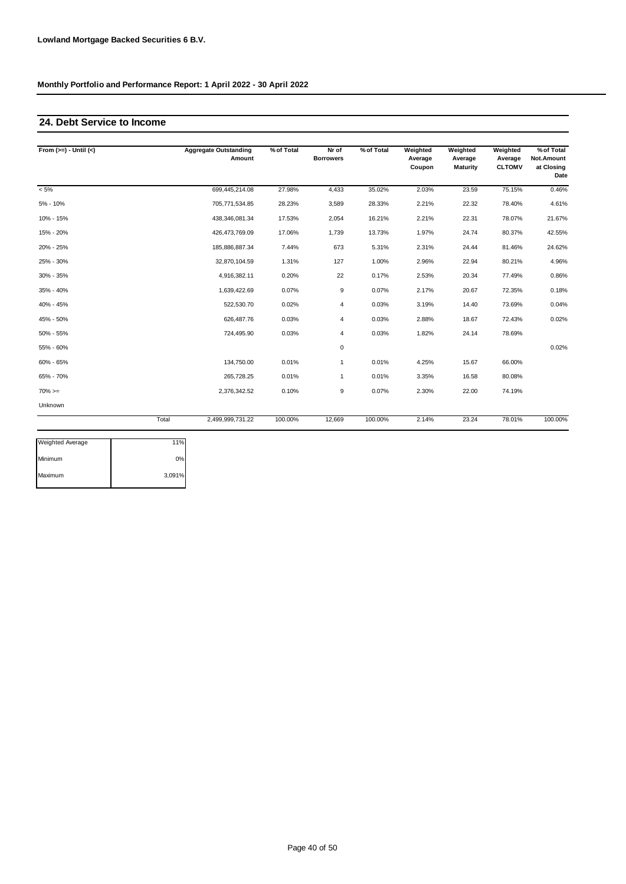#### **24. Debt Service to Income**

| From $(>=) -$ Until $(<)$ |       | <b>Aggregate Outstanding</b><br>Amount | % of Total | Nr of<br><b>Borrowers</b> | % of Total | Weighted<br>Average<br>Coupon | Weighted<br>Average<br>Maturity | Weighted<br>Average<br><b>CLTOMV</b> | % of Total<br>Not.Amount<br>at Closing<br>Date |
|---------------------------|-------|----------------------------------------|------------|---------------------------|------------|-------------------------------|---------------------------------|--------------------------------------|------------------------------------------------|
| $< 5\%$                   |       | 699,445,214.08                         | 27.98%     | 4,433                     | 35.02%     | 2.03%                         | 23.59                           | 75.15%                               | 0.46%                                          |
| $5% - 10%$                |       | 705,771,534.85                         | 28.23%     | 3,589                     | 28.33%     | 2.21%                         | 22.32                           | 78.40%                               | 4.61%                                          |
| 10% - 15%                 |       | 438,346,081.34                         | 17.53%     | 2,054                     | 16.21%     | 2.21%                         | 22.31                           | 78.07%                               | 21.67%                                         |
| 15% - 20%                 |       | 426,473,769.09                         | 17.06%     | 1,739                     | 13.73%     | 1.97%                         | 24.74                           | 80.37%                               | 42.55%                                         |
| 20% - 25%                 |       | 185,886,887.34                         | 7.44%      | 673                       | 5.31%      | 2.31%                         | 24.44                           | 81.46%                               | 24.62%                                         |
| 25% - 30%                 |       | 32.870.104.59                          | 1.31%      | 127                       | 1.00%      | 2.96%                         | 22.94                           | 80.21%                               | 4.96%                                          |
| 30% - 35%                 |       | 4,916,382.11                           | 0.20%      | 22                        | 0.17%      | 2.53%                         | 20.34                           | 77.49%                               | 0.86%                                          |
| 35% - 40%                 |       | 1,639,422.69                           | 0.07%      | 9                         | 0.07%      | 2.17%                         | 20.67                           | 72.35%                               | 0.18%                                          |
| 40% - 45%                 |       | 522,530.70                             | 0.02%      | $\overline{4}$            | 0.03%      | 3.19%                         | 14.40                           | 73.69%                               | 0.04%                                          |
| 45% - 50%                 |       | 626,487.76                             | 0.03%      | 4                         | 0.03%      | 2.88%                         | 18.67                           | 72.43%                               | 0.02%                                          |
| 50% - 55%                 |       | 724,495.90                             | 0.03%      | $\overline{4}$            | 0.03%      | 1.82%                         | 24.14                           | 78.69%                               |                                                |
| 55% - 60%                 |       |                                        |            | $\mathbf 0$               |            |                               |                                 |                                      | 0.02%                                          |
| 60% - 65%                 |       | 134,750.00                             | 0.01%      | $\mathbf{1}$              | 0.01%      | 4.25%                         | 15.67                           | 66.00%                               |                                                |
| 65% - 70%                 |       | 265,728.25                             | 0.01%      | $\mathbf{1}$              | 0.01%      | 3.35%                         | 16.58                           | 80.08%                               |                                                |
| $70\%>=$                  |       | 2,376,342.52                           | 0.10%      | 9                         | 0.07%      | 2.30%                         | 22.00                           | 74.19%                               |                                                |
| Unknown                   |       |                                        |            |                           |            |                               |                                 |                                      |                                                |
|                           | Total | 2,499,999,731.22                       | 100.00%    | 12,669                    | 100.00%    | 2.14%                         | 23.24                           | 78.01%                               | 100.00%                                        |

| <b>Weighted Average</b> | 11%    |
|-------------------------|--------|
| Minimum                 | 0%     |
| Maximum                 | 3,091% |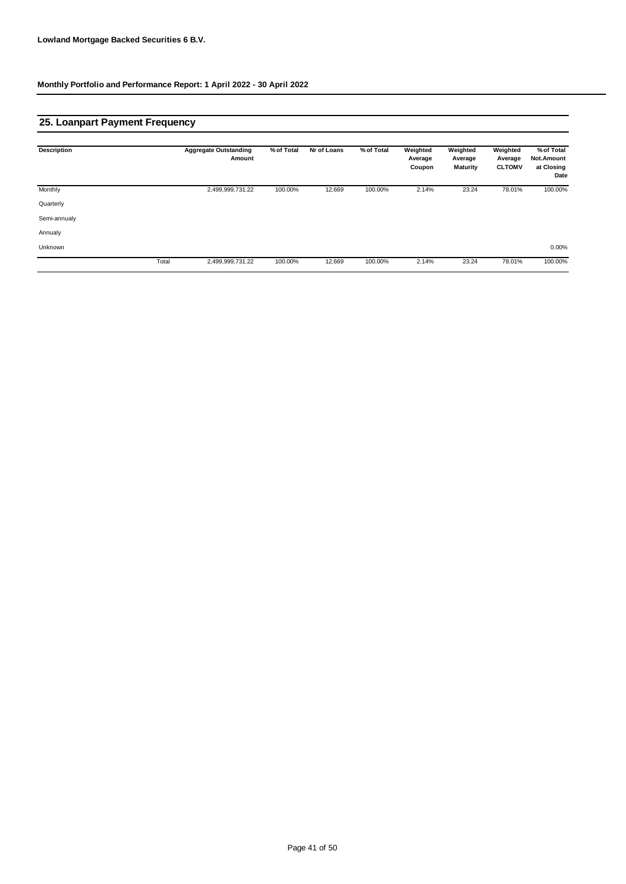## **25. Loanpart Payment Frequency**

| <b>Description</b> |       | <b>Aggregate Outstanding</b><br>Amount | % of Total | Nr of Loans | % of Total | Weighted<br>Average<br>Coupon | Weighted<br>Average<br><b>Maturity</b> | Weighted<br>Average<br><b>CLTOMV</b> | % of Total<br>Not.Amount<br>at Closing<br>Date |
|--------------------|-------|----------------------------------------|------------|-------------|------------|-------------------------------|----------------------------------------|--------------------------------------|------------------------------------------------|
| Monthly            |       | 2,499,999,731.22                       | 100.00%    | 12,669      | 100.00%    | 2.14%                         | 23.24                                  | 78.01%                               | 100.00%                                        |
| Quarterly          |       |                                        |            |             |            |                               |                                        |                                      |                                                |
| Semi-annualy       |       |                                        |            |             |            |                               |                                        |                                      |                                                |
| Annualy            |       |                                        |            |             |            |                               |                                        |                                      |                                                |
| Unknown            |       |                                        |            |             |            |                               |                                        |                                      | 0.00%                                          |
|                    | Total | 2,499,999,731.22                       | 100.00%    | 12,669      | 100.00%    | 2.14%                         | 23.24                                  | 78.01%                               | 100.00%                                        |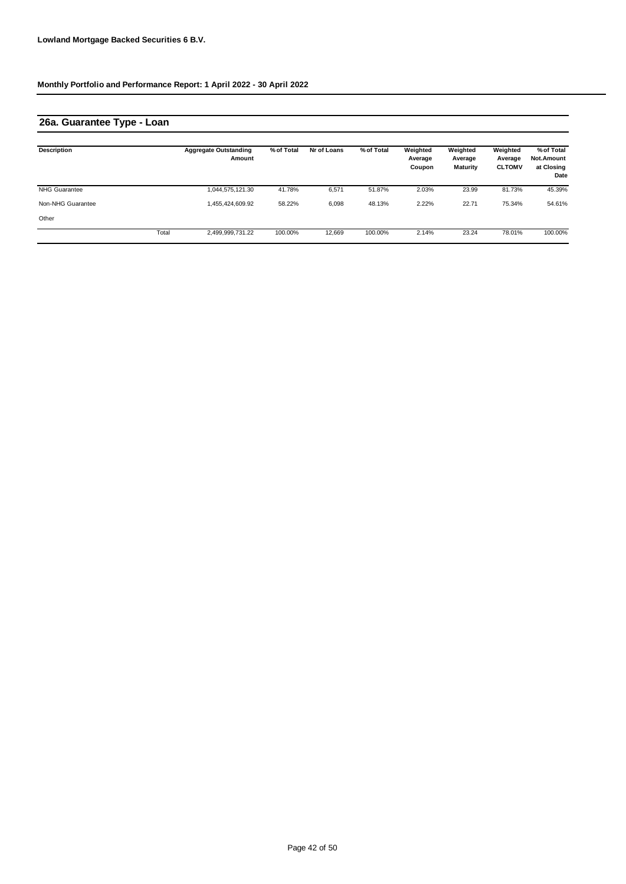## **26a. Guarantee Type - Loan**

| Description          |       | <b>Aggregate Outstanding</b><br>Amount | % of Total | Nr of Loans | % of Total | Weighted<br>Average<br>Coupon | Weighted<br>Average<br><b>Maturity</b> | Weighted<br>Average<br><b>CLTOMV</b> | % of Total<br>Not.Amount<br>at Closing<br>Date |
|----------------------|-------|----------------------------------------|------------|-------------|------------|-------------------------------|----------------------------------------|--------------------------------------|------------------------------------------------|
| <b>NHG Guarantee</b> |       | 1,044,575,121.30                       | 41.78%     | 6,571       | 51.87%     | 2.03%                         | 23.99                                  | 81.73%                               | 45.39%                                         |
| Non-NHG Guarantee    |       | 1,455,424,609.92                       | 58.22%     | 6,098       | 48.13%     | 2.22%                         | 22.71                                  | 75.34%                               | 54.61%                                         |
| Other                |       |                                        |            |             |            |                               |                                        |                                      |                                                |
|                      | Total | 2,499,999,731.22                       | 100.00%    | 12,669      | 100.00%    | 2.14%                         | 23.24                                  | 78.01%                               | 100.00%                                        |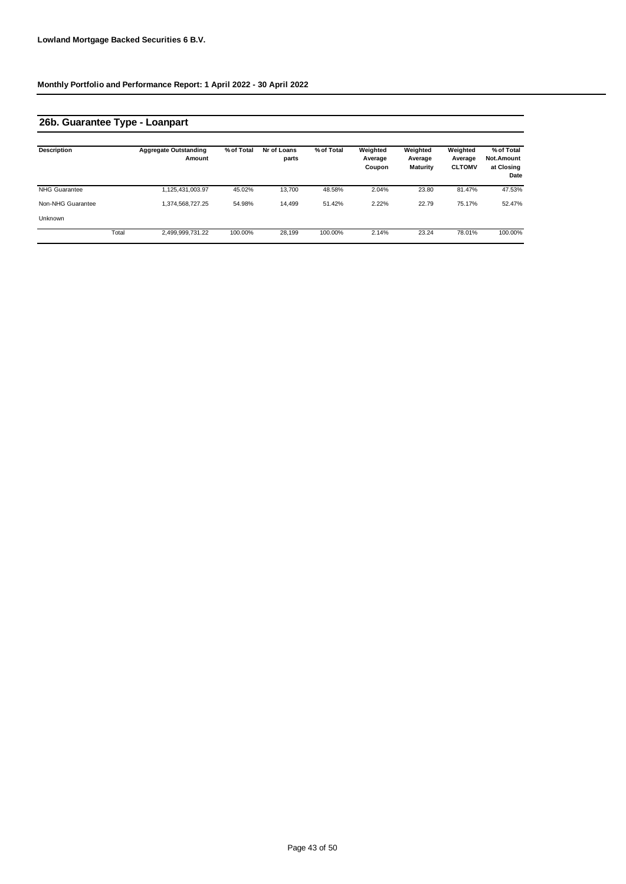## **26b. Guarantee Type - Loanpart**

| <b>Description</b>   |       | <b>Aggregate Outstanding</b><br>Amount | % of Total | Nr of Loans<br>parts | % of Total | Weighted<br>Average<br>Coupon | Weighted<br>Average<br>Maturity | Weighted<br>Average<br><b>CLTOMV</b> | % of Total<br><b>Not.Amount</b><br>at Closing<br>Date |
|----------------------|-------|----------------------------------------|------------|----------------------|------------|-------------------------------|---------------------------------|--------------------------------------|-------------------------------------------------------|
| <b>NHG Guarantee</b> |       | 1,125,431,003.97                       | 45.02%     | 13.700               | 48.58%     | 2.04%                         | 23.80                           | 81.47%                               | 47.53%                                                |
| Non-NHG Guarantee    |       | 1,374,568,727.25                       | 54.98%     | 14.499               | 51.42%     | 2.22%                         | 22.79                           | 75.17%                               | 52.47%                                                |
| Unknown              |       |                                        |            |                      |            |                               |                                 |                                      |                                                       |
|                      | Total | 2,499,999,731.22                       | 100.00%    | 28.199               | 100.00%    | 2.14%                         | 23.24                           | 78.01%                               | 100.00%                                               |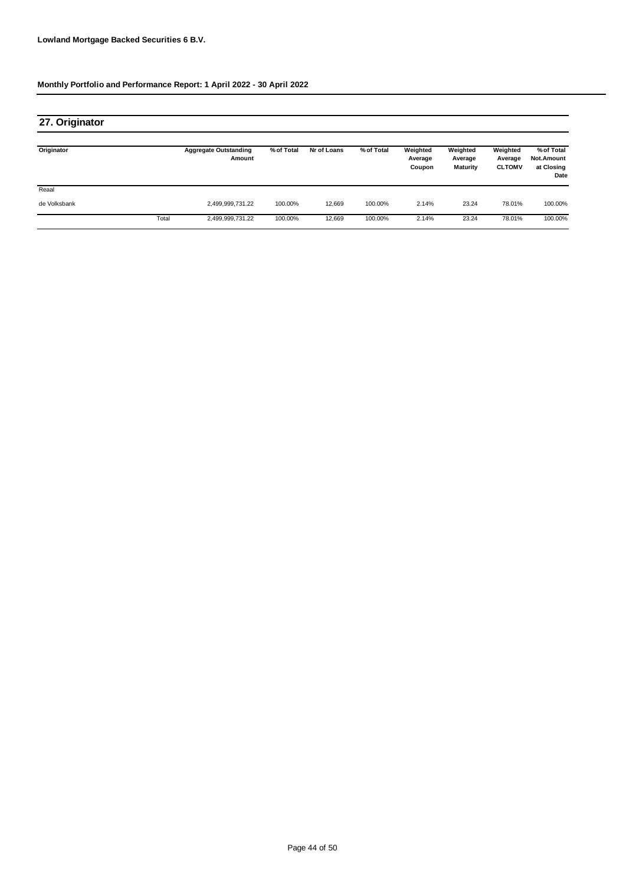| 27. Originator |       |                                        |            |             |            |                               |                                        |                                      |                                                |
|----------------|-------|----------------------------------------|------------|-------------|------------|-------------------------------|----------------------------------------|--------------------------------------|------------------------------------------------|
| Originator     |       | <b>Aggregate Outstanding</b><br>Amount | % of Total | Nr of Loans | % of Total | Weighted<br>Average<br>Coupon | Weighted<br>Average<br><b>Maturity</b> | Weighted<br>Average<br><b>CLTOMV</b> | % of Total<br>Not.Amount<br>at Closing<br>Date |
| Reaal          |       |                                        |            |             |            |                               |                                        |                                      |                                                |
| de Volksbank   |       | 2,499,999,731.22                       | 100.00%    | 12,669      | 100.00%    | 2.14%                         | 23.24                                  | 78.01%                               | 100.00%                                        |
|                | Total | 2,499,999,731.22                       | 100.00%    | 12,669      | 100.00%    | 2.14%                         | 23.24                                  | 78.01%                               | 100.00%                                        |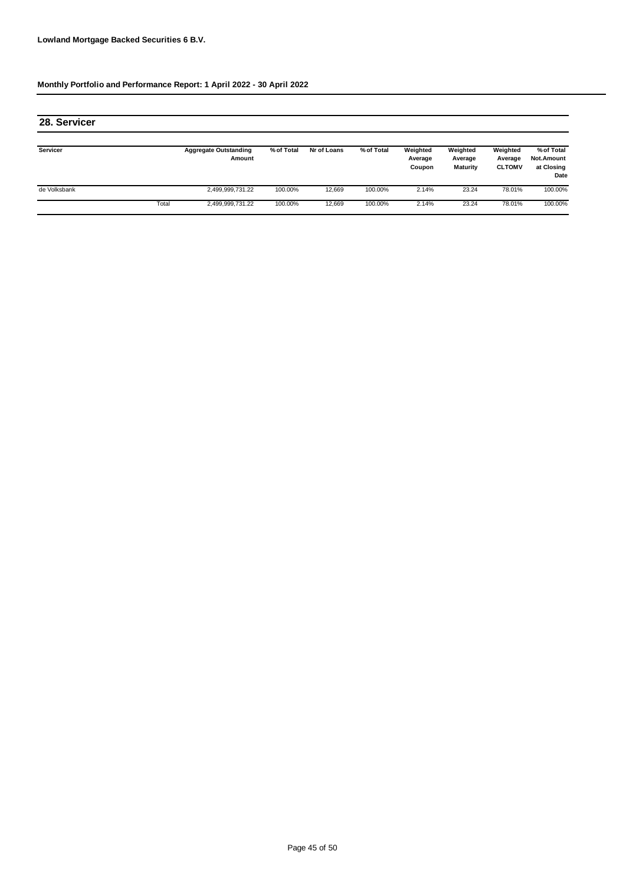| 28. Servicer    |       |                                        |            |             |            |                               |                                        |                                      |                                                |
|-----------------|-------|----------------------------------------|------------|-------------|------------|-------------------------------|----------------------------------------|--------------------------------------|------------------------------------------------|
| <b>Servicer</b> |       | <b>Aggregate Outstanding</b><br>Amount | % of Total | Nr of Loans | % of Total | Weighted<br>Average<br>Coupon | Weighted<br>Average<br><b>Maturity</b> | Weighted<br>Average<br><b>CLTOMV</b> | % of Total<br>Not.Amount<br>at Closing<br>Date |
| de Volksbank    |       | 2,499,999,731.22                       | 100.00%    | 12.669      | 100.00%    | 2.14%                         | 23.24                                  | 78.01%                               | 100.00%                                        |
|                 | Total | 2,499,999,731.22                       | 100.00%    | 12.669      | 100.00%    | 2.14%                         | 23.24                                  | 78.01%                               | 100.00%                                        |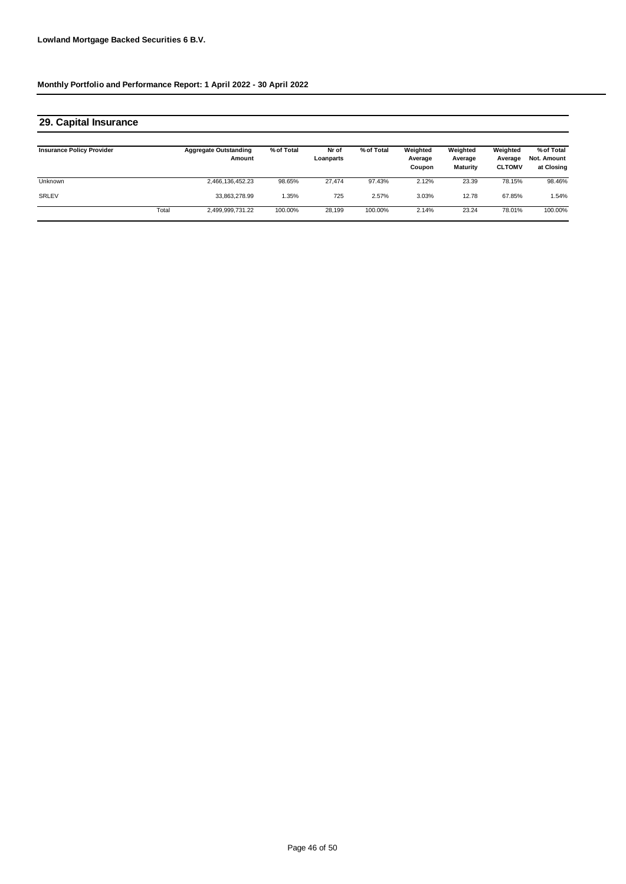| 29. Capital Insurance            |       |                                        |            |                    |            |                               |                                        |                                      |                                         |
|----------------------------------|-------|----------------------------------------|------------|--------------------|------------|-------------------------------|----------------------------------------|--------------------------------------|-----------------------------------------|
| <b>Insurance Policy Provider</b> |       | <b>Aggregate Outstanding</b><br>Amount | % of Total | Nr of<br>Loanparts | % of Total | Weighted<br>Average<br>Coupon | Weighted<br>Average<br><b>Maturity</b> | Weighted<br>Average<br><b>CLTOMV</b> | % of Total<br>Not. Amount<br>at Closing |
| Unknown                          |       | 2,466,136,452.23                       | 98.65%     | 27.474             | 97.43%     | 2.12%                         | 23.39                                  | 78.15%                               | 98.46%                                  |
| SRLEV                            |       | 33.863.278.99                          | .35%       | 725                | 2.57%      | 3.03%                         | 12.78                                  | 67.85%                               | 1.54%                                   |
|                                  | Total | 2,499,999,731.22                       | 100.00%    | 28.199             | 100.00%    | 2.14%                         | 23.24                                  | 78.01%                               | 100.00%                                 |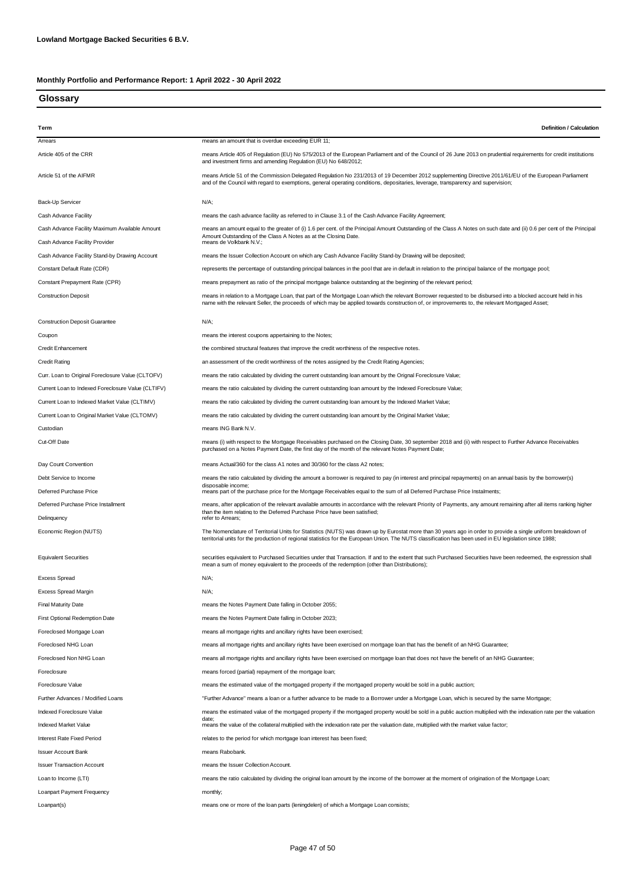#### **Glossary**

| Term                                                                             | <b>Definition / Calculation</b>                                                                                                                                                                                                                                                                                          |
|----------------------------------------------------------------------------------|--------------------------------------------------------------------------------------------------------------------------------------------------------------------------------------------------------------------------------------------------------------------------------------------------------------------------|
| Arrears                                                                          | means an amount that is overdue exceeding EUR 11;                                                                                                                                                                                                                                                                        |
| Article 405 of the CRR                                                           | means Article 405 of Regulation (EU) No 575/2013 of the European Parliament and of the Council of 26 June 2013 on prudential requirements for credit institutions<br>and investment firms and amending Regulation (EU) No 648/2012;                                                                                      |
| Article 51 of the AIFMR                                                          | means Article 51 of the Commission Delegated Regulation No 231/2013 of 19 December 2012 supplementing Directive 2011/61/EU of the European Parliament<br>and of the Council with regard to exemptions, general operating conditions, depositaries, leverage, transparency and supervision;                               |
| Back-Up Servicer                                                                 | N/A;                                                                                                                                                                                                                                                                                                                     |
| Cash Advance Facility                                                            | means the cash advance facility as referred to in Clause 3.1 of the Cash Advance Facility Agreement;                                                                                                                                                                                                                     |
| Cash Advance Facility Maximum Available Amount<br>Cash Advance Facility Provider | means an amount equal to the greater of (i) 1.6 per cent. of the Principal Amount Outstanding of the Class A Notes on such date and (ii) 0.6 per cent of the Principal<br>Amount Outstanding of the Class A Notes as at the Closing Date.<br>means de Volkbank N.V.;                                                     |
| Cash Advance Facility Stand-by Drawing Account                                   | means the Issuer Collection Account on which any Cash Advance Facility Stand-by Drawing will be deposited;                                                                                                                                                                                                               |
| Constant Default Rate (CDR)                                                      | represents the percentage of outstanding principal balances in the pool that are in default in relation to the principal balance of the mortgage pool;                                                                                                                                                                   |
| Constant Prepayment Rate (CPR)                                                   | means prepayment as ratio of the principal mortgage balance outstanding at the beginning of the relevant period;                                                                                                                                                                                                         |
| <b>Construction Deposit</b>                                                      | means in relation to a Mortgage Loan, that part of the Mortgage Loan which the relevant Borrower requested to be disbursed into a blocked account held in his<br>name with the relevant Seller, the proceeds of which may be applied towards construction of, or improvements to, the relevant Mortgaged Asset;          |
| <b>Construction Deposit Guarantee</b>                                            | $N/A$ ;                                                                                                                                                                                                                                                                                                                  |
| Coupon                                                                           | means the interest coupons appertaining to the Notes;                                                                                                                                                                                                                                                                    |
| <b>Credit Enhancement</b>                                                        | the combined structural features that improve the credit worthiness of the respective notes.                                                                                                                                                                                                                             |
| <b>Credit Rating</b>                                                             | an assessment of the credit worthiness of the notes assigned by the Credit Rating Agencies;                                                                                                                                                                                                                              |
| Curr. Loan to Original Foreclosure Value (CLTOFV)                                | means the ratio calculated by dividing the current outstanding loan amount by the Orignal Foreclosure Value;                                                                                                                                                                                                             |
| Current Loan to Indexed Foreclosure Value (CLTIFV)                               | means the ratio calculated by dividing the current outstanding loan amount by the Indexed Foreclosure Value;                                                                                                                                                                                                             |
| Current Loan to Indexed Market Value (CLTIMV)                                    | means the ratio calculated by dividing the current outstanding loan amount by the Indexed Market Value;                                                                                                                                                                                                                  |
| Current Loan to Original Market Value (CLTOMV)                                   | means the ratio calculated by dividing the current outstanding loan amount by the Original Market Value;                                                                                                                                                                                                                 |
| Custodian                                                                        | means ING Bank N.V.                                                                                                                                                                                                                                                                                                      |
| Cut-Off Date                                                                     | means (i) with respect to the Mortgage Receivables purchased on the Closing Date, 30 september 2018 and (ii) with respect to Further Advance Receivables                                                                                                                                                                 |
|                                                                                  | purchased on a Notes Payment Date, the first day of the month of the relevant Notes Payment Date;                                                                                                                                                                                                                        |
| Day Count Convention                                                             | means Actual/360 for the class A1 notes and 30/360 for the class A2 notes;                                                                                                                                                                                                                                               |
| Debt Service to Income                                                           | means the ratio calculated by dividing the amount a borrower is required to pay (in interest and principal repayments) on an annual basis by the borrower(s)<br>disposable income;                                                                                                                                       |
| Deferred Purchase Price                                                          | means part of the purchase price for the Mortgage Receivables equal to the sum of all Deferred Purchase Price Instalments;                                                                                                                                                                                               |
| Deferred Purchase Price Installment<br>Delinquency                               | means, after application of the relevant available amounts in accordance with the relevant Priority of Payments, any amount remaining after all items ranking higher<br>than the item relating to the Deferred Purchase Price have been satisfied;<br>refer to Arrears;                                                  |
| Economic Region (NUTS)                                                           | The Nomenclature of Territorial Units for Statistics (NUTS) was drawn up by Eurostat more than 30 years ago in order to provide a single uniform breakdown of<br>territorial units for the production of regional statistics for the European Union. The NUTS classification has been used in EU legislation since 1988; |
| <b>Equivalent Securities</b>                                                     | securities equivalent to Purchased Securities under that Transaction. If and to the extent that such Purchased Securities have been redeemed, the expression shall<br>mean a sum of money equivalent to the proceeds of the redemption (other than Distributions);                                                       |
| <b>Excess Spread</b>                                                             | N/A:                                                                                                                                                                                                                                                                                                                     |
| Excess Spread Margin                                                             | $N/A$ ;                                                                                                                                                                                                                                                                                                                  |
| <b>Final Maturity Date</b>                                                       | means the Notes Payment Date falling in October 2055;                                                                                                                                                                                                                                                                    |
| First Optional Redemption Date                                                   | means the Notes Payment Date falling in October 2023;                                                                                                                                                                                                                                                                    |
| Foreclosed Mortgage Loan                                                         | means all mortgage rights and ancillary rights have been exercised;                                                                                                                                                                                                                                                      |
| Foreclosed NHG Loan                                                              | means all mortgage rights and ancillary rights have been exercised on mortgage loan that has the benefit of an NHG Guarantee;                                                                                                                                                                                            |
| Foreclosed Non NHG Loan                                                          | means all mortgage rights and ancillary rights have been exercised on mortgage loan that does not have the benefit of an NHG Guarantee;                                                                                                                                                                                  |
| Foreclosure                                                                      | means forced (partial) repayment of the mortgage loan;                                                                                                                                                                                                                                                                   |
| Foreclosure Value                                                                | means the estimated value of the mortgaged property if the mortgaged property would be sold in a public auction;                                                                                                                                                                                                         |
| Further Advances / Modified Loans                                                | "Further Advance" means a loan or a further advance to be made to a Borrower under a Mortgage Loan, which is secured by the same Mortgage;                                                                                                                                                                               |
| Indexed Foreclosure Value                                                        | means the estimated value of the mortgaged property if the mortgaged property would be sold in a public auction multiplied with the indexation rate per the valuation                                                                                                                                                    |
| Indexed Market Value                                                             | date:<br>means the value of the collateral multiplied with the indexation rate per the valuation date, multiplied with the market value factor;                                                                                                                                                                          |
| Interest Rate Fixed Period                                                       | relates to the period for which mortgage loan interest has been fixed;                                                                                                                                                                                                                                                   |
| <b>Issuer Account Bank</b>                                                       | means Rabobank.                                                                                                                                                                                                                                                                                                          |
| <b>Issuer Transaction Account</b>                                                | means the Issuer Collection Account.                                                                                                                                                                                                                                                                                     |
| Loan to Income (LTI)                                                             | means the ratio calculated by dividing the original loan amount by the income of the borrower at the moment of origination of the Mortgage Loan;                                                                                                                                                                         |
| Loanpart Payment Frequency                                                       | monthly;                                                                                                                                                                                                                                                                                                                 |
| Loanpart(s)                                                                      | means one or more of the loan parts (leningdelen) of which a Mortgage Loan consists;                                                                                                                                                                                                                                     |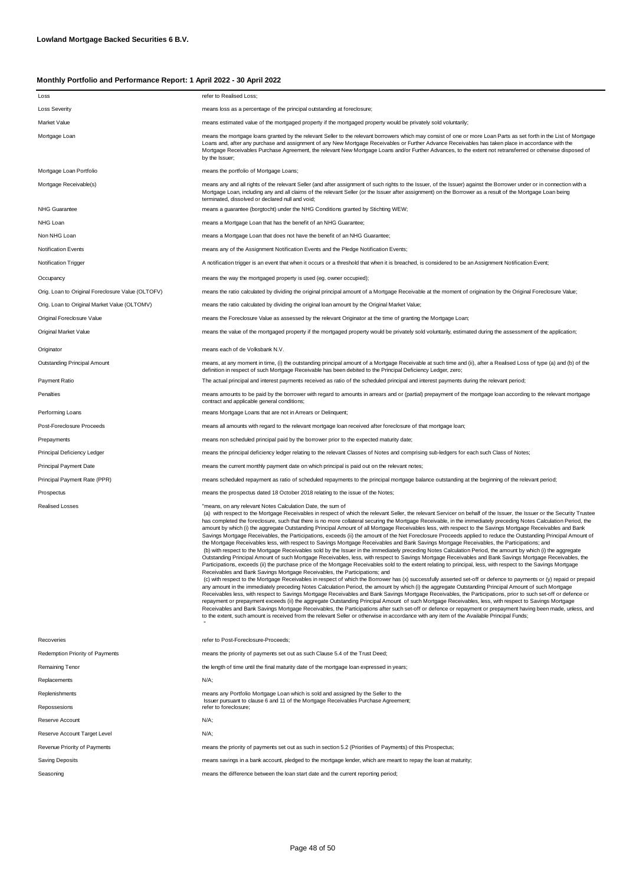| Loss                                              | refer to Realised Loss;                                                                                                                                                                                                                                                                                                                                                                                                                                                                                                                                                                                                                                                                                                                                                                                                                                                                                                                                                                                                                                                                                                                                                                                                                                                                                                                                                                                                                                                                                                                                                                                                                                                                                                                                                                                                                                                                                                                                                                                                                                                                                                                                                                                                                                                                                                                                                                                                                        |
|---------------------------------------------------|------------------------------------------------------------------------------------------------------------------------------------------------------------------------------------------------------------------------------------------------------------------------------------------------------------------------------------------------------------------------------------------------------------------------------------------------------------------------------------------------------------------------------------------------------------------------------------------------------------------------------------------------------------------------------------------------------------------------------------------------------------------------------------------------------------------------------------------------------------------------------------------------------------------------------------------------------------------------------------------------------------------------------------------------------------------------------------------------------------------------------------------------------------------------------------------------------------------------------------------------------------------------------------------------------------------------------------------------------------------------------------------------------------------------------------------------------------------------------------------------------------------------------------------------------------------------------------------------------------------------------------------------------------------------------------------------------------------------------------------------------------------------------------------------------------------------------------------------------------------------------------------------------------------------------------------------------------------------------------------------------------------------------------------------------------------------------------------------------------------------------------------------------------------------------------------------------------------------------------------------------------------------------------------------------------------------------------------------------------------------------------------------------------------------------------------------|
| <b>Loss Severity</b>                              | means loss as a percentage of the principal outstanding at foreclosure;                                                                                                                                                                                                                                                                                                                                                                                                                                                                                                                                                                                                                                                                                                                                                                                                                                                                                                                                                                                                                                                                                                                                                                                                                                                                                                                                                                                                                                                                                                                                                                                                                                                                                                                                                                                                                                                                                                                                                                                                                                                                                                                                                                                                                                                                                                                                                                        |
| Market Value                                      | means estimated value of the mortgaged property if the mortgaged property would be privately sold voluntarily;                                                                                                                                                                                                                                                                                                                                                                                                                                                                                                                                                                                                                                                                                                                                                                                                                                                                                                                                                                                                                                                                                                                                                                                                                                                                                                                                                                                                                                                                                                                                                                                                                                                                                                                                                                                                                                                                                                                                                                                                                                                                                                                                                                                                                                                                                                                                 |
| Mortgage Loan                                     | means the mortgage loans granted by the relevant Seller to the relevant borrowers which may consist of one or more Loan Parts as set forth in the List of Mortgage<br>Loans and, after any purchase and assignment of any New Mortgage Receivables or Further Advance Receivables has taken place in accordance with the<br>Mortgage Receivables Purchase Agreement, the relevant New Mortgage Loans and/or Further Advances, to the extent not retransferred or otherwise disposed of<br>by the Issuer;                                                                                                                                                                                                                                                                                                                                                                                                                                                                                                                                                                                                                                                                                                                                                                                                                                                                                                                                                                                                                                                                                                                                                                                                                                                                                                                                                                                                                                                                                                                                                                                                                                                                                                                                                                                                                                                                                                                                       |
| Mortgage Loan Portfolio                           | means the portfolio of Mortgage Loans;                                                                                                                                                                                                                                                                                                                                                                                                                                                                                                                                                                                                                                                                                                                                                                                                                                                                                                                                                                                                                                                                                                                                                                                                                                                                                                                                                                                                                                                                                                                                                                                                                                                                                                                                                                                                                                                                                                                                                                                                                                                                                                                                                                                                                                                                                                                                                                                                         |
| Mortgage Receivable(s)                            | means any and all rights of the relevant Seller (and after assignment of such rights to the Issuer, of the Issuer) against the Borrower under or in connection with a<br>Mortgage Loan, including any and all claims of the relevant Seller (or the Issuer after assignment) on the Borrower as a result of the Mortgage Loan being<br>terminated, dissolved or declared null and void;                                                                                                                                                                                                                                                                                                                                                                                                                                                                                                                                                                                                                                                                                                                                                                                                                                                                                                                                                                                                                                                                                                                                                                                                                                                                                                                                                                                                                                                                                                                                                                                                                                                                                                                                                                                                                                                                                                                                                                                                                                                        |
| <b>NHG Guarantee</b>                              | means a guarantee (borgtocht) under the NHG Conditions granted by Stichting WEW;                                                                                                                                                                                                                                                                                                                                                                                                                                                                                                                                                                                                                                                                                                                                                                                                                                                                                                                                                                                                                                                                                                                                                                                                                                                                                                                                                                                                                                                                                                                                                                                                                                                                                                                                                                                                                                                                                                                                                                                                                                                                                                                                                                                                                                                                                                                                                               |
| NHG Loan                                          | means a Mortgage Loan that has the benefit of an NHG Guarantee;                                                                                                                                                                                                                                                                                                                                                                                                                                                                                                                                                                                                                                                                                                                                                                                                                                                                                                                                                                                                                                                                                                                                                                                                                                                                                                                                                                                                                                                                                                                                                                                                                                                                                                                                                                                                                                                                                                                                                                                                                                                                                                                                                                                                                                                                                                                                                                                |
| Non NHG Loan                                      | means a Mortgage Loan that does not have the benefit of an NHG Guarantee;                                                                                                                                                                                                                                                                                                                                                                                                                                                                                                                                                                                                                                                                                                                                                                                                                                                                                                                                                                                                                                                                                                                                                                                                                                                                                                                                                                                                                                                                                                                                                                                                                                                                                                                                                                                                                                                                                                                                                                                                                                                                                                                                                                                                                                                                                                                                                                      |
| <b>Notification Events</b>                        | means any of the Assignment Notification Events and the Pledge Notification Events;                                                                                                                                                                                                                                                                                                                                                                                                                                                                                                                                                                                                                                                                                                                                                                                                                                                                                                                                                                                                                                                                                                                                                                                                                                                                                                                                                                                                                                                                                                                                                                                                                                                                                                                                                                                                                                                                                                                                                                                                                                                                                                                                                                                                                                                                                                                                                            |
| Notification Trigger                              | A notification trigger is an event that when it occurs or a threshold that when it is breached, is considered to be an Assignment Notification Event;                                                                                                                                                                                                                                                                                                                                                                                                                                                                                                                                                                                                                                                                                                                                                                                                                                                                                                                                                                                                                                                                                                                                                                                                                                                                                                                                                                                                                                                                                                                                                                                                                                                                                                                                                                                                                                                                                                                                                                                                                                                                                                                                                                                                                                                                                          |
| Occupancy                                         | means the way the mortgaged property is used (eg. owner occupied);                                                                                                                                                                                                                                                                                                                                                                                                                                                                                                                                                                                                                                                                                                                                                                                                                                                                                                                                                                                                                                                                                                                                                                                                                                                                                                                                                                                                                                                                                                                                                                                                                                                                                                                                                                                                                                                                                                                                                                                                                                                                                                                                                                                                                                                                                                                                                                             |
| Orig. Loan to Original Foreclosure Value (OLTOFV) | means the ratio calculated by dividing the original principal amount of a Mortgage Receivable at the moment of origination by the Original Foreclosure Value;                                                                                                                                                                                                                                                                                                                                                                                                                                                                                                                                                                                                                                                                                                                                                                                                                                                                                                                                                                                                                                                                                                                                                                                                                                                                                                                                                                                                                                                                                                                                                                                                                                                                                                                                                                                                                                                                                                                                                                                                                                                                                                                                                                                                                                                                                  |
| Orig. Loan to Original Market Value (OLTOMV)      | means the ratio calculated by dividing the original loan amount by the Original Market Value;                                                                                                                                                                                                                                                                                                                                                                                                                                                                                                                                                                                                                                                                                                                                                                                                                                                                                                                                                                                                                                                                                                                                                                                                                                                                                                                                                                                                                                                                                                                                                                                                                                                                                                                                                                                                                                                                                                                                                                                                                                                                                                                                                                                                                                                                                                                                                  |
| Original Foreclosure Value                        | means the Foreclosure Value as assessed by the relevant Originator at the time of granting the Mortgage Loan;                                                                                                                                                                                                                                                                                                                                                                                                                                                                                                                                                                                                                                                                                                                                                                                                                                                                                                                                                                                                                                                                                                                                                                                                                                                                                                                                                                                                                                                                                                                                                                                                                                                                                                                                                                                                                                                                                                                                                                                                                                                                                                                                                                                                                                                                                                                                  |
| Original Market Value                             | means the value of the mortgaged property if the mortgaged property would be privately sold voluntarily, estimated during the assessment of the application;                                                                                                                                                                                                                                                                                                                                                                                                                                                                                                                                                                                                                                                                                                                                                                                                                                                                                                                                                                                                                                                                                                                                                                                                                                                                                                                                                                                                                                                                                                                                                                                                                                                                                                                                                                                                                                                                                                                                                                                                                                                                                                                                                                                                                                                                                   |
| Originator                                        | means each of de Volksbank N.V.                                                                                                                                                                                                                                                                                                                                                                                                                                                                                                                                                                                                                                                                                                                                                                                                                                                                                                                                                                                                                                                                                                                                                                                                                                                                                                                                                                                                                                                                                                                                                                                                                                                                                                                                                                                                                                                                                                                                                                                                                                                                                                                                                                                                                                                                                                                                                                                                                |
| Outstanding Principal Amount                      | means, at any moment in time, (i) the outstanding principal amount of a Mortgage Receivable at such time and (ii), after a Realised Loss of type (a) and (b) of the<br>definition in respect of such Mortgage Receivable has been debited to the Principal Deficiency Ledger, zero;                                                                                                                                                                                                                                                                                                                                                                                                                                                                                                                                                                                                                                                                                                                                                                                                                                                                                                                                                                                                                                                                                                                                                                                                                                                                                                                                                                                                                                                                                                                                                                                                                                                                                                                                                                                                                                                                                                                                                                                                                                                                                                                                                            |
| Payment Ratio                                     | The actual principal and interest payments received as ratio of the scheduled principal and interest payments during the relevant period;                                                                                                                                                                                                                                                                                                                                                                                                                                                                                                                                                                                                                                                                                                                                                                                                                                                                                                                                                                                                                                                                                                                                                                                                                                                                                                                                                                                                                                                                                                                                                                                                                                                                                                                                                                                                                                                                                                                                                                                                                                                                                                                                                                                                                                                                                                      |
| Penalties                                         | means amounts to be paid by the borrower with regard to amounts in arrears and or (partial) prepayment of the mortgage loan according to the relevant mortgage<br>contract and applicable general conditions;                                                                                                                                                                                                                                                                                                                                                                                                                                                                                                                                                                                                                                                                                                                                                                                                                                                                                                                                                                                                                                                                                                                                                                                                                                                                                                                                                                                                                                                                                                                                                                                                                                                                                                                                                                                                                                                                                                                                                                                                                                                                                                                                                                                                                                  |
| Performing Loans                                  | means Mortgage Loans that are not in Arrears or Delinquent;                                                                                                                                                                                                                                                                                                                                                                                                                                                                                                                                                                                                                                                                                                                                                                                                                                                                                                                                                                                                                                                                                                                                                                                                                                                                                                                                                                                                                                                                                                                                                                                                                                                                                                                                                                                                                                                                                                                                                                                                                                                                                                                                                                                                                                                                                                                                                                                    |
| Post-Foreclosure Proceeds                         | means all amounts with regard to the relevant mortgage loan received after foreclosure of that mortgage loan;                                                                                                                                                                                                                                                                                                                                                                                                                                                                                                                                                                                                                                                                                                                                                                                                                                                                                                                                                                                                                                                                                                                                                                                                                                                                                                                                                                                                                                                                                                                                                                                                                                                                                                                                                                                                                                                                                                                                                                                                                                                                                                                                                                                                                                                                                                                                  |
| Prepayments                                       | means non scheduled principal paid by the borrower prior to the expected maturity date;                                                                                                                                                                                                                                                                                                                                                                                                                                                                                                                                                                                                                                                                                                                                                                                                                                                                                                                                                                                                                                                                                                                                                                                                                                                                                                                                                                                                                                                                                                                                                                                                                                                                                                                                                                                                                                                                                                                                                                                                                                                                                                                                                                                                                                                                                                                                                        |
| Principal Deficiency Ledger                       | means the principal deficiency ledger relating to the relevant Classes of Notes and comprising sub-ledgers for each such Class of Notes;                                                                                                                                                                                                                                                                                                                                                                                                                                                                                                                                                                                                                                                                                                                                                                                                                                                                                                                                                                                                                                                                                                                                                                                                                                                                                                                                                                                                                                                                                                                                                                                                                                                                                                                                                                                                                                                                                                                                                                                                                                                                                                                                                                                                                                                                                                       |
| <b>Principal Payment Date</b>                     | means the current monthly payment date on which principal is paid out on the relevant notes;                                                                                                                                                                                                                                                                                                                                                                                                                                                                                                                                                                                                                                                                                                                                                                                                                                                                                                                                                                                                                                                                                                                                                                                                                                                                                                                                                                                                                                                                                                                                                                                                                                                                                                                                                                                                                                                                                                                                                                                                                                                                                                                                                                                                                                                                                                                                                   |
| Principal Payment Rate (PPR)                      | means scheduled repayment as ratio of scheduled repayments to the principal mortgage balance outstanding at the beginning of the relevant period;                                                                                                                                                                                                                                                                                                                                                                                                                                                                                                                                                                                                                                                                                                                                                                                                                                                                                                                                                                                                                                                                                                                                                                                                                                                                                                                                                                                                                                                                                                                                                                                                                                                                                                                                                                                                                                                                                                                                                                                                                                                                                                                                                                                                                                                                                              |
| Prospectus                                        | means the prospectus dated 18 October 2018 relating to the issue of the Notes;                                                                                                                                                                                                                                                                                                                                                                                                                                                                                                                                                                                                                                                                                                                                                                                                                                                                                                                                                                                                                                                                                                                                                                                                                                                                                                                                                                                                                                                                                                                                                                                                                                                                                                                                                                                                                                                                                                                                                                                                                                                                                                                                                                                                                                                                                                                                                                 |
| <b>Realised Losses</b>                            | "means, on any relevant Notes Calculation Date, the sum of<br>(a) with respect to the Mortgage Receivables in respect of which the relevant Seller, the relevant Servicer on behalf of the Issuer, the Issuer or the Security Trustee<br>has completed the foreclosure, such that there is no more collateral securing the Mortgage Receivable, in the immediately preceding Notes Calculation Period, the<br>amount by which (i) the aggregate Outstanding Principal Amount of all Mortgage Receivables less, with respect to the Savings Mortgage Receivables and Bank<br>Savings Mortgage Receivables, the Participations, exceeds (ii) the amount of the Net Foreclosure Proceeds applied to reduce the Outstanding Principal Amount of<br>the Mortgage Receivables less, with respect to Savings Mortgage Receivables and Bank Savings Mortgage Receivables, the Participations; and<br>(b) with respect to the Mortgage Receivables sold by the Issuer in the immediately preceding Notes Calculation Period, the amount by which (i) the aggregate<br>Outstanding Principal Amount of such Mortgage Receivables, less, with respect to Savings Mortgage Receivables and Bank Savings Mortgage Receivables, the<br>Participations, exceeds (ii) the purchase price of the Mortgage Receivables sold to the extent relating to principal, less, with respect to the Savings Mortgage<br>Receivables and Bank Savings Mortgage Receivables, the Participations; and<br>(c) with respect to the Mortgage Receivables in respect of which the Borrower has (x) successfully asserted set-off or defence to payments or (y) repaid or prepaid<br>any amount in the immediately preceding Notes Calculation Period, the amount by which (i) the aggregate Outstanding Principal Amount of such Mortgage<br>Receivables less, with respect to Savings Mortgage Receivables and Bank Savings Mortgage Receivables, the Participations, prior to such set-off or defence or<br>repayment or prepayment exceeds (ii) the aggregate Outstanding Principal Amount of such Mortgage Receivables, less, with respect to Savings Mortgage<br>Receivables and Bank Savings Mortgage Receivables, the Participations after such set-off or defence or repayment or prepayment having been made, unless, and<br>to the extent, such amount is received from the relevant Seller or otherwise in accordance with any item of the Available Principal Funds; |
| Recoveries                                        | refer to Post-Foreclosure-Proceeds:                                                                                                                                                                                                                                                                                                                                                                                                                                                                                                                                                                                                                                                                                                                                                                                                                                                                                                                                                                                                                                                                                                                                                                                                                                                                                                                                                                                                                                                                                                                                                                                                                                                                                                                                                                                                                                                                                                                                                                                                                                                                                                                                                                                                                                                                                                                                                                                                            |
| Redemption Priority of Payments                   | means the priority of payments set out as such Clause 5.4 of the Trust Deed;                                                                                                                                                                                                                                                                                                                                                                                                                                                                                                                                                                                                                                                                                                                                                                                                                                                                                                                                                                                                                                                                                                                                                                                                                                                                                                                                                                                                                                                                                                                                                                                                                                                                                                                                                                                                                                                                                                                                                                                                                                                                                                                                                                                                                                                                                                                                                                   |
| Remaining Tenor                                   | the length of time until the final maturity date of the mortgage loan expressed in years;                                                                                                                                                                                                                                                                                                                                                                                                                                                                                                                                                                                                                                                                                                                                                                                                                                                                                                                                                                                                                                                                                                                                                                                                                                                                                                                                                                                                                                                                                                                                                                                                                                                                                                                                                                                                                                                                                                                                                                                                                                                                                                                                                                                                                                                                                                                                                      |
| Replacements                                      | $N/A$ ;                                                                                                                                                                                                                                                                                                                                                                                                                                                                                                                                                                                                                                                                                                                                                                                                                                                                                                                                                                                                                                                                                                                                                                                                                                                                                                                                                                                                                                                                                                                                                                                                                                                                                                                                                                                                                                                                                                                                                                                                                                                                                                                                                                                                                                                                                                                                                                                                                                        |
| Replenishments                                    | means any Portfolio Mortgage Loan which is sold and assigned by the Seller to the<br>Issuer pursuant to clause 6 and 11 of the Mortgage Receivables Purchase Agreement;                                                                                                                                                                                                                                                                                                                                                                                                                                                                                                                                                                                                                                                                                                                                                                                                                                                                                                                                                                                                                                                                                                                                                                                                                                                                                                                                                                                                                                                                                                                                                                                                                                                                                                                                                                                                                                                                                                                                                                                                                                                                                                                                                                                                                                                                        |
| Repossesions                                      | refer to foreclosure;                                                                                                                                                                                                                                                                                                                                                                                                                                                                                                                                                                                                                                                                                                                                                                                                                                                                                                                                                                                                                                                                                                                                                                                                                                                                                                                                                                                                                                                                                                                                                                                                                                                                                                                                                                                                                                                                                                                                                                                                                                                                                                                                                                                                                                                                                                                                                                                                                          |
| Reserve Account                                   | N/A;                                                                                                                                                                                                                                                                                                                                                                                                                                                                                                                                                                                                                                                                                                                                                                                                                                                                                                                                                                                                                                                                                                                                                                                                                                                                                                                                                                                                                                                                                                                                                                                                                                                                                                                                                                                                                                                                                                                                                                                                                                                                                                                                                                                                                                                                                                                                                                                                                                           |
| Reserve Account Target Level                      | N/A;                                                                                                                                                                                                                                                                                                                                                                                                                                                                                                                                                                                                                                                                                                                                                                                                                                                                                                                                                                                                                                                                                                                                                                                                                                                                                                                                                                                                                                                                                                                                                                                                                                                                                                                                                                                                                                                                                                                                                                                                                                                                                                                                                                                                                                                                                                                                                                                                                                           |
| Revenue Priority of Payments                      | means the priority of payments set out as such in section 5.2 (Priorities of Payments) of this Prospectus;                                                                                                                                                                                                                                                                                                                                                                                                                                                                                                                                                                                                                                                                                                                                                                                                                                                                                                                                                                                                                                                                                                                                                                                                                                                                                                                                                                                                                                                                                                                                                                                                                                                                                                                                                                                                                                                                                                                                                                                                                                                                                                                                                                                                                                                                                                                                     |
| Saving Deposits                                   | means savings in a bank account, pledged to the mortgage lender, which are meant to repay the loan at maturity;                                                                                                                                                                                                                                                                                                                                                                                                                                                                                                                                                                                                                                                                                                                                                                                                                                                                                                                                                                                                                                                                                                                                                                                                                                                                                                                                                                                                                                                                                                                                                                                                                                                                                                                                                                                                                                                                                                                                                                                                                                                                                                                                                                                                                                                                                                                                |
| Seasoning                                         | means the difference between the loan start date and the current reporting period;                                                                                                                                                                                                                                                                                                                                                                                                                                                                                                                                                                                                                                                                                                                                                                                                                                                                                                                                                                                                                                                                                                                                                                                                                                                                                                                                                                                                                                                                                                                                                                                                                                                                                                                                                                                                                                                                                                                                                                                                                                                                                                                                                                                                                                                                                                                                                             |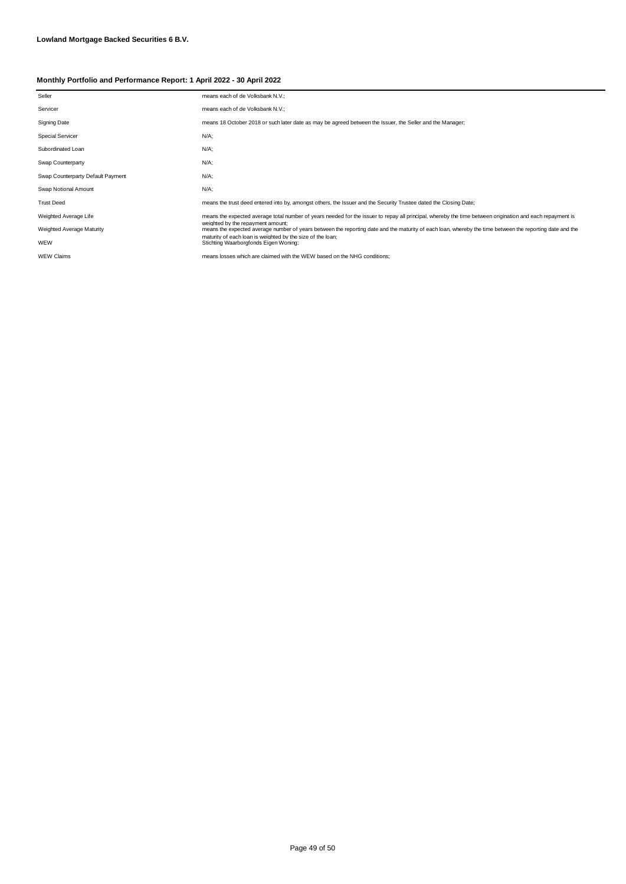| Seller                            | means each of de Volksbank N.V.;                                                                                                                                                                                                                                                                     |  |
|-----------------------------------|------------------------------------------------------------------------------------------------------------------------------------------------------------------------------------------------------------------------------------------------------------------------------------------------------|--|
| Servicer                          | means each of de Volksbank N.V.;                                                                                                                                                                                                                                                                     |  |
| <b>Signing Date</b>               | means 18 October 2018 or such later date as may be agreed between the Issuer, the Seller and the Manager;                                                                                                                                                                                            |  |
| <b>Special Servicer</b>           | $N/A$ ;                                                                                                                                                                                                                                                                                              |  |
| Subordinated Loan                 | $N/A$ ;                                                                                                                                                                                                                                                                                              |  |
| Swap Counterparty                 | $N/A$ ;                                                                                                                                                                                                                                                                                              |  |
| Swap Counterparty Default Payment | $N/A$ ;                                                                                                                                                                                                                                                                                              |  |
| Swap Notional Amount              | $N/A$ ;                                                                                                                                                                                                                                                                                              |  |
| <b>Trust Deed</b>                 | means the trust deed entered into by, amongst others, the Issuer and the Security Trustee dated the Closing Date;                                                                                                                                                                                    |  |
| Weighted Average Life             | means the expected average total number of years needed for the issuer to repay all principal, whereby the time between origination and each repayment is                                                                                                                                            |  |
| Weighted Average Maturity         | weighted by the repayment amount;<br>means the expected average number of years between the reporting date and the maturity of each loan, whereby the time between the reporting date and the<br>maturity of each loan is weighted by the size of the loan;<br>Stichting Waarborgfonds Eigen Woning; |  |
| WEW                               |                                                                                                                                                                                                                                                                                                      |  |
| <b>WEW Claims</b>                 | means losses which are claimed with the WEW based on the NHG conditions:                                                                                                                                                                                                                             |  |